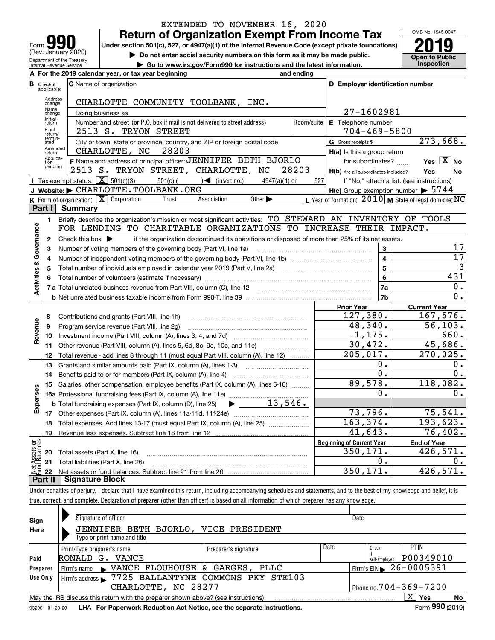| 190<br>Form                                            |
|--------------------------------------------------------|
| (Rev. January 2020)                                    |
| Department of the Treasury<br>Internal Revenue Service |

## **Return of Organization Exempt From Income Tax** EXTENDED TO NOVEMBER 16, 2020

Under section 501(c), 527, or 4947(a)(1) of the Internal Revenue Code (except private foundations) **2019** 

**| Do not enter social security numbers on this form as it may be made public.**

**| Go to www.irs.gov/Form990 for instructions and the latest information. Inspection**



|                         |                            | For the 2019 calendar year, or tax year beginning                                                                                                           | and ending |                                                     |                                                           |
|-------------------------|----------------------------|-------------------------------------------------------------------------------------------------------------------------------------------------------------|------------|-----------------------------------------------------|-----------------------------------------------------------|
| в                       | Check if<br>applicable:    | <b>C</b> Name of organization                                                                                                                               |            | D Employer identification number                    |                                                           |
|                         | Address<br>change          | CHARLOTTE COMMUNITY TOOLBANK, INC.                                                                                                                          |            |                                                     |                                                           |
|                         | Name<br>change             | Doing business as                                                                                                                                           |            | 27-1602981                                          |                                                           |
|                         | Initial<br>return          | Number and street (or P.O. box if mail is not delivered to street address)                                                                                  | Room/suite | E Telephone number                                  |                                                           |
|                         | Final<br>return/           | 2513 S. TRYON STREET                                                                                                                                        |            | $704 - 469 - 5800$                                  |                                                           |
|                         | termin-<br>ated<br>Amended | City or town, state or province, country, and ZIP or foreign postal code                                                                                    |            | G Gross receipts \$                                 | 273,668.                                                  |
|                         | return<br>Applica-         | 28203<br>CHARLOTTE, NC                                                                                                                                      |            | H(a) Is this a group return                         |                                                           |
|                         | tion<br>pending            | F Name and address of principal officer: JENNIFER BETH BJORLO                                                                                               |            | for subordinates?                                   | Yes $\boxed{X}$ No                                        |
|                         |                            | 2513 S. TRYON STREET, CHARLOTTE, NC                                                                                                                         | 28203      | H(b) Are all subordinates included?                 | Yes<br>No                                                 |
|                         |                            | Tax-exempt status: $\boxed{\mathbf{X}}$ 501(c)(3)<br>$501(c)$ (<br>$\sqrt{\frac{1}{1}}$ (insert no.)<br>$4947(a)(1)$ or                                     | 527        |                                                     | If "No," attach a list. (see instructions)                |
|                         |                            | J Website: CHARLOTTE.TOOLBANK.ORG<br><b>K</b> Form of organization: $\boxed{\mathbf{X}}$ Corporation<br>Association<br>Other $\blacktriangleright$<br>Trust |            | $H(c)$ Group exemption number $\triangleright$ 5744 |                                                           |
|                         | Part I                     | Summary                                                                                                                                                     |            |                                                     | L Year of formation: $2010$ M State of legal domicile: NC |
|                         | $\blacksquare$             | Briefly describe the organization's mission or most significant activities: TO STEWARD AN INVENTORY OF TOOLS                                                |            |                                                     |                                                           |
|                         |                            | FOR LENDING TO CHARITABLE ORGANIZATIONS TO INCREASE THEIR IMPACT.                                                                                           |            |                                                     |                                                           |
| Activities & Governance | $\mathbf{2}$               | Check this box $\blacktriangleright$<br>if the organization discontinued its operations or disposed of more than 25% of its net assets.                     |            |                                                     |                                                           |
|                         | з                          | Number of voting members of the governing body (Part VI, line 1a)                                                                                           |            | 3                                                   | 17                                                        |
|                         | 4                          |                                                                                                                                                             |            | $\overline{\mathbf{4}}$                             | $\overline{17}$                                           |
|                         | 5                          |                                                                                                                                                             |            | 5                                                   | $\overline{3}$                                            |
|                         | 6                          |                                                                                                                                                             |            | 6                                                   | 431                                                       |
|                         |                            |                                                                                                                                                             |            | 7a                                                  | 0.                                                        |
|                         |                            |                                                                                                                                                             |            | 7b                                                  | 0.                                                        |
|                         |                            |                                                                                                                                                             |            | <b>Prior Year</b>                                   | <b>Current Year</b>                                       |
|                         | 8                          | Contributions and grants (Part VIII, line 1h)                                                                                                               |            | 127,380.                                            | 167,576.                                                  |
| Revenue                 | 9                          | Program service revenue (Part VIII, line 2g)                                                                                                                |            | 48,340.                                             | 56, 103.                                                  |
|                         | 10                         |                                                                                                                                                             |            | $-1, 175.$                                          | 660.                                                      |
|                         | 11                         | Other revenue (Part VIII, column (A), lines 5, 6d, 8c, 9c, 10c, and 11e)                                                                                    |            | 30,472.                                             | 45,686.                                                   |
|                         | 12                         | Total revenue - add lines 8 through 11 (must equal Part VIII, column (A), line 12)                                                                          |            | $\overline{205,017}$ .                              | 270,025.                                                  |
|                         | 13                         | Grants and similar amounts paid (Part IX, column (A), lines 1-3)                                                                                            |            | 0.                                                  | 0.                                                        |
|                         | 14                         | Benefits paid to or for members (Part IX, column (A), line 4)                                                                                               |            | 0.                                                  | 0.                                                        |
|                         | 15                         | Salaries, other compensation, employee benefits (Part IX, column (A), lines 5-10)                                                                           |            | 89,578.                                             | 118,082.                                                  |
| Expenses                |                            |                                                                                                                                                             |            | 0.                                                  | 0.                                                        |
|                         |                            | $13,546$ .<br><b>b</b> Total fundraising expenses (Part IX, column (D), line 25)                                                                            |            |                                                     |                                                           |
|                         |                            |                                                                                                                                                             |            | 73,796.                                             | 75,541.                                                   |
|                         | 18                         | Total expenses. Add lines 13-17 (must equal Part IX, column (A), line 25)                                                                                   |            | 163,374.                                            | 193,623.                                                  |
|                         | 19                         |                                                                                                                                                             |            | 41,643.                                             | 76,402.                                                   |
| គង្វ                    |                            |                                                                                                                                                             |            | <b>Beginning of Current Year</b>                    | <b>End of Year</b>                                        |
| Assets<br>1 Balanc      |                            | 20 Total assets (Part X, line 16)                                                                                                                           |            | 350,171.                                            | 426,571.                                                  |
|                         |                            | 21 Total liabilities (Part X, line 26)                                                                                                                      |            | Ο.                                                  | о.                                                        |
| $rac{1}{2}$             |                            | Dart II - Cianature Block                                                                                                                                   |            | 350,171.                                            | 426,571.                                                  |

**Part II Signature Block**

Under penalties of perjury, I declare that I have examined this return, including accompanying schedules and statements, and to the best of my knowledge and belief, it is true, correct, and complete. Declaration of preparer (other than officer) is based on all information of which preparer has any knowledge.

| Sign            | Signature of officer                                                                                 |                      |      | Date                                   |                 |  |  |
|-----------------|------------------------------------------------------------------------------------------------------|----------------------|------|----------------------------------------|-----------------|--|--|
| Here            | JENNIFER BETH BJORLO, VICE PRESIDENT                                                                 |                      |      |                                        |                 |  |  |
|                 | Type or print name and title                                                                         |                      |      |                                        |                 |  |  |
|                 | Print/Type preparer's name                                                                           | Preparer's signature | Date | Check                                  | <b>PTIN</b>     |  |  |
| Paid            | RONALD G.<br>VANCE                                                                                   |                      |      | self-emploved                          | P00349010       |  |  |
| Preparer        | Firm's name NANCE FLOUHOUSE & GARGES, PLLC                                                           |                      |      | Firm's EIN $\triangleright$ 26-0005391 |                 |  |  |
| Use Only        | Firm's address > 7725 BALLANTYNE COMMONS PKY STE103                                                  |                      |      |                                        |                 |  |  |
|                 | CHARLOTTE, NC 28277                                                                                  |                      |      | Phone no. $704 - 369 - 7200$           |                 |  |  |
|                 | ΧI<br>Yes<br>No<br>May the IRS discuss this return with the preparer shown above? (see instructions) |                      |      |                                        |                 |  |  |
| 932001 01-20-20 | LHA For Paperwork Reduction Act Notice, see the separate instructions.                               |                      |      |                                        | Form 990 (2019) |  |  |
|                 |                                                                                                      |                      |      |                                        |                 |  |  |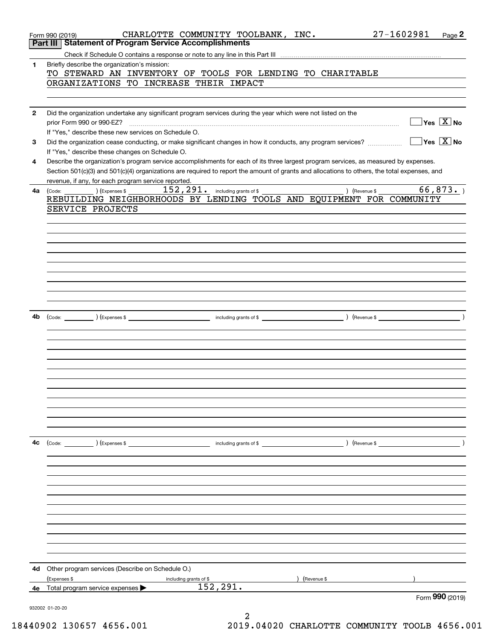|              | CHARLOTTE COMMUNITY TOOLBANK, INC.<br>Form 990 (2019)<br><b>Part III Statement of Program Service Accomplishments</b>                                                | 27-1602981<br>Page 2                    |
|--------------|----------------------------------------------------------------------------------------------------------------------------------------------------------------------|-----------------------------------------|
|              |                                                                                                                                                                      |                                         |
| 1            | Briefly describe the organization's mission:                                                                                                                         |                                         |
|              | TO STEWARD AN INVENTORY OF TOOLS FOR LENDING TO CHARITABLE                                                                                                           |                                         |
|              | ORGANIZATIONS TO INCREASE THEIR IMPACT                                                                                                                               |                                         |
|              |                                                                                                                                                                      |                                         |
| $\mathbf{2}$ | Did the organization undertake any significant program services during the year which were not listed on the                                                         |                                         |
|              | prior Form 990 or 990-EZ?                                                                                                                                            | $\Box$ Yes $[\overline{\mathrm{X}}]$ No |
| 3            | If "Yes," describe these new services on Schedule O.<br>Did the organization cease conducting, or make significant changes in how it conducts, any program services? | $\sqrt{}$ Yes $\sqrt{}$ X $\sqrt{}$ No  |
|              | If "Yes," describe these changes on Schedule O.                                                                                                                      |                                         |
| 4            | Describe the organization's program service accomplishments for each of its three largest program services, as measured by expenses.                                 |                                         |
|              | Section 501(c)(3) and 501(c)(4) organizations are required to report the amount of grants and allocations to others, the total expenses, and                         |                                         |
| 4а           | revenue, if any, for each program service reported.<br>152, 291. including grants of \$<br>$(\text{Expenses }$ \$                                                    | 66,873.<br>) (Revenue \$                |
|              | (Code:<br>REBUILDING NEIGHBORHOODS BY LENDING TOOLS AND EQUIPMENT FOR COMMUNITY                                                                                      |                                         |
|              | SERVICE PROJECTS                                                                                                                                                     |                                         |
|              |                                                                                                                                                                      |                                         |
|              |                                                                                                                                                                      |                                         |
|              |                                                                                                                                                                      |                                         |
|              |                                                                                                                                                                      |                                         |
|              |                                                                                                                                                                      |                                         |
|              |                                                                                                                                                                      |                                         |
|              |                                                                                                                                                                      |                                         |
|              |                                                                                                                                                                      |                                         |
|              |                                                                                                                                                                      |                                         |
| 4b           |                                                                                                                                                                      |                                         |
|              |                                                                                                                                                                      |                                         |
|              |                                                                                                                                                                      |                                         |
|              |                                                                                                                                                                      |                                         |
|              |                                                                                                                                                                      |                                         |
|              |                                                                                                                                                                      |                                         |
|              |                                                                                                                                                                      |                                         |
|              |                                                                                                                                                                      |                                         |
|              |                                                                                                                                                                      |                                         |
|              |                                                                                                                                                                      |                                         |
|              |                                                                                                                                                                      |                                         |
| 4с           | $\left(\text{Code:}\right)$ $\left(\text{Expenses $}\right)$                                                                                                         | $\overline{\phantom{a}}$ )              |
|              |                                                                                                                                                                      |                                         |
|              |                                                                                                                                                                      |                                         |
|              |                                                                                                                                                                      |                                         |
|              |                                                                                                                                                                      |                                         |
|              |                                                                                                                                                                      |                                         |
|              |                                                                                                                                                                      |                                         |
|              |                                                                                                                                                                      |                                         |
|              |                                                                                                                                                                      |                                         |
|              |                                                                                                                                                                      |                                         |
|              |                                                                                                                                                                      |                                         |
| 4d           | Other program services (Describe on Schedule O.)                                                                                                                     |                                         |
|              | (Expenses \$<br>(Revenue \$<br>including grants of \$                                                                                                                |                                         |
| 4е           | 152, 291.<br>Total program service expenses                                                                                                                          |                                         |
|              |                                                                                                                                                                      | Form 990 (2019)                         |
|              | 932002 01-20-20<br>2                                                                                                                                                 |                                         |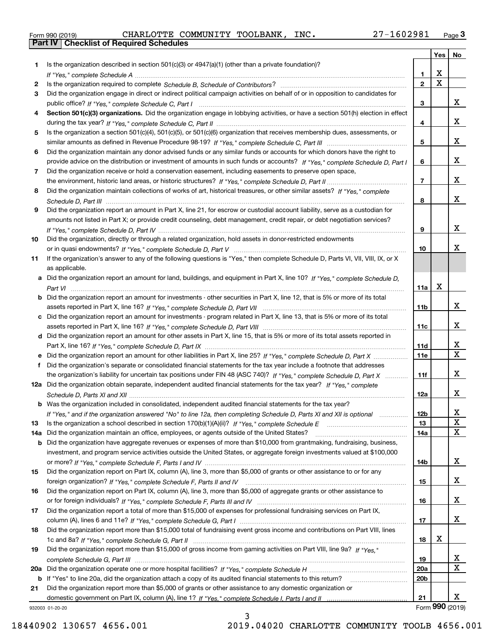|  | Form 990 (2019) |
|--|-----------------|

Form 990 (2019) CHARLOTTE COMMUNITY TOOLBANK, INC**.** 27-160 29 81 <sub>Page</sub> 3<br>**Part IV | Checklist of Required Schedules** 

|     |                                                                                                                                       |                 | <b>Yes</b>              | No                      |
|-----|---------------------------------------------------------------------------------------------------------------------------------------|-----------------|-------------------------|-------------------------|
| 1   | Is the organization described in section $501(c)(3)$ or $4947(a)(1)$ (other than a private foundation)?                               |                 |                         |                         |
|     |                                                                                                                                       | 1.              | х                       |                         |
| 2   |                                                                                                                                       | $\mathbf 2$     | $\overline{\mathbf{x}}$ |                         |
| 3   | Did the organization engage in direct or indirect political campaign activities on behalf of or in opposition to candidates for       |                 |                         |                         |
|     |                                                                                                                                       | 3               |                         | x                       |
| 4   | Section 501(c)(3) organizations. Did the organization engage in lobbying activities, or have a section 501(h) election in effect      |                 |                         |                         |
|     |                                                                                                                                       | 4               |                         | x                       |
| 5   | Is the organization a section 501(c)(4), 501(c)(5), or 501(c)(6) organization that receives membership dues, assessments, or          |                 |                         |                         |
|     |                                                                                                                                       | 5               |                         | х                       |
| 6   | Did the organization maintain any donor advised funds or any similar funds or accounts for which donors have the right to             |                 |                         |                         |
|     | provide advice on the distribution or investment of amounts in such funds or accounts? If "Yes," complete Schedule D. Part I          | 6               |                         | х                       |
| 7   | Did the organization receive or hold a conservation easement, including easements to preserve open space,                             |                 |                         |                         |
|     |                                                                                                                                       | $\overline{7}$  |                         | x                       |
| 8   | Did the organization maintain collections of works of art, historical treasures, or other similar assets? If "Yes," complete          |                 |                         |                         |
|     |                                                                                                                                       | 8               |                         | x                       |
| 9   | Did the organization report an amount in Part X, line 21, for escrow or custodial account liability, serve as a custodian for         |                 |                         |                         |
|     | amounts not listed in Part X; or provide credit counseling, debt management, credit repair, or debt negotiation services?             |                 |                         |                         |
|     |                                                                                                                                       | 9               |                         | x                       |
| 10  | Did the organization, directly or through a related organization, hold assets in donor-restricted endowments                          |                 |                         |                         |
|     |                                                                                                                                       | 10              |                         | x                       |
| 11  | If the organization's answer to any of the following questions is "Yes," then complete Schedule D, Parts VI, VII, VIII, IX, or X      |                 |                         |                         |
|     | as applicable.                                                                                                                        |                 |                         |                         |
|     | a Did the organization report an amount for land, buildings, and equipment in Part X, line 10? If "Yes," complete Schedule D,         |                 |                         |                         |
|     | Part VI                                                                                                                               | 11a             | х                       |                         |
|     | <b>b</b> Did the organization report an amount for investments - other securities in Part X, line 12, that is 5% or more of its total |                 |                         |                         |
|     |                                                                                                                                       | 11b             |                         | x                       |
|     | c Did the organization report an amount for investments - program related in Part X, line 13, that is 5% or more of its total         |                 |                         |                         |
|     |                                                                                                                                       | 11c             |                         | х                       |
|     | d Did the organization report an amount for other assets in Part X, line 15, that is 5% or more of its total assets reported in       |                 |                         |                         |
|     |                                                                                                                                       | 11d             |                         | x                       |
|     |                                                                                                                                       | <b>11e</b>      |                         | $\overline{\mathbf{x}}$ |
| f   | Did the organization's separate or consolidated financial statements for the tax year include a footnote that addresses               |                 |                         |                         |
|     | the organization's liability for uncertain tax positions under FIN 48 (ASC 740)? If "Yes," complete Schedule D. Part X                | 11f             |                         | х                       |
|     | 12a Did the organization obtain separate, independent audited financial statements for the tax year? If "Yes," complete               |                 |                         |                         |
|     |                                                                                                                                       | 12a             |                         | X                       |
|     | <b>b</b> Was the organization included in consolidated, independent audited financial statements for the tax year?                    |                 |                         |                         |
|     | If "Yes," and if the organization answered "No" to line 12a, then completing Schedule D, Parts XI and XII is optional                 | <b>12b</b>      |                         | х                       |
| 13  |                                                                                                                                       | 13              |                         | X                       |
| 14a | Did the organization maintain an office, employees, or agents outside of the United States?                                           | 14a             |                         | $\mathbf X$             |
|     | b Did the organization have aggregate revenues or expenses of more than \$10,000 from grantmaking, fundraising, business,             |                 |                         |                         |
|     | investment, and program service activities outside the United States, or aggregate foreign investments valued at \$100,000            |                 |                         |                         |
|     |                                                                                                                                       | 14b             |                         | x                       |
| 15  | Did the organization report on Part IX, column (A), line 3, more than \$5,000 of grants or other assistance to or for any             |                 |                         |                         |
|     |                                                                                                                                       | 15              |                         | x                       |
| 16  | Did the organization report on Part IX, column (A), line 3, more than \$5,000 of aggregate grants or other assistance to              |                 |                         |                         |
|     |                                                                                                                                       | 16              |                         | x                       |
| 17  | Did the organization report a total of more than \$15,000 of expenses for professional fundraising services on Part IX,               |                 |                         |                         |
|     |                                                                                                                                       | 17              |                         | x                       |
| 18  | Did the organization report more than \$15,000 total of fundraising event gross income and contributions on Part VIII, lines          |                 |                         |                         |
|     |                                                                                                                                       | 18              | х                       |                         |
| 19  | Did the organization report more than \$15,000 of gross income from gaming activities on Part VIII, line 9a? If "Yes."                |                 |                         |                         |
|     |                                                                                                                                       | 19              |                         | X                       |
| 20a |                                                                                                                                       | <b>20a</b>      |                         | X                       |
|     | b If "Yes" to line 20a, did the organization attach a copy of its audited financial statements to this return?                        | 20 <sub>b</sub> |                         |                         |
| 21  | Did the organization report more than \$5,000 of grants or other assistance to any domestic organization or                           |                 |                         |                         |
|     |                                                                                                                                       | 21              |                         | x                       |
|     | 932003 01-20-20                                                                                                                       |                 |                         | Form 990 (2019)         |

932003 01-20-20

3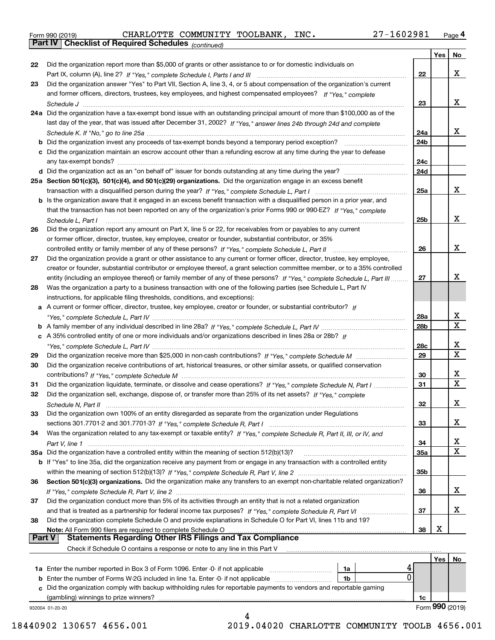| Form 990 (2019) |  |  |
|-----------------|--|--|

Form 990 (2019) CHARLOTTE COMMUNITY TOOLBANK, INC**.** 27-160 29 81 <sub>Page</sub> 4<br>**Part IV | Checklist of Required Schedules** <sub>(continued)</sub>

*(continued)*

|               |                                                                                                                                       |                 | Yes | No               |
|---------------|---------------------------------------------------------------------------------------------------------------------------------------|-----------------|-----|------------------|
| 22            | Did the organization report more than \$5,000 of grants or other assistance to or for domestic individuals on                         |                 |     |                  |
|               |                                                                                                                                       | 22              |     | х                |
| 23            | Did the organization answer "Yes" to Part VII, Section A, line 3, 4, or 5 about compensation of the organization's current            |                 |     |                  |
|               | and former officers, directors, trustees, key employees, and highest compensated employees? If "Yes," complete                        |                 |     |                  |
|               |                                                                                                                                       | 23              |     | х                |
|               | 24a Did the organization have a tax-exempt bond issue with an outstanding principal amount of more than \$100,000 as of the           |                 |     |                  |
|               | last day of the year, that was issued after December 31, 2002? If "Yes," answer lines 24b through 24d and complete                    |                 |     |                  |
|               |                                                                                                                                       | 24a             |     | х                |
|               |                                                                                                                                       | 24 <sub>b</sub> |     |                  |
|               | c Did the organization maintain an escrow account other than a refunding escrow at any time during the year to defease                |                 |     |                  |
|               |                                                                                                                                       | 24c             |     |                  |
|               |                                                                                                                                       | 24d             |     |                  |
|               | 25a Section 501(c)(3), 501(c)(4), and 501(c)(29) organizations. Did the organization engage in an excess benefit                      |                 |     |                  |
|               |                                                                                                                                       | 25a             |     | х                |
|               | b Is the organization aware that it engaged in an excess benefit transaction with a disqualified person in a prior year, and          |                 |     |                  |
|               | that the transaction has not been reported on any of the organization's prior Forms 990 or 990-EZ? If "Yes," complete                 |                 |     |                  |
|               |                                                                                                                                       | 25b             |     | х                |
| 26            | Schedule L, Part I<br>Did the organization report any amount on Part X, line 5 or 22, for receivables from or payables to any current |                 |     |                  |
|               | or former officer, director, trustee, key employee, creator or founder, substantial contributor, or 35%                               |                 |     |                  |
|               |                                                                                                                                       | 26              |     | х                |
| 27            | Did the organization provide a grant or other assistance to any current or former officer, director, trustee, key employee,           |                 |     |                  |
|               | creator or founder, substantial contributor or employee thereof, a grant selection committee member, or to a 35% controlled           |                 |     |                  |
|               | entity (including an employee thereof) or family member of any of these persons? If "Yes," complete Schedule L, Part III              | 27              |     | x                |
| 28            | Was the organization a party to a business transaction with one of the following parties (see Schedule L, Part IV                     |                 |     |                  |
|               |                                                                                                                                       |                 |     |                  |
|               | instructions, for applicable filing thresholds, conditions, and exceptions):                                                          |                 |     |                  |
|               | a A current or former officer, director, trustee, key employee, creator or founder, or substantial contributor? If                    |                 |     | x                |
|               |                                                                                                                                       | 28a             |     | $\mathbf x$      |
|               |                                                                                                                                       | 28b             |     |                  |
|               | c A 35% controlled entity of one or more individuals and/or organizations described in lines 28a or 28b? If                           |                 |     | х                |
|               |                                                                                                                                       | 28c             |     | $\mathbf X$      |
| 29            |                                                                                                                                       | 29              |     |                  |
| 30            | Did the organization receive contributions of art, historical treasures, or other similar assets, or qualified conservation           |                 |     |                  |
|               |                                                                                                                                       | 30              |     | х<br>$\mathbf X$ |
| 31            | Did the organization liquidate, terminate, or dissolve and cease operations? If "Yes," complete Schedule N, Part I                    | 31              |     |                  |
| 32            | Did the organization sell, exchange, dispose of, or transfer more than 25% of its net assets? If "Yes," complete                      |                 |     |                  |
|               |                                                                                                                                       | 32              |     | х                |
| 33            | Did the organization own 100% of an entity disregarded as separate from the organization under Regulations                            |                 |     |                  |
|               |                                                                                                                                       | 33              |     | х                |
| 34            | Was the organization related to any tax-exempt or taxable entity? If "Yes," complete Schedule R, Part II, III, or IV, and             |                 |     |                  |
|               |                                                                                                                                       | 34              |     | x                |
|               | 35a Did the organization have a controlled entity within the meaning of section 512(b)(13)?                                           | <b>35a</b>      |     | X                |
|               | <b>b</b> If "Yes" to line 35a, did the organization receive any payment from or engage in any transaction with a controlled entity    |                 |     |                  |
|               |                                                                                                                                       | 35b             |     |                  |
| 36            | Section 501(c)(3) organizations. Did the organization make any transfers to an exempt non-charitable related organization?            |                 |     |                  |
|               |                                                                                                                                       | 36              |     | x                |
| 37            | Did the organization conduct more than 5% of its activities through an entity that is not a related organization                      |                 |     |                  |
|               |                                                                                                                                       | 37              |     | х                |
| 38            | Did the organization complete Schedule O and provide explanations in Schedule O for Part VI, lines 11b and 19?                        |                 |     |                  |
|               | Note: All Form 990 filers are required to complete Schedule O                                                                         | 38              | x   |                  |
| <b>Part V</b> | <b>Statements Regarding Other IRS Filings and Tax Compliance</b>                                                                      |                 |     |                  |
|               | Check if Schedule O contains a response or note to any line in this Part V                                                            |                 |     |                  |
|               |                                                                                                                                       |                 | Yes | No               |
|               | 1a                                                                                                                                    |                 |     |                  |
|               | 0<br>1b                                                                                                                               |                 |     |                  |
|               | c Did the organization comply with backup withholding rules for reportable payments to vendors and reportable gaming                  |                 |     |                  |
|               | (gambling) winnings to prize winners?                                                                                                 | 1c              |     |                  |
|               | 932004 01-20-20                                                                                                                       |                 |     | Form 990 (2019)  |
|               |                                                                                                                                       |                 |     |                  |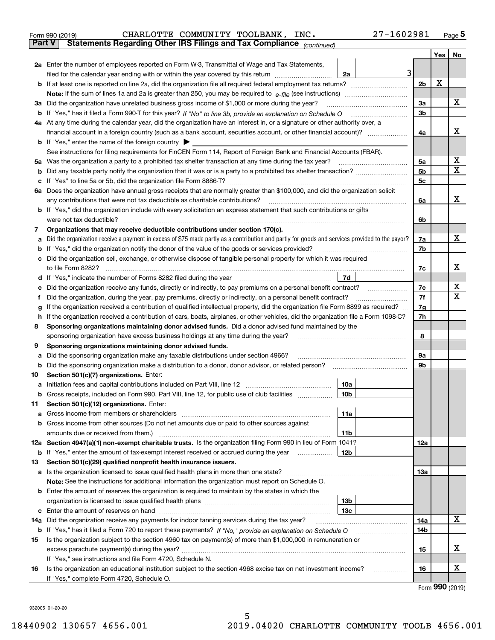|    | 27-1602981<br>CHARLOTTE COMMUNITY TOOLBANK, INC.<br>Form 990 (2019)                                                                                                                                                 |                |            | Page $5$  |
|----|---------------------------------------------------------------------------------------------------------------------------------------------------------------------------------------------------------------------|----------------|------------|-----------|
|    | Statements Regarding Other IRS Filings and Tax Compliance (continued)<br>Part V                                                                                                                                     |                |            |           |
|    |                                                                                                                                                                                                                     |                | <b>Yes</b> | <b>No</b> |
|    | 2a Enter the number of employees reported on Form W-3, Transmittal of Wage and Tax Statements,                                                                                                                      |                |            |           |
|    | 3<br>filed for the calendar year ending with or within the year covered by this return<br>2a                                                                                                                        |                |            |           |
|    |                                                                                                                                                                                                                     | 2 <sub>b</sub> | X          |           |
|    |                                                                                                                                                                                                                     |                |            |           |
|    | 3a Did the organization have unrelated business gross income of \$1,000 or more during the year?                                                                                                                    | 3a             |            | х         |
| b  |                                                                                                                                                                                                                     | 3 <sub>b</sub> |            |           |
|    | 4a At any time during the calendar year, did the organization have an interest in, or a signature or other authority over, a                                                                                        |                |            |           |
|    | financial account in a foreign country (such as a bank account, securities account, or other financial account)?                                                                                                    | 4a             |            | x         |
|    | <b>b</b> If "Yes," enter the name of the foreign country $\triangleright$                                                                                                                                           |                |            |           |
|    | See instructions for filing requirements for FinCEN Form 114, Report of Foreign Bank and Financial Accounts (FBAR).                                                                                                 |                |            |           |
| 5а | Was the organization a party to a prohibited tax shelter transaction at any time during the tax year?                                                                                                               | 5a             |            | х         |
| b  |                                                                                                                                                                                                                     | 5 <sub>b</sub> |            | X         |
| c  |                                                                                                                                                                                                                     | 5 <sub>c</sub> |            |           |
| 6a | Does the organization have annual gross receipts that are normally greater than \$100,000, and did the organization solicit                                                                                         |                |            |           |
|    | any contributions that were not tax deductible as charitable contributions?                                                                                                                                         | 6a             |            | x         |
|    | <b>b</b> If "Yes," did the organization include with every solicitation an express statement that such contributions or gifts                                                                                       |                |            |           |
|    | were not tax deductible?                                                                                                                                                                                            | 6b             |            |           |
| 7  | Organizations that may receive deductible contributions under section 170(c).                                                                                                                                       |                |            |           |
| a  | Did the organization receive a payment in excess of \$75 made partly as a contribution and partly for goods and services provided to the payor?                                                                     | 7a             |            | x         |
| b  | If "Yes," did the organization notify the donor of the value of the goods or services provided?                                                                                                                     | 7b             |            |           |
|    | c Did the organization sell, exchange, or otherwise dispose of tangible personal property for which it was required                                                                                                 |                |            |           |
|    |                                                                                                                                                                                                                     | 7c             |            | х         |
| d  | 7d<br>If "Yes," indicate the number of Forms 8282 filed during the year manufactured in the water of the number of Forms 8282 filed during the year manufactured in the number of Forms 8282 filed during the year. |                |            |           |
| е  | Did the organization receive any funds, directly or indirectly, to pay premiums on a personal benefit contract?                                                                                                     | 7е             |            | х         |
| f  | Did the organization, during the year, pay premiums, directly or indirectly, on a personal benefit contract?                                                                                                        | 7f             |            | X         |
| a  | If the organization received a contribution of qualified intellectual property, did the organization file Form 8899 as required?                                                                                    | 7g             |            |           |

| sponsoring organization have excess business holdings at any time during the year?                                                   |  |  |  |  |  |
|--------------------------------------------------------------------------------------------------------------------------------------|--|--|--|--|--|
| 8 Sponsoring organizations maintaining donor advised funds. Did a donor advised fund maintained by the                               |  |  |  |  |  |
| h If the organization received a contribution of cars, boats, airplanes, or other vehicles, did the organization file a Form 1098-C? |  |  |  |  |  |
| g If the organization received a contribution of qualified intellectual property, did the organization file Form 8899 as required?   |  |  |  |  |  |

#### **9Sponsoring organizations maintaining donor advised funds.**

|     | Sponsoring organizations maintaining donor advised funds.                                                          |                 |                 |   |
|-----|--------------------------------------------------------------------------------------------------------------------|-----------------|-----------------|---|
| a   | Did the sponsoring organization make any taxable distributions under section 4966?                                 |                 | 9а              |   |
| b   | Did the sponsoring organization make a distribution to a donor, donor advisor, or related person?                  |                 | 9b              |   |
| 10  | Section 501(c)(7) organizations. Enter:                                                                            |                 |                 |   |
| a   |                                                                                                                    | 10a             |                 |   |
| b   | Gross receipts, included on Form 990, Part VIII, line 12, for public use of club facilities                        | 10 <sub>b</sub> |                 |   |
| 11  | Section 501(c)(12) organizations. Enter:                                                                           |                 |                 |   |
|     | <b>a</b> Gross income from members or shareholders                                                                 | 11a             |                 |   |
|     | <b>b</b> Gross income from other sources (Do not net amounts due or paid to other sources against                  |                 |                 |   |
|     | amounts due or received from them.)                                                                                | 11 <sub>b</sub> |                 |   |
|     | 12a Section 4947(a)(1) non-exempt charitable trusts. Is the organization filing Form 990 in lieu of Form 1041?     |                 | 12a             |   |
|     | <b>b</b> If "Yes," enter the amount of tax-exempt interest received or accrued during the year                     | <b>12b</b>      |                 |   |
| 13  | Section 501(c)(29) qualified nonprofit health insurance issuers.                                                   |                 |                 |   |
|     | <b>a</b> Is the organization licensed to issue qualified health plans in more than one state?                      |                 | 13a             |   |
|     | <b>Note:</b> See the instructions for additional information the organization must report on Schedule O.           |                 |                 |   |
|     | <b>b</b> Enter the amount of reserves the organization is required to maintain by the states in which the          |                 |                 |   |
|     |                                                                                                                    | 13b             |                 |   |
| c   |                                                                                                                    | 13с             |                 |   |
| 14a | Did the organization receive any payments for indoor tanning services during the tax year?                         |                 | 14a             | х |
|     | <b>b</b> If "Yes," has it filed a Form 720 to report these payments? If "No," provide an explanation on Schedule O |                 | 14 <sub>b</sub> |   |
| 15  | Is the organization subject to the section 4960 tax on payment(s) of more than \$1,000,000 in remuneration or      |                 |                 |   |
|     | excess parachute payment(s) during the year?                                                                       |                 | 15              | x |
|     | If "Yes," see instructions and file Form 4720, Schedule N.                                                         |                 |                 |   |
| 16  | Is the organization an educational institution subject to the section 4968 excise tax on net investment income?    |                 | 16              | x |
|     | If "Yes," complete Form 4720, Schedule O.                                                                          |                 |                 |   |

5

Form (2019) **990**

**7h**

**8**

932005 01-20-20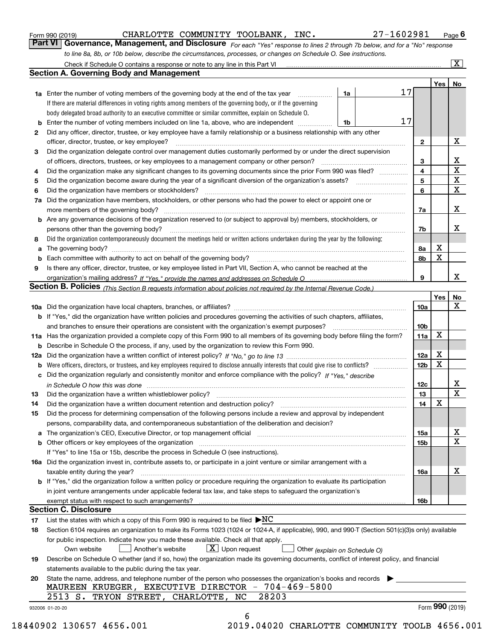|  | Form 990 (2019) |  |
|--|-----------------|--|

CHARLOTTE COMMUNITY TOOLBANK, INC. 27-1602981

*For each "Yes" response to lines 2 through 7b below, and for a "No" response to line 8a, 8b, or 10b below, describe the circumstances, processes, or changes on Schedule O. See instructions.* Form 990 (2019) **CHARLOTTE COMMUNITY TOOLBANK, INC.** 27 – 160 2981 Page 6<br>**Part VI Governance, Management, and Disclosure** For each "Yes" response to lines 2 through 7b below, and for a "No" response

|     | Check if Schedule O contains a response or note to any line in this Part VI                                                                                           |    |    |                 |     | $ {\bf X} $     |
|-----|-----------------------------------------------------------------------------------------------------------------------------------------------------------------------|----|----|-----------------|-----|-----------------|
|     | <b>Section A. Governing Body and Management</b>                                                                                                                       |    |    |                 |     |                 |
|     |                                                                                                                                                                       |    |    |                 | Yes | No              |
|     | <b>1a</b> Enter the number of voting members of the governing body at the end of the tax year                                                                         | 1a | 17 |                 |     |                 |
|     | If there are material differences in voting rights among members of the governing body, or if the governing                                                           |    |    |                 |     |                 |
|     | body delegated broad authority to an executive committee or similar committee, explain on Schedule O.                                                                 |    |    |                 |     |                 |
| b   | Enter the number of voting members included on line 1a, above, who are independent                                                                                    | 1b | 17 |                 |     |                 |
| 2   | Did any officer, director, trustee, or key employee have a family relationship or a business relationship with any other                                              |    |    |                 |     |                 |
|     | officer, director, trustee, or key employee?                                                                                                                          |    |    | 2               |     | X               |
| 3   | Did the organization delegate control over management duties customarily performed by or under the direct supervision                                                 |    |    |                 |     |                 |
|     | of officers, directors, trustees, or key employees to a management company or other person?                                                                           |    |    | 3               |     | х               |
| 4   | Did the organization make any significant changes to its governing documents since the prior Form 990 was filed?                                                      |    |    | $\overline{4}$  |     | X               |
| 5   |                                                                                                                                                                       |    |    | 5               |     | $\mathbf x$     |
| 6   | Did the organization have members or stockholders?                                                                                                                    |    |    | 6               |     | X               |
| 7a  | Did the organization have members, stockholders, or other persons who had the power to elect or appoint one or                                                        |    |    |                 |     |                 |
|     | more members of the governing body?                                                                                                                                   |    |    | 7a              |     | X               |
|     | Are any governance decisions of the organization reserved to (or subject to approval by) members, stockholders, or                                                    |    |    |                 |     |                 |
| b   | persons other than the governing body?                                                                                                                                |    |    |                 |     | х               |
|     |                                                                                                                                                                       |    |    | 7b              |     |                 |
| 8   | Did the organization contemporaneously document the meetings held or written actions undertaken during the year by the following:                                     |    |    |                 | х   |                 |
| a   |                                                                                                                                                                       |    |    | 8a              |     |                 |
| b   | Each committee with authority to act on behalf of the governing body?                                                                                                 |    |    | 8b              | X   |                 |
| 9   | Is there any officer, director, trustee, or key employee listed in Part VII, Section A, who cannot be reached at the                                                  |    |    |                 |     |                 |
|     |                                                                                                                                                                       |    |    | 9               |     | x               |
|     | <b>Section B. Policies</b> (This Section B requests information about policies not required by the Internal Revenue Code.)                                            |    |    |                 |     |                 |
|     |                                                                                                                                                                       |    |    |                 | Yes | No              |
|     |                                                                                                                                                                       |    |    | 10a             |     | x               |
|     | <b>b</b> If "Yes," did the organization have written policies and procedures governing the activities of such chapters, affiliates,                                   |    |    |                 |     |                 |
|     | and branches to ensure their operations are consistent with the organization's exempt purposes?                                                                       |    |    | 10 <sub>b</sub> |     |                 |
|     | 11a Has the organization provided a complete copy of this Form 990 to all members of its governing body before filing the form?                                       |    |    | 11a             | X   |                 |
| b   | Describe in Schedule O the process, if any, used by the organization to review this Form 990.                                                                         |    |    |                 |     |                 |
| 12a |                                                                                                                                                                       |    |    | 12a             | X   |                 |
| b   | Were officers, directors, or trustees, and key employees required to disclose annually interests that could give rise to conflicts?                                   |    |    | 12 <sub>b</sub> | X   |                 |
| c   | Did the organization regularly and consistently monitor and enforce compliance with the policy? If "Yes." describe                                                    |    |    |                 |     |                 |
|     | in Schedule O how this was done www.communication.com/www.communications.com/www.communications.com/                                                                  |    |    | 12c             |     | x               |
| 13  | Did the organization have a written whistleblower policy?                                                                                                             |    |    | 13              |     | $\mathbf X$     |
| 14  | Did the organization have a written document retention and destruction policy?                                                                                        |    |    | 14              | X   |                 |
| 15  | Did the process for determining compensation of the following persons include a review and approval by independent                                                    |    |    |                 |     |                 |
|     | persons, comparability data, and contemporaneous substantiation of the deliberation and decision?                                                                     |    |    |                 |     |                 |
| а   | The organization's CEO, Executive Director, or top management official manufactured content of the organization's CEO, Executive Director, or top management official |    |    | 15a             |     | х               |
| b   | Other officers or key employees of the organization                                                                                                                   |    |    | 15b             |     | X               |
|     | If "Yes" to line 15a or 15b, describe the process in Schedule O (see instructions).                                                                                   |    |    |                 |     |                 |
|     | 16a Did the organization invest in, contribute assets to, or participate in a joint venture or similar arrangement with a                                             |    |    |                 |     |                 |
|     | taxable entity during the year?                                                                                                                                       |    |    | 16a             |     | х               |
|     | b If "Yes," did the organization follow a written policy or procedure requiring the organization to evaluate its participation                                        |    |    |                 |     |                 |
|     | in joint venture arrangements under applicable federal tax law, and take steps to safeguard the organization's                                                        |    |    |                 |     |                 |
|     | exempt status with respect to such arrangements?                                                                                                                      |    |    | 16b             |     |                 |
|     | Section C. Disclosure                                                                                                                                                 |    |    |                 |     |                 |
|     | List the states with which a copy of this Form 990 is required to be filed $\blacktriangleright NC$                                                                   |    |    |                 |     |                 |
| 17  |                                                                                                                                                                       |    |    |                 |     |                 |
| 18  | Section 6104 requires an organization to make its Forms 1023 (1024 or 1024-A, if applicable), 990, and 990-T (Section 501(c)(3)s only) available                      |    |    |                 |     |                 |
|     | for public inspection. Indicate how you made these available. Check all that apply.                                                                                   |    |    |                 |     |                 |
|     | $X$ Upon request<br>Another's website<br>Own website<br>Other (explain on Schedule O)                                                                                 |    |    |                 |     |                 |
| 19  | Describe on Schedule O whether (and if so, how) the organization made its governing documents, conflict of interest policy, and financial                             |    |    |                 |     |                 |
|     | statements available to the public during the tax year.                                                                                                               |    |    |                 |     |                 |
| 20  | State the name, address, and telephone number of the person who possesses the organization's books and records                                                        |    |    |                 |     |                 |
|     | MAUREEN KRUEGER, EXECUTIVE DIRECTOR - 704-469-5800                                                                                                                    |    |    |                 |     |                 |
|     | 28203<br>2513 S.<br>TRYON STREET, CHARLOTTE, NC                                                                                                                       |    |    |                 |     |                 |
|     | 932006 01-20-20                                                                                                                                                       |    |    |                 |     | Form 990 (2019) |
|     | 6                                                                                                                                                                     |    |    |                 |     |                 |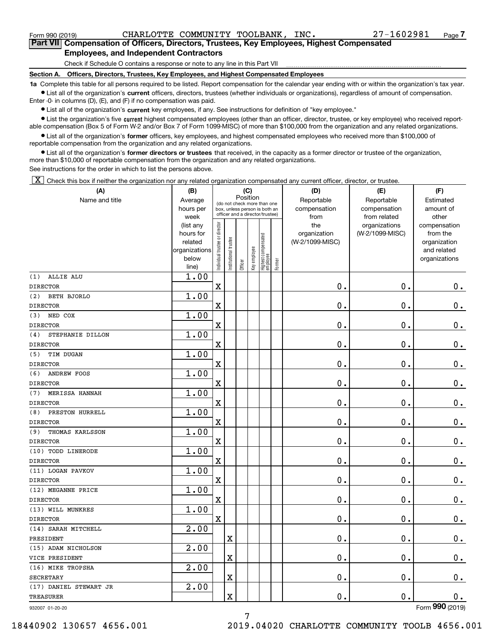Form 990 (2019) CHARLOTTE COMMUNITY TOOLBANK,INC. 27-1602981 <sub>Page</sub>

**7Part VII Compensation of Officers, Directors, Trustees, Key Employees, Highest Compensated Employees, and Independent Contractors**

Check if Schedule O contains a response or note to any line in this Part VII

**Section A. Officers, Directors, Trustees, Key Employees, and Highest Compensated Employees**

**1a**  Complete this table for all persons required to be listed. Report compensation for the calendar year ending with or within the organization's tax year. **•** List all of the organization's current officers, directors, trustees (whether individuals or organizations), regardless of amount of compensation.

Enter -0- in columns (D), (E), and (F) if no compensation was paid.

● List all of the organization's **current** key employees, if any. See instructions for definition of "key employee."<br>● List the organization's five current bighest compensated employees (other than an officer, director, t

• List the organization's five current highest compensated employees (other than an officer, director, trustee, or key employee) who received report-■ List the organization's five current highest compensated employees (other than an officer, director, trustee, or key employee) who received report-<br>able compensation (Box 5 of Form W-2 and/or Box 7 of Form 1099-MISC) of

**•** List all of the organization's former officers, key employees, and highest compensated employees who received more than \$100,000 of reportable compensation from the organization and any related organizations.

**former directors or trustees**  ¥ List all of the organization's that received, in the capacity as a former director or trustee of the organization, more than \$10,000 of reportable compensation from the organization and any related organizations.

See instructions for the order in which to list the persons above.

 $\boxed{\textbf{X}}$  Check this box if neither the organization nor any related organization compensated any current officer, director, or trustee.

| (A)                       | (B)                                                                          |                                |                                                                                                             | (C)     |                            |                                  |                        | (D)                                            | (E)                                              | (F)                                                                               |
|---------------------------|------------------------------------------------------------------------------|--------------------------------|-------------------------------------------------------------------------------------------------------------|---------|----------------------------|----------------------------------|------------------------|------------------------------------------------|--------------------------------------------------|-----------------------------------------------------------------------------------|
| Name and title            | Average<br>hours per                                                         |                                | Position<br>(do not check more than one<br>box, unless person is both an<br>officer and a director/trustee) |         | Reportable<br>compensation | Reportable<br>compensation       | Estimated<br>amount of |                                                |                                                  |                                                                                   |
|                           | week<br>(list any<br>hours for<br>related<br>organizations<br>below<br>line) | Individual trustee or director | Institutional trustee                                                                                       | Officer | Key employee               | Highest compensated<br> employee | Former                 | from<br>the<br>organization<br>(W-2/1099-MISC) | from related<br>organizations<br>(W-2/1099-MISC) | other<br>compensation<br>from the<br>organization<br>and related<br>organizations |
| (1)<br>ALLIE ALU          | 1.00                                                                         |                                |                                                                                                             |         |                            |                                  |                        |                                                |                                                  |                                                                                   |
| <b>DIRECTOR</b>           |                                                                              | X                              |                                                                                                             |         |                            |                                  |                        | 0.                                             | $\mathbf 0$ .                                    | $0_{.}$                                                                           |
| (2)<br><b>BETH BJORLO</b> | 1.00                                                                         |                                |                                                                                                             |         |                            |                                  |                        |                                                |                                                  |                                                                                   |
| <b>DIRECTOR</b>           |                                                                              | X                              |                                                                                                             |         |                            |                                  |                        | 0.                                             | $\mathbf 0$ .                                    | $\mathbf 0$ .                                                                     |
| NED COX<br>(3)            | 1.00                                                                         |                                |                                                                                                             |         |                            |                                  |                        |                                                |                                                  |                                                                                   |
| <b>DIRECTOR</b>           |                                                                              | X                              |                                                                                                             |         |                            |                                  |                        | 0.                                             | $\mathbf 0$ .                                    | $0_{.}$                                                                           |
| STEPHANIE DILLON<br>(4)   | 1.00                                                                         |                                |                                                                                                             |         |                            |                                  |                        |                                                |                                                  |                                                                                   |
| <b>DIRECTOR</b>           |                                                                              | X                              |                                                                                                             |         |                            |                                  |                        | 0.                                             | 0.                                               | $0_{.}$                                                                           |
| TIM DUGAN<br>(5)          | 1.00                                                                         |                                |                                                                                                             |         |                            |                                  |                        |                                                |                                                  |                                                                                   |
| <b>DIRECTOR</b>           |                                                                              | $\overline{\text{X}}$          |                                                                                                             |         |                            |                                  |                        | 0.                                             | 0.                                               | $0_{.}$                                                                           |
| (6)<br><b>ANDREW FOOS</b> | 1.00                                                                         |                                |                                                                                                             |         |                            |                                  |                        |                                                |                                                  |                                                                                   |
| <b>DIRECTOR</b>           |                                                                              | $\overline{\textbf{X}}$        |                                                                                                             |         |                            |                                  |                        | 0.                                             | $\mathbf 0$ .                                    | $0_{.}$                                                                           |
| MERISSA HANNAH<br>(7)     | 1.00                                                                         |                                |                                                                                                             |         |                            |                                  |                        |                                                |                                                  |                                                                                   |
| <b>DIRECTOR</b>           |                                                                              | $\rm X$                        |                                                                                                             |         |                            |                                  |                        | 0.                                             | 0.                                               | $\mathbf 0$ .                                                                     |
| PRESTON HURRELL<br>(8)    | 1.00                                                                         |                                |                                                                                                             |         |                            |                                  |                        |                                                |                                                  |                                                                                   |
| <b>DIRECTOR</b>           |                                                                              | $\overline{\textbf{X}}$        |                                                                                                             |         |                            |                                  |                        | 0.                                             | 0.                                               | $\mathbf 0$ .                                                                     |
| THOMAS KARLSSON<br>(9)    | 1.00                                                                         |                                |                                                                                                             |         |                            |                                  |                        |                                                |                                                  |                                                                                   |
| <b>DIRECTOR</b>           |                                                                              | $\rm X$                        |                                                                                                             |         |                            |                                  |                        | 0.                                             | 0.                                               | $0_{.}$                                                                           |
| (10) TODD LINERODE        | 1.00                                                                         |                                |                                                                                                             |         |                            |                                  |                        |                                                |                                                  |                                                                                   |
| <b>DIRECTOR</b>           |                                                                              | $\overline{\textbf{X}}$        |                                                                                                             |         |                            |                                  |                        | 0.                                             | 0.                                               | $0_{.}$                                                                           |
| (11) LOGAN PAVKOV         | 1.00                                                                         |                                |                                                                                                             |         |                            |                                  |                        |                                                |                                                  |                                                                                   |
| <b>DIRECTOR</b>           |                                                                              | $\rm X$                        |                                                                                                             |         |                            |                                  |                        | 0.                                             | 0.                                               | $0_{.}$                                                                           |
| (12) MEGANNE PRICE        | 1.00                                                                         |                                |                                                                                                             |         |                            |                                  |                        |                                                |                                                  |                                                                                   |
| <b>DIRECTOR</b>           |                                                                              | $\mathbf x$                    |                                                                                                             |         |                            |                                  |                        | 0.                                             | $\mathbf 0$ .                                    | $\mathbf 0$ .                                                                     |
| (13) WILL MUNKRES         | 1.00                                                                         |                                |                                                                                                             |         |                            |                                  |                        |                                                |                                                  |                                                                                   |
| <b>DIRECTOR</b>           |                                                                              | $\mathbf x$                    |                                                                                                             |         |                            |                                  |                        | 0.                                             | $\mathbf 0$ .                                    | $\mathbf 0$ .                                                                     |
| (14) SARAH MITCHELL       | $\overline{2.00}$                                                            |                                |                                                                                                             |         |                            |                                  |                        |                                                |                                                  |                                                                                   |
| PRESIDENT                 |                                                                              |                                | X                                                                                                           |         |                            |                                  |                        | 0.                                             | $\mathbf 0$ .                                    | $\mathbf 0$ .                                                                     |
| (15) ADAM NICHOLSON       | 2.00                                                                         |                                |                                                                                                             |         |                            |                                  |                        |                                                |                                                  |                                                                                   |
| VICE PRESIDENT            |                                                                              |                                | X                                                                                                           |         |                            |                                  |                        | 0.                                             | $\mathbf 0$ .                                    | $\mathbf 0$ .                                                                     |
| (16) MIKE TROPSHA         | $\overline{2.00}$                                                            |                                |                                                                                                             |         |                            |                                  |                        |                                                |                                                  |                                                                                   |
| <b>SECRETARY</b>          |                                                                              |                                | X                                                                                                           |         |                            |                                  |                        | 0.                                             | $\mathbf 0$ .                                    | $\mathbf 0$ .                                                                     |
| (17) DANIEL STEWART JR    | 2.00                                                                         |                                |                                                                                                             |         |                            |                                  |                        |                                                |                                                  |                                                                                   |
| <b>TREASURER</b>          |                                                                              |                                | $\rm X$                                                                                                     |         |                            |                                  |                        | 0.                                             | $\mathbf 0$ .                                    | $0_{.}$                                                                           |

932007 01-20-20

Form (2019) **990**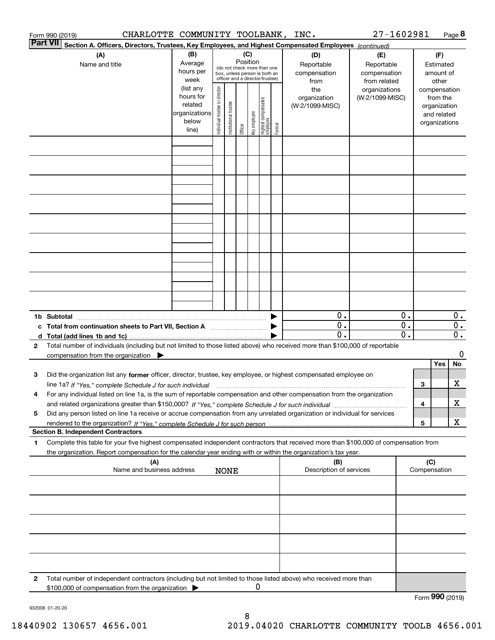| CHARLOTTE COMMUNITY TOOLBANK, INC.<br>Form 990 (2019)                                                                                                                                                                                                                            |                                                                      |                                |                            |                 |              |                                                                                                 |        |                                           | 27-1602981                                        |               |                     | Page 8                                                                   |                       |
|----------------------------------------------------------------------------------------------------------------------------------------------------------------------------------------------------------------------------------------------------------------------------------|----------------------------------------------------------------------|--------------------------------|----------------------------|-----------------|--------------|-------------------------------------------------------------------------------------------------|--------|-------------------------------------------|---------------------------------------------------|---------------|---------------------|--------------------------------------------------------------------------|-----------------------|
| Part VII<br>Section A. Officers, Directors, Trustees, Key Employees, and Highest Compensated Employees (continued)                                                                                                                                                               |                                                                      |                                |                            |                 |              |                                                                                                 |        |                                           |                                                   |               |                     |                                                                          |                       |
| (A)<br>Name and title                                                                                                                                                                                                                                                            | (B)<br>Average<br>hours per<br>week                                  |                                |                            | (C)<br>Position |              | (do not check more than one<br>box, unless person is both an<br>officer and a director/trustee) |        | (D)<br>Reportable<br>compensation<br>from | (E)<br>Reportable<br>compensation<br>from related |               |                     | (F)<br>Estimated<br>amount of<br>other                                   |                       |
|                                                                                                                                                                                                                                                                                  | (list any<br>hours for<br>related<br>organizations<br>below<br>line) | Individual trustee or director | Itustee<br>Institutional t | Officer         | key employee | Highest compensated<br>employee                                                                 | Former | the<br>organization<br>(W-2/1099-MISC)    | organizations<br>(W-2/1099-MISC)                  |               |                     | compensation<br>from the<br>organization<br>and related<br>organizations |                       |
|                                                                                                                                                                                                                                                                                  |                                                                      |                                |                            |                 |              |                                                                                                 |        |                                           |                                                   |               |                     |                                                                          |                       |
|                                                                                                                                                                                                                                                                                  |                                                                      |                                |                            |                 |              |                                                                                                 |        |                                           |                                                   |               |                     |                                                                          |                       |
|                                                                                                                                                                                                                                                                                  |                                                                      |                                |                            |                 |              |                                                                                                 |        |                                           |                                                   |               |                     |                                                                          |                       |
|                                                                                                                                                                                                                                                                                  |                                                                      |                                |                            |                 |              |                                                                                                 |        |                                           |                                                   |               |                     |                                                                          |                       |
|                                                                                                                                                                                                                                                                                  |                                                                      |                                |                            |                 |              |                                                                                                 |        |                                           |                                                   |               |                     |                                                                          |                       |
|                                                                                                                                                                                                                                                                                  |                                                                      |                                |                            |                 |              |                                                                                                 |        |                                           |                                                   |               |                     |                                                                          |                       |
|                                                                                                                                                                                                                                                                                  |                                                                      |                                |                            |                 |              |                                                                                                 |        |                                           |                                                   |               |                     |                                                                          |                       |
| 1b Subtotal<br>c Total from continuation sheets to Part VII, Section A                                                                                                                                                                                                           |                                                                      |                                |                            |                 |              |                                                                                                 |        | 0.<br>0.                                  |                                                   | 0.<br>0.      |                     |                                                                          | $0$ .<br>0.           |
| Total number of individuals (including but not limited to those listed above) who received more than \$100,000 of reportable<br>2<br>compensation from the organization $\blacktriangleright$                                                                                    |                                                                      |                                |                            |                 |              |                                                                                                 |        | $\mathbf 0$ .                             |                                                   | $\mathbf 0$ . |                     |                                                                          | $\overline{0}$ .<br>0 |
| Did the organization list any former officer, director, trustee, key employee, or highest compensated employee on<br>з                                                                                                                                                           |                                                                      |                                |                            |                 |              |                                                                                                 |        |                                           |                                                   |               |                     | Yes                                                                      | No                    |
| line 1a? If "Yes," complete Schedule J for such individual manufactured contained and the 1a? If "Yes," complete Schedule J for such individual<br>For any individual listed on line 1a, is the sum of reportable compensation and other compensation from the organization<br>4 |                                                                      |                                |                            |                 |              |                                                                                                 |        |                                           |                                                   |               | 3                   |                                                                          | X                     |
| Did any person listed on line 1a receive or accrue compensation from any unrelated organization or individual for services<br>5                                                                                                                                                  |                                                                      |                                |                            |                 |              |                                                                                                 |        |                                           |                                                   |               | 4<br>5              |                                                                          | x<br>x                |
| <b>Section B. Independent Contractors</b>                                                                                                                                                                                                                                        |                                                                      |                                |                            |                 |              |                                                                                                 |        |                                           |                                                   |               |                     |                                                                          |                       |
| Complete this table for your five highest compensated independent contractors that received more than \$100,000 of compensation from<br>1<br>the organization. Report compensation for the calendar year ending with or within the organization's tax year.                      |                                                                      |                                |                            |                 |              |                                                                                                 |        |                                           |                                                   |               |                     |                                                                          |                       |
| (A)<br>Name and business address                                                                                                                                                                                                                                                 |                                                                      |                                | <b>NONE</b>                |                 |              |                                                                                                 |        | (B)<br>Description of services            |                                                   |               | (C)<br>Compensation |                                                                          |                       |
|                                                                                                                                                                                                                                                                                  |                                                                      |                                |                            |                 |              |                                                                                                 |        |                                           |                                                   |               |                     |                                                                          |                       |
|                                                                                                                                                                                                                                                                                  |                                                                      |                                |                            |                 |              |                                                                                                 |        |                                           |                                                   |               |                     |                                                                          |                       |
|                                                                                                                                                                                                                                                                                  |                                                                      |                                |                            |                 |              |                                                                                                 |        |                                           |                                                   |               |                     |                                                                          |                       |
|                                                                                                                                                                                                                                                                                  |                                                                      |                                |                            |                 |              |                                                                                                 |        |                                           |                                                   |               |                     |                                                                          |                       |
| Total number of independent contractors (including but not limited to those listed above) who received more than<br>2<br>\$100,000 of compensation from the organization                                                                                                         |                                                                      |                                |                            |                 | 0            |                                                                                                 |        |                                           |                                                   |               | Form 990 (2019)     |                                                                          |                       |
| 000000<br>$\sim$ $\sim$                                                                                                                                                                                                                                                          |                                                                      |                                |                            |                 |              |                                                                                                 |        |                                           |                                                   |               |                     |                                                                          |                       |

932008 01-20-20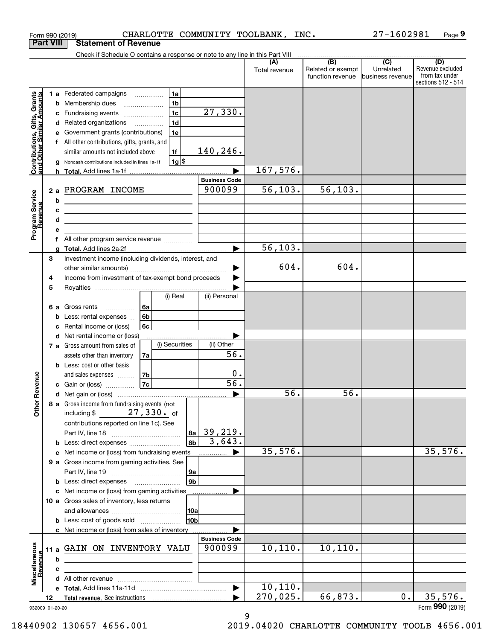|                                                           | <b>Part VIII</b> | <b>Statement of Revenue</b>                                                                                            |                          |                |                |                                |                      |                                                           |                                                 |                                                                 |
|-----------------------------------------------------------|------------------|------------------------------------------------------------------------------------------------------------------------|--------------------------|----------------|----------------|--------------------------------|----------------------|-----------------------------------------------------------|-------------------------------------------------|-----------------------------------------------------------------|
|                                                           |                  | Check if Schedule O contains a response or note to any line in this Part VIII                                          |                          |                |                |                                |                      |                                                           |                                                 |                                                                 |
|                                                           |                  |                                                                                                                        |                          |                |                |                                | (A)<br>Total revenue | $\overline{(B)}$<br>Related or exempt<br>function revenue | $\overline{C}$<br>Unrelated<br>business revenue | (D)<br>Revenue excluded<br>from tax under<br>sections 512 - 514 |
|                                                           |                  | 1 a Federated campaigns                                                                                                |                          | 1a             |                |                                |                      |                                                           |                                                 |                                                                 |
| Contributions, Gifts, Grants<br>and Other Similar Amounts | b                | Membership dues                                                                                                        |                          | 1b             |                |                                |                      |                                                           |                                                 |                                                                 |
|                                                           | с                | Fundraising events                                                                                                     |                          | 1 <sub>c</sub> |                | 27,330.                        |                      |                                                           |                                                 |                                                                 |
|                                                           | d                | Related organizations                                                                                                  | $\overline{\phantom{a}}$ | 1d             |                |                                |                      |                                                           |                                                 |                                                                 |
|                                                           |                  | Government grants (contributions)                                                                                      |                          | 1e             |                |                                |                      |                                                           |                                                 |                                                                 |
|                                                           |                  | f All other contributions, gifts, grants, and                                                                          |                          |                |                |                                |                      |                                                           |                                                 |                                                                 |
|                                                           |                  | similar amounts not included above                                                                                     |                          | 1f             |                | 140,246.                       |                      |                                                           |                                                 |                                                                 |
|                                                           | g                | Noncash contributions included in lines 1a-1f                                                                          |                          | $1g$ \$        |                |                                |                      |                                                           |                                                 |                                                                 |
|                                                           | h                |                                                                                                                        |                          |                |                |                                | 167,576.             |                                                           |                                                 |                                                                 |
|                                                           |                  | 2 a PROGRAM INCOME                                                                                                     |                          |                |                | <b>Business Code</b><br>900099 | 56, 103.             | 56, 103.                                                  |                                                 |                                                                 |
| Program Service<br>Revenue                                | b                |                                                                                                                        |                          |                |                |                                |                      |                                                           |                                                 |                                                                 |
|                                                           | c                | the contract of the contract of the contract of the contract of the contract of                                        |                          |                |                |                                |                      |                                                           |                                                 |                                                                 |
|                                                           | d                | <u> 1989 - Johann Barn, mars ann an t-Amhain ann an t-Amhain an t-Amhain an t-Amhain an t-Amhain an t-Amhain an t-</u> |                          |                |                |                                |                      |                                                           |                                                 |                                                                 |
|                                                           |                  |                                                                                                                        |                          |                |                |                                |                      |                                                           |                                                 |                                                                 |
|                                                           | f                | All other program service revenue                                                                                      |                          |                |                |                                |                      |                                                           |                                                 |                                                                 |
|                                                           |                  |                                                                                                                        |                          |                |                |                                | 56, 103.             |                                                           |                                                 |                                                                 |
|                                                           | 3                | Investment income (including dividends, interest, and                                                                  |                          |                |                |                                |                      |                                                           |                                                 |                                                                 |
|                                                           |                  |                                                                                                                        |                          |                |                |                                | 604.                 | 604.                                                      |                                                 |                                                                 |
|                                                           | 4                | Income from investment of tax-exempt bond proceeds                                                                     |                          |                |                |                                |                      |                                                           |                                                 |                                                                 |
|                                                           | 5                |                                                                                                                        |                          |                |                |                                |                      |                                                           |                                                 |                                                                 |
|                                                           |                  |                                                                                                                        |                          | (i) Real       |                | (ii) Personal                  |                      |                                                           |                                                 |                                                                 |
|                                                           |                  | 6 a Gross rents<br>.                                                                                                   | l 6a                     |                |                |                                |                      |                                                           |                                                 |                                                                 |
|                                                           | b                | Less: rental expenses<br>Rental income or (loss)                                                                       | 6b<br>6с                 |                |                |                                |                      |                                                           |                                                 |                                                                 |
|                                                           | с<br>d           | Net rental income or (loss)                                                                                            |                          |                |                |                                |                      |                                                           |                                                 |                                                                 |
|                                                           |                  | 7 a Gross amount from sales of                                                                                         |                          | (i) Securities |                | (ii) Other                     |                      |                                                           |                                                 |                                                                 |
|                                                           |                  | assets other than inventory                                                                                            | 7a                       |                |                | 56.                            |                      |                                                           |                                                 |                                                                 |
|                                                           |                  | <b>b</b> Less: cost or other basis                                                                                     |                          |                |                |                                |                      |                                                           |                                                 |                                                                 |
|                                                           |                  | and sales expenses                                                                                                     | 7b                       |                |                | 0.                             |                      |                                                           |                                                 |                                                                 |
| Revenue                                                   |                  | c Gain or (loss)                                                                                                       | 7c                       |                |                | $\overline{56}$ .              |                      |                                                           |                                                 |                                                                 |
|                                                           |                  |                                                                                                                        |                          |                |                |                                | 56.                  | 56.                                                       |                                                 |                                                                 |
| <b>Other</b>                                              |                  | 8 a Gross income from fundraising events (not                                                                          |                          |                |                |                                |                      |                                                           |                                                 |                                                                 |
|                                                           |                  | including $$$                                                                                                          |                          | $27, 330.$ of  |                |                                |                      |                                                           |                                                 |                                                                 |
|                                                           |                  | contributions reported on line 1c). See                                                                                |                          |                |                |                                |                      |                                                           |                                                 |                                                                 |
|                                                           |                  |                                                                                                                        |                          |                | 8a<br>8b       | 39,219.<br>3,643.              |                      |                                                           |                                                 |                                                                 |
|                                                           |                  | c Net income or (loss) from fundraising events                                                                         |                          |                |                |                                | 35,576.              |                                                           |                                                 | 35,576.                                                         |
|                                                           |                  | 9 a Gross income from gaming activities. See                                                                           |                          |                |                |                                |                      |                                                           |                                                 |                                                                 |
|                                                           |                  |                                                                                                                        |                          |                | 9a             |                                |                      |                                                           |                                                 |                                                                 |
|                                                           |                  | <b>b</b> Less: direct expenses <b>manually</b>                                                                         |                          |                | 9 <sub>b</sub> |                                |                      |                                                           |                                                 |                                                                 |
|                                                           |                  | c Net income or (loss) from gaming activities                                                                          |                          |                |                |                                |                      |                                                           |                                                 |                                                                 |
|                                                           |                  | 10 a Gross sales of inventory, less returns                                                                            |                          |                |                |                                |                      |                                                           |                                                 |                                                                 |
|                                                           |                  |                                                                                                                        |                          |                | 10a            |                                |                      |                                                           |                                                 |                                                                 |
|                                                           |                  | <b>b</b> Less: cost of goods sold                                                                                      |                          |                | 10b            |                                |                      |                                                           |                                                 |                                                                 |
|                                                           |                  | c Net income or (loss) from sales of inventory                                                                         |                          |                |                |                                |                      |                                                           |                                                 |                                                                 |
|                                                           |                  |                                                                                                                        |                          |                |                | <b>Business Code</b><br>900099 | 10, 110.             | 10, 110.                                                  |                                                 |                                                                 |
|                                                           |                  | 11 a GAIN ON INVENTORY VALU                                                                                            |                          |                |                |                                |                      |                                                           |                                                 |                                                                 |
| Revenue                                                   | b<br>с           |                                                                                                                        |                          |                |                |                                |                      |                                                           |                                                 |                                                                 |
| Miscellaneous                                             |                  |                                                                                                                        |                          |                |                |                                |                      |                                                           |                                                 |                                                                 |
|                                                           |                  |                                                                                                                        |                          |                |                |                                | 10, 110.             |                                                           |                                                 |                                                                 |
|                                                           | 12               |                                                                                                                        |                          |                |                |                                | 270,025.             | 66, 873.                                                  | $0$ .                                           | 35,576.                                                         |
|                                                           | 932009 01-20-20  |                                                                                                                        |                          |                |                |                                |                      |                                                           |                                                 | Form 990 (2019)                                                 |
|                                                           |                  |                                                                                                                        |                          |                |                |                                | a                    |                                                           |                                                 |                                                                 |

Form 990 (2019) CHARLOTTE COMMUNITY TOOLBANK,INC**.** 27-1602981 Page **9** 

9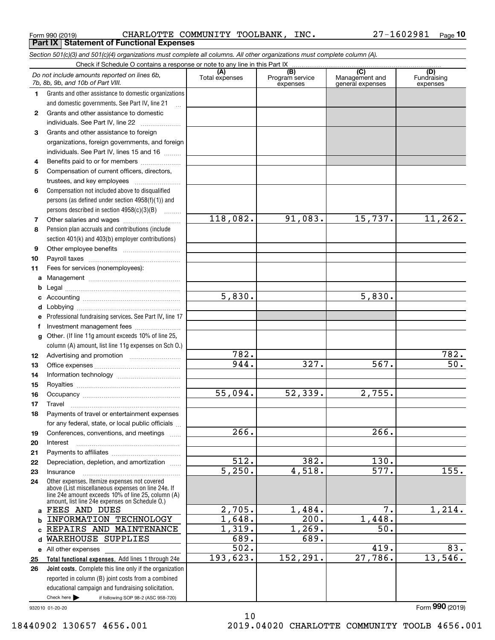**Part IX Statement of Functional Expenses**

*Section 501(c)(3) and 501(c)(4) organizations must complete all columns. All other organizations must complete column (A).*

|          | Do not include amounts reported on lines 6b,<br>7b, 8b, 9b, and 10b of Part VIII.                                                                        | (A)<br>Total expenses | (B)<br>Program service<br>expenses | $\overline{C}$<br>Management and<br>general expenses | (D)<br>Fundraising<br>expenses |
|----------|----------------------------------------------------------------------------------------------------------------------------------------------------------|-----------------------|------------------------------------|------------------------------------------------------|--------------------------------|
| 1.       | Grants and other assistance to domestic organizations                                                                                                    |                       |                                    |                                                      |                                |
|          | and domestic governments. See Part IV, line 21                                                                                                           |                       |                                    |                                                      |                                |
| 2        | Grants and other assistance to domestic                                                                                                                  |                       |                                    |                                                      |                                |
|          | individuals. See Part IV, line 22                                                                                                                        |                       |                                    |                                                      |                                |
| 3        | Grants and other assistance to foreign                                                                                                                   |                       |                                    |                                                      |                                |
|          | organizations, foreign governments, and foreign                                                                                                          |                       |                                    |                                                      |                                |
|          | individuals. See Part IV, lines 15 and 16                                                                                                                |                       |                                    |                                                      |                                |
| 4        | Benefits paid to or for members                                                                                                                          |                       |                                    |                                                      |                                |
| 5        | Compensation of current officers, directors,                                                                                                             |                       |                                    |                                                      |                                |
|          | trustees, and key employees                                                                                                                              |                       |                                    |                                                      |                                |
| 6        | Compensation not included above to disqualified                                                                                                          |                       |                                    |                                                      |                                |
|          | persons (as defined under section $4958(f)(1)$ ) and                                                                                                     |                       |                                    |                                                      |                                |
|          | persons described in section 4958(c)(3)(B)                                                                                                               | 118,082.              | 91,083.                            | 15,737.                                              | 11, 262.                       |
| 7        | Other salaries and wages                                                                                                                                 |                       |                                    |                                                      |                                |
| 8        | Pension plan accruals and contributions (include                                                                                                         |                       |                                    |                                                      |                                |
|          | section 401(k) and 403(b) employer contributions)                                                                                                        |                       |                                    |                                                      |                                |
| 9        |                                                                                                                                                          |                       |                                    |                                                      |                                |
| 10<br>11 | Fees for services (nonemployees):                                                                                                                        |                       |                                    |                                                      |                                |
|          |                                                                                                                                                          |                       |                                    |                                                      |                                |
| a<br>b   |                                                                                                                                                          |                       |                                    |                                                      |                                |
| c        |                                                                                                                                                          | 5,830.                |                                    | 5,830.                                               |                                |
| d        |                                                                                                                                                          |                       |                                    |                                                      |                                |
| e        | Professional fundraising services. See Part IV, line 17                                                                                                  |                       |                                    |                                                      |                                |
| f        | Investment management fees                                                                                                                               |                       |                                    |                                                      |                                |
| g        | Other. (If line 11g amount exceeds 10% of line 25,                                                                                                       |                       |                                    |                                                      |                                |
|          | column (A) amount, list line 11g expenses on Sch O.)                                                                                                     |                       |                                    |                                                      |                                |
| 12       |                                                                                                                                                          | 782.                  |                                    |                                                      | 782.                           |
| 13       |                                                                                                                                                          | 944.                  | 327.                               | 567.                                                 | $\overline{50}$ .              |
| 14       |                                                                                                                                                          |                       |                                    |                                                      |                                |
| 15       |                                                                                                                                                          |                       |                                    |                                                      |                                |
| 16       |                                                                                                                                                          | 55,094.               | 52, 339.                           | 2,755.                                               |                                |
| 17       | Travel                                                                                                                                                   |                       |                                    |                                                      |                                |
| 18       | Payments of travel or entertainment expenses                                                                                                             |                       |                                    |                                                      |                                |
|          | for any federal, state, or local public officials                                                                                                        |                       |                                    |                                                      |                                |
| 19       | Conferences, conventions, and meetings                                                                                                                   | 266.                  |                                    | 266.                                                 |                                |
| 20       | Interest                                                                                                                                                 |                       |                                    |                                                      |                                |
| 21       |                                                                                                                                                          |                       |                                    |                                                      |                                |
| 22       | Depreciation, depletion, and amortization                                                                                                                | $\overline{512}$ .    | 382.                               | 130.                                                 |                                |
| 23       | Insurance                                                                                                                                                | $\overline{5,250}$ .  | 4,518.                             | $\overline{577}$ .                                   | 155.                           |
| 24       | Other expenses. Itemize expenses not covered<br>above (List miscellaneous expenses on line 24e. If<br>line 24e amount exceeds 10% of line 25, column (A) |                       |                                    |                                                      |                                |
| a        | amount, list line 24e expenses on Schedule O.)<br>FEES AND DUES                                                                                          | 2,705.                | 1,484.                             | $\overline{7}$ .                                     | 1,214.                         |
| b        | INFORMATION TECHNOLOGY                                                                                                                                   | 1,648.                | 200.                               | 1,448.                                               |                                |
| C        | REPAIRS AND MAINTENANCE                                                                                                                                  | 1,319.                | 1,269.                             | 50.                                                  |                                |
| d        | WAREHOUSE SUPPLIES                                                                                                                                       | 689.                  | 689.                               |                                                      |                                |
|          | e All other expenses                                                                                                                                     | $\overline{502}$ .    |                                    | 419.                                                 | 83.                            |
| 25       | Total functional expenses. Add lines 1 through 24e                                                                                                       | 193,623.              | 152, 291.                          | 27,786.                                              | 13,546.                        |
| 26       | <b>Joint costs.</b> Complete this line only if the organization                                                                                          |                       |                                    |                                                      |                                |
|          | reported in column (B) joint costs from a combined                                                                                                       |                       |                                    |                                                      |                                |
|          | educational campaign and fundraising solicitation.                                                                                                       |                       |                                    |                                                      |                                |
|          | Check here $\blacktriangleright$<br>if following SOP 98-2 (ASC 958-720)                                                                                  |                       |                                    |                                                      |                                |
|          | 932010 01-20-20                                                                                                                                          | 1 <sub>0</sub>        |                                    |                                                      | Form 990 (2019)                |
|          |                                                                                                                                                          |                       |                                    |                                                      |                                |

10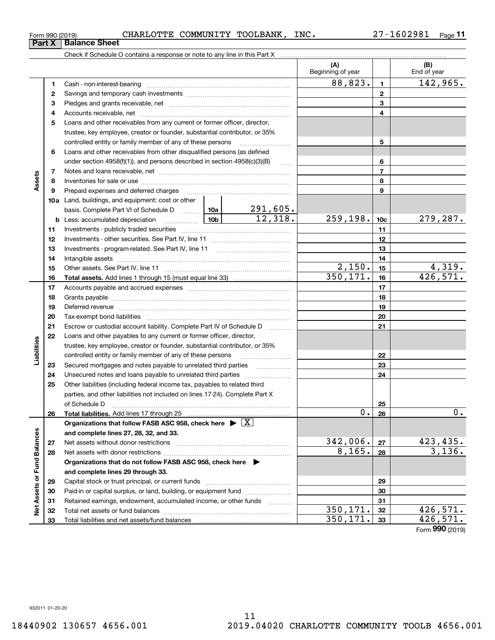Form (2019) **990**

#### Form 990 (2019) CHARLOTTE COMMUNITY TOOLBANK, INC 27-1602981 <sub>Page</sub> Check if Schedule O contains a response or note to any line in this Part X **Part X Balance Sheet**

**1**Cash - non-interest-bearing ~~~~~~~~~~~~~~~~~~~~~~~~~

Savings and temporary cash investments ~~~~~~~~~~~~~~~~~~

|                   | з  |                                                                                                                                                                                                                                |  |          |           | 3              |                                     |
|-------------------|----|--------------------------------------------------------------------------------------------------------------------------------------------------------------------------------------------------------------------------------|--|----------|-----------|----------------|-------------------------------------|
|                   | 4  |                                                                                                                                                                                                                                |  |          | 4         |                |                                     |
|                   | 5  | Loans and other receivables from any current or former officer, director,                                                                                                                                                      |  |          |           |                |                                     |
|                   |    | trustee, key employee, creator or founder, substantial contributor, or 35%                                                                                                                                                     |  |          |           |                |                                     |
|                   |    | controlled entity or family member of any of these persons                                                                                                                                                                     |  |          |           | 5              |                                     |
|                   | 6  | Loans and other receivables from other disqualified persons (as defined                                                                                                                                                        |  |          |           |                |                                     |
|                   |    | under section $4958(f)(1)$ , and persons described in section $4958(c)(3)(B)$                                                                                                                                                  |  |          |           | 6              |                                     |
|                   | 7  |                                                                                                                                                                                                                                |  |          |           | $\overline{7}$ |                                     |
| Assets            | 8  |                                                                                                                                                                                                                                |  |          |           | 8              |                                     |
|                   | 9  |                                                                                                                                                                                                                                |  |          | 9         |                |                                     |
|                   |    | 10a Land, buildings, and equipment: cost or other                                                                                                                                                                              |  |          |           |                |                                     |
|                   |    | basis. Complete Part VI of Schedule D  10a                                                                                                                                                                                     |  | 291,605. |           |                |                                     |
|                   |    |                                                                                                                                                                                                                                |  | 12,318.  | 259, 198. | 10c            | 279,287.                            |
|                   | 11 |                                                                                                                                                                                                                                |  |          |           | 11             |                                     |
|                   | 12 |                                                                                                                                                                                                                                |  |          |           | 12             |                                     |
|                   | 13 |                                                                                                                                                                                                                                |  |          |           | 13             |                                     |
|                   | 14 |                                                                                                                                                                                                                                |  |          |           | 14             |                                     |
|                   | 15 |                                                                                                                                                                                                                                |  |          | 2,150.    | 15             | 4,319.                              |
|                   | 16 |                                                                                                                                                                                                                                |  |          | 350, 171. | 16             | 426,571.                            |
|                   | 17 |                                                                                                                                                                                                                                |  |          |           | 17             |                                     |
|                   | 18 |                                                                                                                                                                                                                                |  |          |           | 18             |                                     |
|                   | 19 | Deferred revenue material contracts and a contract of the contract of the contract of the contract of the contract of the contract of the contract of the contract of the contract of the contract of the contract of the cont |  | 19       |           |                |                                     |
|                   | 20 |                                                                                                                                                                                                                                |  | 20       |           |                |                                     |
|                   | 21 | Escrow or custodial account liability. Complete Part IV of Schedule D                                                                                                                                                          |  |          | 21        |                |                                     |
|                   | 22 | Loans and other payables to any current or former officer, director,                                                                                                                                                           |  |          |           |                |                                     |
| Liabilities       |    | trustee, key employee, creator or founder, substantial contributor, or 35%                                                                                                                                                     |  |          |           |                |                                     |
|                   |    | controlled entity or family member of any of these persons                                                                                                                                                                     |  |          | 22        |                |                                     |
|                   | 23 | Secured mortgages and notes payable to unrelated third parties                                                                                                                                                                 |  |          |           | 23             |                                     |
|                   | 24 | Unsecured notes and loans payable to unrelated third parties                                                                                                                                                                   |  |          | 24        |                |                                     |
|                   | 25 | Other liabilities (including federal income tax, payables to related third                                                                                                                                                     |  |          |           |                |                                     |
|                   |    | parties, and other liabilities not included on lines 17-24). Complete Part X                                                                                                                                                   |  |          |           |                |                                     |
|                   |    | of Schedule D                                                                                                                                                                                                                  |  |          |           | 25             |                                     |
|                   | 26 | <b>Total liabilities.</b> Add lines 17 through 25                                                                                                                                                                              |  |          | 0.        | 26             | $0$ .                               |
|                   |    | Organizations that follow FASB ASC 958, check here $\triangleright \lfloor X \rfloor$                                                                                                                                          |  |          |           |                |                                     |
|                   |    | and complete lines 27, 28, 32, and 33.                                                                                                                                                                                         |  |          |           |                |                                     |
| <b>Balances</b>   | 27 |                                                                                                                                                                                                                                |  |          | 342,006.  | 27             | <u>423,435.</u>                     |
|                   | 28 |                                                                                                                                                                                                                                |  |          | 8,165.    | 28             | 3,136.                              |
| ē                 |    | Organizations that do not follow FASB ASC 958, check here                                                                                                                                                                      |  | ▶        |           |                |                                     |
|                   |    | and complete lines 29 through 33.                                                                                                                                                                                              |  |          |           |                |                                     |
|                   | 29 |                                                                                                                                                                                                                                |  |          | 29        |                |                                     |
|                   | 30 | Paid-in or capital surplus, or land, building, or equipment fund                                                                                                                                                               |  |          |           | 30             |                                     |
| Net Assets or Ful | 31 | Retained earnings, endowment, accumulated income, or other funds                                                                                                                                                               |  | .        |           | 31             |                                     |
|                   | 32 |                                                                                                                                                                                                                                |  |          | 350,171.  | 32             | 426,571.                            |
|                   | 33 | Total liabilities and net assets/fund balances                                                                                                                                                                                 |  |          | 350,171.  | 33             | 426,571.<br>$F_{\rm c,}$ 990 (2010) |
|                   |    |                                                                                                                                                                                                                                |  |          |           |                |                                     |

**(A) (B)**

Beginning of year | | End of year

**123**

 $88,823.$  142,965.

**23**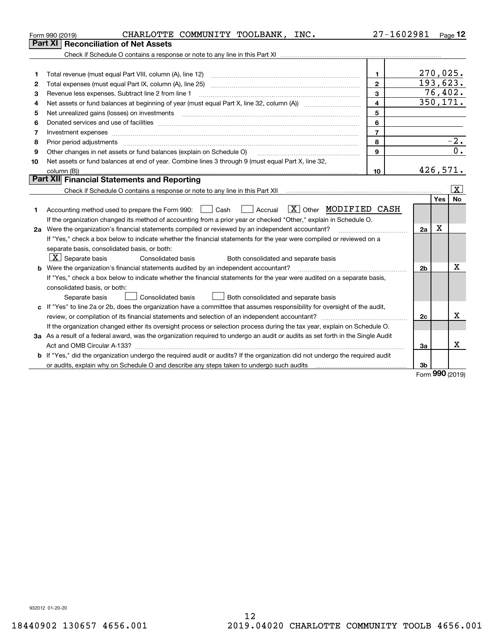| <b>Reconciliation of Net Assets</b><br>Part XI<br>270,025.<br>$\mathbf{1}$<br>1<br>193,623.<br>$\overline{2}$<br>2<br>76,402.<br>3<br>3<br>Revenue less expenses. Subtract line 2 from line 1<br>$\overline{350, 171.}$<br>$\overline{4}$<br>4<br>5<br>5<br>6<br>6<br>$\overline{7}$<br>7<br>$-2.$<br>8<br>8<br>Prior period adjustments manufactured content contract and all the content of the content of the content of the<br>$\overline{0}$ .<br>9<br>Other changes in net assets or fund balances (explain on Schedule O)<br>9<br>Net assets or fund balances at end of year. Combine lines 3 through 9 (must equal Part X, line 32,<br>10<br>426,571.<br>10<br>Part XII Financial Statements and Reporting<br>X<br><b>No</b><br>Yes<br>$\boxed{\text{X}}$ Other MODIFIED CASH<br>  Accrual<br>Accounting method used to prepare the Form 990: <u>June</u> Cash<br>1<br>If the organization changed its method of accounting from a prior year or checked "Other," explain in Schedule O.<br>Х<br>2a Were the organization's financial statements compiled or reviewed by an independent accountant?<br>2a<br>If "Yes," check a box below to indicate whether the financial statements for the year were compiled or reviewed on a<br>separate basis, consolidated basis, or both:<br>$\boxed{\textbf{X}}$ Separate basis<br>Both consolidated and separate basis<br>Consolidated basis<br>Χ<br><b>b</b> Were the organization's financial statements audited by an independent accountant?<br>2 <sub>b</sub><br>If "Yes," check a box below to indicate whether the financial statements for the year were audited on a separate basis,<br>consolidated basis, or both:<br>Consolidated basis<br>Both consolidated and separate basis<br>Separate basis<br>c If "Yes" to line 2a or 2b, does the organization have a committee that assumes responsibility for oversight of the audit,<br>х<br>2c<br>If the organization changed either its oversight process or selection process during the tax year, explain on Schedule O. | CHARLOTTE COMMUNITY TOOLBANK, INC.<br>Form 990 (2019) | 27-1602981 | $_{\text{Page}}$ 12 |
|----------------------------------------------------------------------------------------------------------------------------------------------------------------------------------------------------------------------------------------------------------------------------------------------------------------------------------------------------------------------------------------------------------------------------------------------------------------------------------------------------------------------------------------------------------------------------------------------------------------------------------------------------------------------------------------------------------------------------------------------------------------------------------------------------------------------------------------------------------------------------------------------------------------------------------------------------------------------------------------------------------------------------------------------------------------------------------------------------------------------------------------------------------------------------------------------------------------------------------------------------------------------------------------------------------------------------------------------------------------------------------------------------------------------------------------------------------------------------------------------------------------------------------------------------------------------------------------------------------------------------------------------------------------------------------------------------------------------------------------------------------------------------------------------------------------------------------------------------------------------------------------------------------------------------------------------------------------------------------------------------------------------------------------|-------------------------------------------------------|------------|---------------------|
|                                                                                                                                                                                                                                                                                                                                                                                                                                                                                                                                                                                                                                                                                                                                                                                                                                                                                                                                                                                                                                                                                                                                                                                                                                                                                                                                                                                                                                                                                                                                                                                                                                                                                                                                                                                                                                                                                                                                                                                                                                        |                                                       |            |                     |
|                                                                                                                                                                                                                                                                                                                                                                                                                                                                                                                                                                                                                                                                                                                                                                                                                                                                                                                                                                                                                                                                                                                                                                                                                                                                                                                                                                                                                                                                                                                                                                                                                                                                                                                                                                                                                                                                                                                                                                                                                                        |                                                       |            |                     |
|                                                                                                                                                                                                                                                                                                                                                                                                                                                                                                                                                                                                                                                                                                                                                                                                                                                                                                                                                                                                                                                                                                                                                                                                                                                                                                                                                                                                                                                                                                                                                                                                                                                                                                                                                                                                                                                                                                                                                                                                                                        |                                                       |            |                     |
|                                                                                                                                                                                                                                                                                                                                                                                                                                                                                                                                                                                                                                                                                                                                                                                                                                                                                                                                                                                                                                                                                                                                                                                                                                                                                                                                                                                                                                                                                                                                                                                                                                                                                                                                                                                                                                                                                                                                                                                                                                        |                                                       |            |                     |
|                                                                                                                                                                                                                                                                                                                                                                                                                                                                                                                                                                                                                                                                                                                                                                                                                                                                                                                                                                                                                                                                                                                                                                                                                                                                                                                                                                                                                                                                                                                                                                                                                                                                                                                                                                                                                                                                                                                                                                                                                                        |                                                       |            |                     |
|                                                                                                                                                                                                                                                                                                                                                                                                                                                                                                                                                                                                                                                                                                                                                                                                                                                                                                                                                                                                                                                                                                                                                                                                                                                                                                                                                                                                                                                                                                                                                                                                                                                                                                                                                                                                                                                                                                                                                                                                                                        |                                                       |            |                     |
|                                                                                                                                                                                                                                                                                                                                                                                                                                                                                                                                                                                                                                                                                                                                                                                                                                                                                                                                                                                                                                                                                                                                                                                                                                                                                                                                                                                                                                                                                                                                                                                                                                                                                                                                                                                                                                                                                                                                                                                                                                        |                                                       |            |                     |
|                                                                                                                                                                                                                                                                                                                                                                                                                                                                                                                                                                                                                                                                                                                                                                                                                                                                                                                                                                                                                                                                                                                                                                                                                                                                                                                                                                                                                                                                                                                                                                                                                                                                                                                                                                                                                                                                                                                                                                                                                                        |                                                       |            |                     |
|                                                                                                                                                                                                                                                                                                                                                                                                                                                                                                                                                                                                                                                                                                                                                                                                                                                                                                                                                                                                                                                                                                                                                                                                                                                                                                                                                                                                                                                                                                                                                                                                                                                                                                                                                                                                                                                                                                                                                                                                                                        |                                                       |            |                     |
|                                                                                                                                                                                                                                                                                                                                                                                                                                                                                                                                                                                                                                                                                                                                                                                                                                                                                                                                                                                                                                                                                                                                                                                                                                                                                                                                                                                                                                                                                                                                                                                                                                                                                                                                                                                                                                                                                                                                                                                                                                        |                                                       |            |                     |
|                                                                                                                                                                                                                                                                                                                                                                                                                                                                                                                                                                                                                                                                                                                                                                                                                                                                                                                                                                                                                                                                                                                                                                                                                                                                                                                                                                                                                                                                                                                                                                                                                                                                                                                                                                                                                                                                                                                                                                                                                                        |                                                       |            |                     |
|                                                                                                                                                                                                                                                                                                                                                                                                                                                                                                                                                                                                                                                                                                                                                                                                                                                                                                                                                                                                                                                                                                                                                                                                                                                                                                                                                                                                                                                                                                                                                                                                                                                                                                                                                                                                                                                                                                                                                                                                                                        |                                                       |            |                     |
|                                                                                                                                                                                                                                                                                                                                                                                                                                                                                                                                                                                                                                                                                                                                                                                                                                                                                                                                                                                                                                                                                                                                                                                                                                                                                                                                                                                                                                                                                                                                                                                                                                                                                                                                                                                                                                                                                                                                                                                                                                        |                                                       |            |                     |
|                                                                                                                                                                                                                                                                                                                                                                                                                                                                                                                                                                                                                                                                                                                                                                                                                                                                                                                                                                                                                                                                                                                                                                                                                                                                                                                                                                                                                                                                                                                                                                                                                                                                                                                                                                                                                                                                                                                                                                                                                                        |                                                       |            |                     |
|                                                                                                                                                                                                                                                                                                                                                                                                                                                                                                                                                                                                                                                                                                                                                                                                                                                                                                                                                                                                                                                                                                                                                                                                                                                                                                                                                                                                                                                                                                                                                                                                                                                                                                                                                                                                                                                                                                                                                                                                                                        |                                                       |            |                     |
|                                                                                                                                                                                                                                                                                                                                                                                                                                                                                                                                                                                                                                                                                                                                                                                                                                                                                                                                                                                                                                                                                                                                                                                                                                                                                                                                                                                                                                                                                                                                                                                                                                                                                                                                                                                                                                                                                                                                                                                                                                        |                                                       |            |                     |
|                                                                                                                                                                                                                                                                                                                                                                                                                                                                                                                                                                                                                                                                                                                                                                                                                                                                                                                                                                                                                                                                                                                                                                                                                                                                                                                                                                                                                                                                                                                                                                                                                                                                                                                                                                                                                                                                                                                                                                                                                                        |                                                       |            |                     |
|                                                                                                                                                                                                                                                                                                                                                                                                                                                                                                                                                                                                                                                                                                                                                                                                                                                                                                                                                                                                                                                                                                                                                                                                                                                                                                                                                                                                                                                                                                                                                                                                                                                                                                                                                                                                                                                                                                                                                                                                                                        |                                                       |            |                     |
|                                                                                                                                                                                                                                                                                                                                                                                                                                                                                                                                                                                                                                                                                                                                                                                                                                                                                                                                                                                                                                                                                                                                                                                                                                                                                                                                                                                                                                                                                                                                                                                                                                                                                                                                                                                                                                                                                                                                                                                                                                        |                                                       |            |                     |
|                                                                                                                                                                                                                                                                                                                                                                                                                                                                                                                                                                                                                                                                                                                                                                                                                                                                                                                                                                                                                                                                                                                                                                                                                                                                                                                                                                                                                                                                                                                                                                                                                                                                                                                                                                                                                                                                                                                                                                                                                                        |                                                       |            |                     |
|                                                                                                                                                                                                                                                                                                                                                                                                                                                                                                                                                                                                                                                                                                                                                                                                                                                                                                                                                                                                                                                                                                                                                                                                                                                                                                                                                                                                                                                                                                                                                                                                                                                                                                                                                                                                                                                                                                                                                                                                                                        |                                                       |            |                     |
|                                                                                                                                                                                                                                                                                                                                                                                                                                                                                                                                                                                                                                                                                                                                                                                                                                                                                                                                                                                                                                                                                                                                                                                                                                                                                                                                                                                                                                                                                                                                                                                                                                                                                                                                                                                                                                                                                                                                                                                                                                        |                                                       |            |                     |
|                                                                                                                                                                                                                                                                                                                                                                                                                                                                                                                                                                                                                                                                                                                                                                                                                                                                                                                                                                                                                                                                                                                                                                                                                                                                                                                                                                                                                                                                                                                                                                                                                                                                                                                                                                                                                                                                                                                                                                                                                                        |                                                       |            |                     |
|                                                                                                                                                                                                                                                                                                                                                                                                                                                                                                                                                                                                                                                                                                                                                                                                                                                                                                                                                                                                                                                                                                                                                                                                                                                                                                                                                                                                                                                                                                                                                                                                                                                                                                                                                                                                                                                                                                                                                                                                                                        |                                                       |            |                     |
|                                                                                                                                                                                                                                                                                                                                                                                                                                                                                                                                                                                                                                                                                                                                                                                                                                                                                                                                                                                                                                                                                                                                                                                                                                                                                                                                                                                                                                                                                                                                                                                                                                                                                                                                                                                                                                                                                                                                                                                                                                        |                                                       |            |                     |
|                                                                                                                                                                                                                                                                                                                                                                                                                                                                                                                                                                                                                                                                                                                                                                                                                                                                                                                                                                                                                                                                                                                                                                                                                                                                                                                                                                                                                                                                                                                                                                                                                                                                                                                                                                                                                                                                                                                                                                                                                                        |                                                       |            |                     |
|                                                                                                                                                                                                                                                                                                                                                                                                                                                                                                                                                                                                                                                                                                                                                                                                                                                                                                                                                                                                                                                                                                                                                                                                                                                                                                                                                                                                                                                                                                                                                                                                                                                                                                                                                                                                                                                                                                                                                                                                                                        |                                                       |            |                     |
|                                                                                                                                                                                                                                                                                                                                                                                                                                                                                                                                                                                                                                                                                                                                                                                                                                                                                                                                                                                                                                                                                                                                                                                                                                                                                                                                                                                                                                                                                                                                                                                                                                                                                                                                                                                                                                                                                                                                                                                                                                        |                                                       |            |                     |
|                                                                                                                                                                                                                                                                                                                                                                                                                                                                                                                                                                                                                                                                                                                                                                                                                                                                                                                                                                                                                                                                                                                                                                                                                                                                                                                                                                                                                                                                                                                                                                                                                                                                                                                                                                                                                                                                                                                                                                                                                                        |                                                       |            |                     |
|                                                                                                                                                                                                                                                                                                                                                                                                                                                                                                                                                                                                                                                                                                                                                                                                                                                                                                                                                                                                                                                                                                                                                                                                                                                                                                                                                                                                                                                                                                                                                                                                                                                                                                                                                                                                                                                                                                                                                                                                                                        |                                                       |            |                     |
| 3a As a result of a federal award, was the organization required to undergo an audit or audits as set forth in the Single Audit                                                                                                                                                                                                                                                                                                                                                                                                                                                                                                                                                                                                                                                                                                                                                                                                                                                                                                                                                                                                                                                                                                                                                                                                                                                                                                                                                                                                                                                                                                                                                                                                                                                                                                                                                                                                                                                                                                        |                                                       |            |                     |
| x<br>За                                                                                                                                                                                                                                                                                                                                                                                                                                                                                                                                                                                                                                                                                                                                                                                                                                                                                                                                                                                                                                                                                                                                                                                                                                                                                                                                                                                                                                                                                                                                                                                                                                                                                                                                                                                                                                                                                                                                                                                                                                |                                                       |            |                     |
| b If "Yes," did the organization undergo the required audit or audits? If the organization did not undergo the required audit                                                                                                                                                                                                                                                                                                                                                                                                                                                                                                                                                                                                                                                                                                                                                                                                                                                                                                                                                                                                                                                                                                                                                                                                                                                                                                                                                                                                                                                                                                                                                                                                                                                                                                                                                                                                                                                                                                          |                                                       |            |                     |
| 3b<br>$\Omega$                                                                                                                                                                                                                                                                                                                                                                                                                                                                                                                                                                                                                                                                                                                                                                                                                                                                                                                                                                                                                                                                                                                                                                                                                                                                                                                                                                                                                                                                                                                                                                                                                                                                                                                                                                                                                                                                                                                                                                                                                         |                                                       |            |                     |

Form (2019) **990**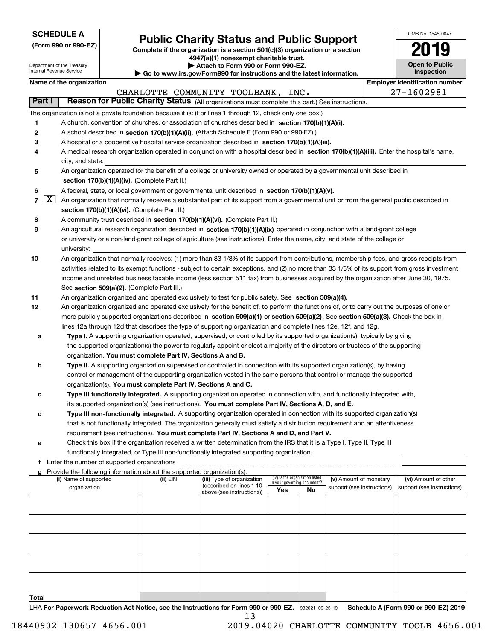| <b>SCHEDULE A</b> |
|-------------------|
|-------------------|

Department of the Treasury Internal Revenue Service

| (Form 990 or 990-EZ) |  |  |  |  |
|----------------------|--|--|--|--|
|----------------------|--|--|--|--|

# **Public Charity Status and Public Support**

**Complete if the organization is a section 501(c)(3) organization or a section 4947(a)(1) nonexempt charitable trust. | Attach to Form 990 or Form 990-EZ.** 

| $\triangleright$ . The same section is the section of $\blacksquare$     |
|--------------------------------------------------------------------------|
| ▶ Go to www.irs.gov/Form990 for instructions and the latest information. |

| OMB No. 1545-0047                   |
|-------------------------------------|
| 119                                 |
| <b>Open to Public</b><br>Inspection |

|                                           | Name of the organization                                                                                                                                                                                                 |            |                                                       |                                                                |    |                            | <b>Employer identification number</b> |
|-------------------------------------------|--------------------------------------------------------------------------------------------------------------------------------------------------------------------------------------------------------------------------|------------|-------------------------------------------------------|----------------------------------------------------------------|----|----------------------------|---------------------------------------|
|                                           |                                                                                                                                                                                                                          |            | CHARLOTTE COMMUNITY TOOLBANK, INC.                    |                                                                |    |                            | 27-1602981                            |
| Part I                                    | Reason for Public Charity Status (All organizations must complete this part.) See instructions.                                                                                                                          |            |                                                       |                                                                |    |                            |                                       |
|                                           | The organization is not a private foundation because it is: (For lines 1 through 12, check only one box.)                                                                                                                |            |                                                       |                                                                |    |                            |                                       |
| 1                                         | A church, convention of churches, or association of churches described in section 170(b)(1)(A)(i).                                                                                                                       |            |                                                       |                                                                |    |                            |                                       |
| 2                                         | A school described in section 170(b)(1)(A)(ii). (Attach Schedule E (Form 990 or 990-EZ).)                                                                                                                                |            |                                                       |                                                                |    |                            |                                       |
| 3                                         | A hospital or a cooperative hospital service organization described in section 170(b)(1)(A)(iii).                                                                                                                        |            |                                                       |                                                                |    |                            |                                       |
| 4                                         | A medical research organization operated in conjunction with a hospital described in section 170(b)(1)(A)(iii). Enter the hospital's name,                                                                               |            |                                                       |                                                                |    |                            |                                       |
|                                           | city, and state:                                                                                                                                                                                                         |            |                                                       |                                                                |    |                            |                                       |
| 5                                         | An organization operated for the benefit of a college or university owned or operated by a governmental unit described in                                                                                                |            |                                                       |                                                                |    |                            |                                       |
|                                           | section 170(b)(1)(A)(iv). (Complete Part II.)                                                                                                                                                                            |            |                                                       |                                                                |    |                            |                                       |
| 6                                         | A federal, state, or local government or governmental unit described in section 170(b)(1)(A)(v).                                                                                                                         |            |                                                       |                                                                |    |                            |                                       |
| $7\left[\frac{\text{X}}{\text{X}}\right]$ | An organization that normally receives a substantial part of its support from a governmental unit or from the general public described in                                                                                |            |                                                       |                                                                |    |                            |                                       |
|                                           | section 170(b)(1)(A)(vi). (Complete Part II.)                                                                                                                                                                            |            |                                                       |                                                                |    |                            |                                       |
| 8                                         | A community trust described in section 170(b)(1)(A)(vi). (Complete Part II.)                                                                                                                                             |            |                                                       |                                                                |    |                            |                                       |
| 9                                         | An agricultural research organization described in section 170(b)(1)(A)(ix) operated in conjunction with a land-grant college                                                                                            |            |                                                       |                                                                |    |                            |                                       |
|                                           | or university or a non-land-grant college of agriculture (see instructions). Enter the name, city, and state of the college or                                                                                           |            |                                                       |                                                                |    |                            |                                       |
|                                           | university:                                                                                                                                                                                                              |            |                                                       |                                                                |    |                            |                                       |
| 10                                        | An organization that normally receives: (1) more than 33 1/3% of its support from contributions, membership fees, and gross receipts from                                                                                |            |                                                       |                                                                |    |                            |                                       |
|                                           | activities related to its exempt functions - subject to certain exceptions, and (2) no more than 33 1/3% of its support from gross investment                                                                            |            |                                                       |                                                                |    |                            |                                       |
|                                           | income and unrelated business taxable income (less section 511 tax) from businesses acquired by the organization after June 30, 1975.                                                                                    |            |                                                       |                                                                |    |                            |                                       |
|                                           | See section 509(a)(2). (Complete Part III.)                                                                                                                                                                              |            |                                                       |                                                                |    |                            |                                       |
| 11                                        | An organization organized and operated exclusively to test for public safety. See section 509(a)(4).                                                                                                                     |            |                                                       |                                                                |    |                            |                                       |
| 12                                        | An organization organized and operated exclusively for the benefit of, to perform the functions of, or to carry out the purposes of one or                                                                               |            |                                                       |                                                                |    |                            |                                       |
|                                           | more publicly supported organizations described in section 509(a)(1) or section 509(a)(2). See section 509(a)(3). Check the box in                                                                                       |            |                                                       |                                                                |    |                            |                                       |
|                                           | lines 12a through 12d that describes the type of supporting organization and complete lines 12e, 12f, and 12g.                                                                                                           |            |                                                       |                                                                |    |                            |                                       |
| а                                         | Type I. A supporting organization operated, supervised, or controlled by its supported organization(s), typically by giving                                                                                              |            |                                                       |                                                                |    |                            |                                       |
|                                           | the supported organization(s) the power to regularly appoint or elect a majority of the directors or trustees of the supporting                                                                                          |            |                                                       |                                                                |    |                            |                                       |
|                                           | organization. You must complete Part IV, Sections A and B.                                                                                                                                                               |            |                                                       |                                                                |    |                            |                                       |
| b                                         | Type II. A supporting organization supervised or controlled in connection with its supported organization(s), by having                                                                                                  |            |                                                       |                                                                |    |                            |                                       |
|                                           | control or management of the supporting organization vested in the same persons that control or manage the supported                                                                                                     |            |                                                       |                                                                |    |                            |                                       |
|                                           | organization(s). You must complete Part IV, Sections A and C.                                                                                                                                                            |            |                                                       |                                                                |    |                            |                                       |
| с                                         | Type III functionally integrated. A supporting organization operated in connection with, and functionally integrated with,                                                                                               |            |                                                       |                                                                |    |                            |                                       |
|                                           | its supported organization(s) (see instructions). You must complete Part IV, Sections A, D, and E.                                                                                                                       |            |                                                       |                                                                |    |                            |                                       |
| d                                         | Type III non-functionally integrated. A supporting organization operated in connection with its supported organization(s)                                                                                                |            |                                                       |                                                                |    |                            |                                       |
|                                           | that is not functionally integrated. The organization generally must satisfy a distribution requirement and an attentiveness<br>requirement (see instructions). You must complete Part IV, Sections A and D, and Part V. |            |                                                       |                                                                |    |                            |                                       |
|                                           |                                                                                                                                                                                                                          |            |                                                       |                                                                |    |                            |                                       |
| е                                         | Check this box if the organization received a written determination from the IRS that it is a Type I, Type II, Type III<br>functionally integrated, or Type III non-functionally integrated supporting organization.     |            |                                                       |                                                                |    |                            |                                       |
| f                                         | Enter the number of supported organizations                                                                                                                                                                              |            |                                                       |                                                                |    |                            |                                       |
| a                                         | Provide the following information about the supported organization(s).                                                                                                                                                   |            |                                                       |                                                                |    |                            |                                       |
|                                           | (i) Name of supported                                                                                                                                                                                                    | $(ii)$ EIN | (iii) Type of organization                            | (iv) Is the organization listed<br>in your governing document? |    | (v) Amount of monetary     | (vi) Amount of other                  |
|                                           | organization                                                                                                                                                                                                             |            | (described on lines 1-10<br>above (see instructions)) | Yes                                                            | No | support (see instructions) | support (see instructions)            |
|                                           |                                                                                                                                                                                                                          |            |                                                       |                                                                |    |                            |                                       |
|                                           |                                                                                                                                                                                                                          |            |                                                       |                                                                |    |                            |                                       |
|                                           |                                                                                                                                                                                                                          |            |                                                       |                                                                |    |                            |                                       |
|                                           |                                                                                                                                                                                                                          |            |                                                       |                                                                |    |                            |                                       |
|                                           |                                                                                                                                                                                                                          |            |                                                       |                                                                |    |                            |                                       |
|                                           |                                                                                                                                                                                                                          |            |                                                       |                                                                |    |                            |                                       |
|                                           |                                                                                                                                                                                                                          |            |                                                       |                                                                |    |                            |                                       |
|                                           |                                                                                                                                                                                                                          |            |                                                       |                                                                |    |                            |                                       |
|                                           |                                                                                                                                                                                                                          |            |                                                       |                                                                |    |                            |                                       |
|                                           |                                                                                                                                                                                                                          |            |                                                       |                                                                |    |                            |                                       |

**Total**

LHA For Paperwork Reduction Act Notice, see the Instructions for Form 990 or 990-EZ. 932021 09-25-19 Schedule A (Form 990 or 990-EZ) 2019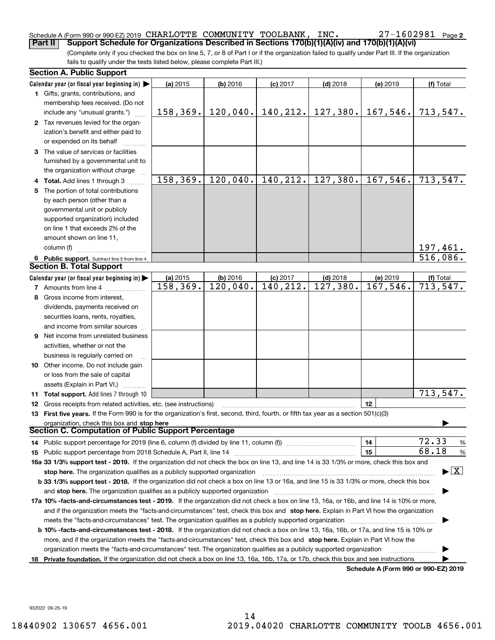#### Schedule A (Form 990 or 990-EZ) 2019 CHARLOTTE COMMUNITY TOOLBANK, INC. CHARLOTTE COMMUNITY TOOLBANK, INC. 27-1602981

27-1602981 Page 2

(Complete only if you checked the box on line 5, 7, or 8 of Part I or if the organization failed to qualify under Part III. If the organization fails to qualify under the tests listed below, please complete Part III.) **Part II** Support Schedule for Organizations Described in Sections 170(b)(1)(A)(iv) and 170(b)(1)(A)(vi)<sup></sup><br>Complete only if you checked the box on line 5. 7. or 8 of Part I or if the organization failed to qualify under Pa

|    | <b>Section A. Public Support</b>                                                                                                               |           |            |            |                        |                                      |                                         |
|----|------------------------------------------------------------------------------------------------------------------------------------------------|-----------|------------|------------|------------------------|--------------------------------------|-----------------------------------------|
|    | Calendar year (or fiscal year beginning in) $\blacktriangleright$                                                                              | (a) 2015  | $(b)$ 2016 | $(c)$ 2017 | $(d)$ 2018             | (e) 2019                             | (f) Total                               |
|    | <b>1</b> Gifts, grants, contributions, and                                                                                                     |           |            |            |                        |                                      |                                         |
|    | membership fees received. (Do not                                                                                                              |           |            |            |                        |                                      |                                         |
|    | include any "unusual grants.")                                                                                                                 | 158, 369. | 120,040.   | 140, 212.  | 127, 380.              | 167,546.                             | 713,547.                                |
|    | 2 Tax revenues levied for the organ-                                                                                                           |           |            |            |                        |                                      |                                         |
|    | ization's benefit and either paid to                                                                                                           |           |            |            |                        |                                      |                                         |
|    | or expended on its behalf                                                                                                                      |           |            |            |                        |                                      |                                         |
|    | 3 The value of services or facilities                                                                                                          |           |            |            |                        |                                      |                                         |
|    | furnished by a governmental unit to                                                                                                            |           |            |            |                        |                                      |                                         |
|    | the organization without charge                                                                                                                |           |            |            |                        |                                      |                                         |
|    | 4 Total. Add lines 1 through 3                                                                                                                 | 158, 369. | 120,040.   | 140, 212.  | $\overline{127,380}$ . | 167,546.                             | 713,547.                                |
|    | 5 The portion of total contributions                                                                                                           |           |            |            |                        |                                      |                                         |
|    | by each person (other than a                                                                                                                   |           |            |            |                        |                                      |                                         |
|    | governmental unit or publicly                                                                                                                  |           |            |            |                        |                                      |                                         |
|    | supported organization) included                                                                                                               |           |            |            |                        |                                      |                                         |
|    | on line 1 that exceeds 2% of the                                                                                                               |           |            |            |                        |                                      |                                         |
|    | amount shown on line 11,                                                                                                                       |           |            |            |                        |                                      |                                         |
|    | column (f)                                                                                                                                     |           |            |            |                        |                                      | 197,461.                                |
|    | 6 Public support. Subtract line 5 from line 4.                                                                                                 |           |            |            |                        |                                      | 516,086.                                |
|    | <b>Section B. Total Support</b>                                                                                                                |           |            |            |                        |                                      |                                         |
|    | Calendar year (or fiscal year beginning in)                                                                                                    | (a) 2015  | $(b)$ 2016 | $(c)$ 2017 | $(d)$ 2018             | (e) 2019                             | (f) Total                               |
|    | <b>7</b> Amounts from line 4                                                                                                                   | 158,369.  | 120,040.   | 140, 212.  | 127,380.               | 167,546.                             | 713, 547.                               |
|    | 8 Gross income from interest,                                                                                                                  |           |            |            |                        |                                      |                                         |
|    | dividends, payments received on                                                                                                                |           |            |            |                        |                                      |                                         |
|    | securities loans, rents, royalties,                                                                                                            |           |            |            |                        |                                      |                                         |
|    | and income from similar sources                                                                                                                |           |            |            |                        |                                      |                                         |
|    | 9 Net income from unrelated business                                                                                                           |           |            |            |                        |                                      |                                         |
|    | activities, whether or not the                                                                                                                 |           |            |            |                        |                                      |                                         |
|    | business is regularly carried on                                                                                                               |           |            |            |                        |                                      |                                         |
|    | <b>10</b> Other income. Do not include gain                                                                                                    |           |            |            |                        |                                      |                                         |
|    | or loss from the sale of capital                                                                                                               |           |            |            |                        |                                      |                                         |
|    | assets (Explain in Part VI.)                                                                                                                   |           |            |            |                        |                                      |                                         |
|    | 11 Total support. Add lines 7 through 10                                                                                                       |           |            |            |                        |                                      | 713,547.                                |
|    | <b>12</b> Gross receipts from related activities, etc. (see instructions)                                                                      |           |            |            |                        | 12                                   |                                         |
|    | 13 First five years. If the Form 990 is for the organization's first, second, third, fourth, or fifth tax year as a section 501(c)(3)          |           |            |            |                        |                                      |                                         |
|    | organization, check this box and stop here                                                                                                     |           |            |            |                        |                                      |                                         |
|    | Section C. Computation of Public Support Percentage                                                                                            |           |            |            |                        |                                      |                                         |
|    | 14 Public support percentage for 2019 (line 6, column (f) divided by line 11, column (f) <i>mummumumum</i>                                     |           |            |            |                        | 14                                   | 72.33<br>%                              |
|    |                                                                                                                                                |           |            |            |                        | 15                                   | 68.18<br>%                              |
|    | 16a 33 1/3% support test - 2019. If the organization did not check the box on line 13, and line 14 is 33 1/3% or more, check this box and      |           |            |            |                        |                                      |                                         |
|    | stop here. The organization qualifies as a publicly supported organization                                                                     |           |            |            |                        |                                      | $\blacktriangleright$ $\vert$ X $\vert$ |
|    | b 33 1/3% support test - 2018. If the organization did not check a box on line 13 or 16a, and line 15 is 33 1/3% or more, check this box       |           |            |            |                        |                                      |                                         |
|    | and stop here. The organization qualifies as a publicly supported organization                                                                 |           |            |            |                        |                                      |                                         |
|    | 17a 10% -facts-and-circumstances test - 2019. If the organization did not check a box on line 13, 16a, or 16b, and line 14 is 10% or more,     |           |            |            |                        |                                      |                                         |
|    | and if the organization meets the "facts-and-circumstances" test, check this box and stop here. Explain in Part VI how the organization        |           |            |            |                        |                                      |                                         |
|    | meets the "facts-and-circumstances" test. The organization qualifies as a publicly supported organization                                      |           |            |            |                        |                                      |                                         |
|    | <b>b 10% -facts-and-circumstances test - 2018.</b> If the organization did not check a box on line 13, 16a, 16b, or 17a, and line 15 is 10% or |           |            |            |                        |                                      |                                         |
|    | more, and if the organization meets the "facts-and-circumstances" test, check this box and stop here. Explain in Part VI how the               |           |            |            |                        |                                      |                                         |
|    | organization meets the "facts-and-circumstances" test. The organization qualifies as a publicly supported organization                         |           |            |            |                        |                                      |                                         |
| 18 | Private foundation. If the organization did not check a box on line 13, 16a, 16b, 17a, or 17b, check this box and see instructions             |           |            |            |                        |                                      |                                         |
|    |                                                                                                                                                |           |            |            |                        | Schedule A (Form 990 or 990-F7) 2019 |                                         |

**Schedule A (Form 990 or 990-EZ) 2019**

932022 09-25-19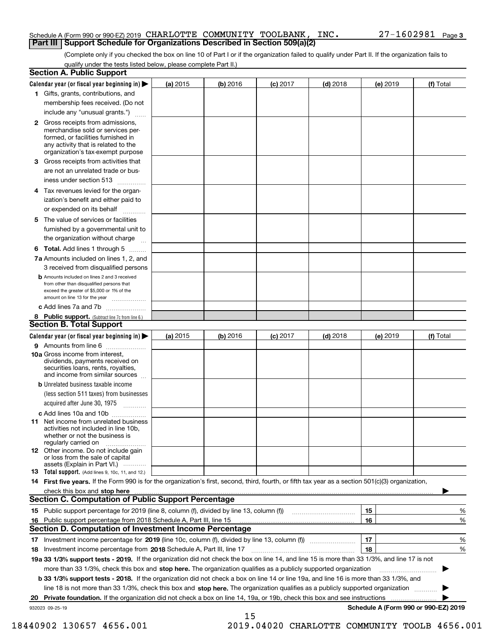#### Schedule A (Form 990 or 990-EZ) 2019 CHARLOTTE COMMUNITY TOOLBANK, INC. 27–1602981 Page<br>LPart III LSupport Schedule for Organizations Described in Section 509(a)(2) **Part III** | Support Schedule for Organizations Described in Section 509(a)(2)

(Complete only if you checked the box on line 10 of Part I or if the organization failed to qualify under Part II. If the organization fails to qualify under the tests listed below, please complete Part II.)

| <b>Section A. Public Support</b>                                                                                                                                                         |            |          |            |            |          |                                      |
|------------------------------------------------------------------------------------------------------------------------------------------------------------------------------------------|------------|----------|------------|------------|----------|--------------------------------------|
| Calendar year (or fiscal year beginning in) $\blacktriangleright$                                                                                                                        | (a) 2015   | (b) 2016 | $(c)$ 2017 | $(d)$ 2018 | (e) 2019 | (f) Total                            |
| 1 Gifts, grants, contributions, and                                                                                                                                                      |            |          |            |            |          |                                      |
| membership fees received. (Do not                                                                                                                                                        |            |          |            |            |          |                                      |
| include any "unusual grants.")                                                                                                                                                           |            |          |            |            |          |                                      |
| 2 Gross receipts from admissions,<br>merchandise sold or services per-<br>formed, or facilities furnished in<br>any activity that is related to the<br>organization's tax-exempt purpose |            |          |            |            |          |                                      |
| 3 Gross receipts from activities that<br>are not an unrelated trade or bus-                                                                                                              |            |          |            |            |          |                                      |
| iness under section 513                                                                                                                                                                  |            |          |            |            |          |                                      |
| 4 Tax revenues levied for the organ-<br>ization's benefit and either paid to                                                                                                             |            |          |            |            |          |                                      |
| or expended on its behalf<br>.                                                                                                                                                           |            |          |            |            |          |                                      |
| 5 The value of services or facilities<br>furnished by a governmental unit to                                                                                                             |            |          |            |            |          |                                      |
| the organization without charge                                                                                                                                                          |            |          |            |            |          |                                      |
| <b>6 Total.</b> Add lines 1 through 5<br>7a Amounts included on lines 1, 2, and                                                                                                          |            |          |            |            |          |                                      |
| 3 received from disqualified persons                                                                                                                                                     |            |          |            |            |          |                                      |
| <b>b</b> Amounts included on lines 2 and 3 received<br>from other than disqualified persons that<br>exceed the greater of \$5,000 or 1% of the<br>amount on line 13 for the year         |            |          |            |            |          |                                      |
| c Add lines 7a and 7b                                                                                                                                                                    |            |          |            |            |          |                                      |
| 8 Public support. (Subtract line 7c from line 6.)<br><b>Section B. Total Support</b>                                                                                                     |            |          |            |            |          |                                      |
| Calendar year (or fiscal year beginning in)                                                                                                                                              | (a) $2015$ | (b) 2016 | $(c)$ 2017 | $(d)$ 2018 | (e) 2019 | (f) Total                            |
| 9 Amounts from line 6                                                                                                                                                                    |            |          |            |            |          |                                      |
| 10a Gross income from interest,<br>dividends, payments received on<br>securities loans, rents, royalties,<br>and income from similar sources                                             |            |          |            |            |          |                                      |
| <b>b</b> Unrelated business taxable income<br>(less section 511 taxes) from businesses<br>acquired after June 30, 1975                                                                   |            |          |            |            |          |                                      |
| c Add lines 10a and 10b                                                                                                                                                                  |            |          |            |            |          |                                      |
| <b>11</b> Net income from unrelated business<br>activities not included in line 10b,<br>whether or not the business is<br>regularly carried on                                           |            |          |            |            |          |                                      |
| 12 Other income. Do not include gain<br>or loss from the sale of capital<br>assets (Explain in Part VI.)                                                                                 |            |          |            |            |          |                                      |
| <b>13</b> Total support. (Add lines 9, 10c, 11, and 12.)                                                                                                                                 |            |          |            |            |          |                                      |
| 14 First five years. If the Form 990 is for the organization's first, second, third, fourth, or fifth tax year as a section 501(c)(3) organization,                                      |            |          |            |            |          |                                      |
| check this box and stop here www.altamana.com/management/community/community/community/community/community/comm<br><b>Section C. Computation of Public Support Percentage</b>            |            |          |            |            |          |                                      |
|                                                                                                                                                                                          |            |          |            |            |          |                                      |
|                                                                                                                                                                                          |            |          |            |            | 15       | %                                    |
| 16 Public support percentage from 2018 Schedule A, Part III, line 15<br><b>Section D. Computation of Investment Income Percentage</b>                                                    |            |          |            |            | 16       | %                                    |
| 17 Investment income percentage for 2019 (line 10c, column (f), divided by line 13, column (f))                                                                                          |            |          |            |            | 17       | %                                    |
| 18 Investment income percentage from 2018 Schedule A, Part III, line 17                                                                                                                  |            |          |            |            | 18       | %                                    |
| 19a 33 1/3% support tests - 2019. If the organization did not check the box on line 14, and line 15 is more than 33 1/3%, and line 17 is not                                             |            |          |            |            |          |                                      |
| more than 33 1/3%, check this box and stop here. The organization qualifies as a publicly supported organization                                                                         |            |          |            |            |          |                                      |
| b 33 1/3% support tests - 2018. If the organization did not check a box on line 14 or line 19a, and line 16 is more than 33 1/3%, and                                                    |            |          |            |            |          |                                      |
| line 18 is not more than 33 1/3%, check this box and stop here. The organization qualifies as a publicly supported organization <i>marrouum</i>                                          |            |          |            |            |          |                                      |
|                                                                                                                                                                                          |            |          |            |            |          |                                      |
| 932023 09-25-19                                                                                                                                                                          |            |          |            |            |          | Schedule A (Form 990 or 990-EZ) 2019 |
|                                                                                                                                                                                          |            | 15       |            |            |          |                                      |

 <sup>18440902 130657 4656.001</sup> 2019.04020 CHARLOTTE COMMUNITY TOOLB 4656.001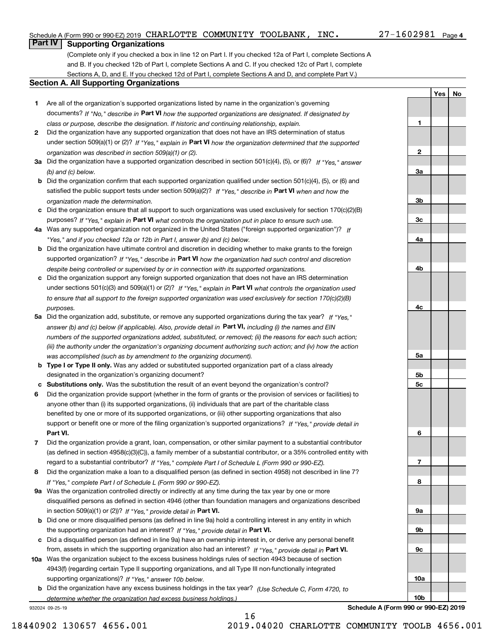# Schedule A (Form 990 or 990-EZ) 2019 CHARLOTTE COMMUNITY TOOLBANK, INC. 27-1602981 Page<br>Part IV L. Supporting Organizations

#### $27 - 1602981$  Page 4

**1**

**2**

**3a**

**3b**

**3c**

**4a**

**4b**

**4c**

**5a**

**5b5c**

**6**

**7**

**8**

**9a**

**9b**

**9c**

**10a**

**10b**

**Yes No**

## **Part IV Supporting Organizations**

(Complete only if you checked a box in line 12 on Part I. If you checked 12a of Part I, complete Sections A and B. If you checked 12b of Part I, complete Sections A and C. If you checked 12c of Part I, complete Sections A, D, and E. If you checked 12d of Part I, complete Sections A and D, and complete Part V.)

### **Section A. All Supporting Organizations**

- **1** Are all of the organization's supported organizations listed by name in the organization's governing documents? If "No," describe in **Part VI** how the supported organizations are designated. If designated by *class or purpose, describe the designation. If historic and continuing relationship, explain.*
- **2** Did the organization have any supported organization that does not have an IRS determination of status under section 509(a)(1) or (2)? If "Yes," explain in Part VI how the organization determined that the supported *organization was described in section 509(a)(1) or (2).*
- **3a** Did the organization have a supported organization described in section 501(c)(4), (5), or (6)? If "Yes," answer *(b) and (c) below.*
- **b** Did the organization confirm that each supported organization qualified under section 501(c)(4), (5), or (6) and satisfied the public support tests under section 509(a)(2)? If "Yes," describe in **Part VI** when and how the *organization made the determination.*
- **c**Did the organization ensure that all support to such organizations was used exclusively for section 170(c)(2)(B) purposes? If "Yes," explain in **Part VI** what controls the organization put in place to ensure such use.
- **4a***If* Was any supported organization not organized in the United States ("foreign supported organization")? *"Yes," and if you checked 12a or 12b in Part I, answer (b) and (c) below.*
- **b** Did the organization have ultimate control and discretion in deciding whether to make grants to the foreign supported organization? If "Yes," describe in **Part VI** how the organization had such control and discretion *despite being controlled or supervised by or in connection with its supported organizations.*
- **c** Did the organization support any foreign supported organization that does not have an IRS determination under sections 501(c)(3) and 509(a)(1) or (2)? If "Yes," explain in **Part VI** what controls the organization used *to ensure that all support to the foreign supported organization was used exclusively for section 170(c)(2)(B) purposes.*
- **5a** Did the organization add, substitute, or remove any supported organizations during the tax year? If "Yes," answer (b) and (c) below (if applicable). Also, provide detail in **Part VI,** including (i) the names and EIN *numbers of the supported organizations added, substituted, or removed; (ii) the reasons for each such action; (iii) the authority under the organization's organizing document authorizing such action; and (iv) how the action was accomplished (such as by amendment to the organizing document).*
- **b** Type I or Type II only. Was any added or substituted supported organization part of a class already designated in the organization's organizing document?
- **cSubstitutions only.**  Was the substitution the result of an event beyond the organization's control?
- **6** Did the organization provide support (whether in the form of grants or the provision of services or facilities) to **Part VI.** *If "Yes," provide detail in* support or benefit one or more of the filing organization's supported organizations? anyone other than (i) its supported organizations, (ii) individuals that are part of the charitable class benefited by one or more of its supported organizations, or (iii) other supporting organizations that also
- **7**Did the organization provide a grant, loan, compensation, or other similar payment to a substantial contributor *If "Yes," complete Part I of Schedule L (Form 990 or 990-EZ).* regard to a substantial contributor? (as defined in section 4958(c)(3)(C)), a family member of a substantial contributor, or a 35% controlled entity with
- **8** Did the organization make a loan to a disqualified person (as defined in section 4958) not described in line 7? *If "Yes," complete Part I of Schedule L (Form 990 or 990-EZ).*
- **9a** Was the organization controlled directly or indirectly at any time during the tax year by one or more in section 509(a)(1) or (2))? If "Yes," *provide detail in* <code>Part VI.</code> disqualified persons as defined in section 4946 (other than foundation managers and organizations described
- **b** Did one or more disqualified persons (as defined in line 9a) hold a controlling interest in any entity in which the supporting organization had an interest? If "Yes," provide detail in P**art VI**.
- **c**Did a disqualified person (as defined in line 9a) have an ownership interest in, or derive any personal benefit from, assets in which the supporting organization also had an interest? If "Yes," provide detail in P**art VI.**
- **10a** Was the organization subject to the excess business holdings rules of section 4943 because of section supporting organizations)? If "Yes," answer 10b below. 4943(f) (regarding certain Type II supporting organizations, and all Type III non-functionally integrated
- **b** Did the organization have any excess business holdings in the tax year? (Use Schedule C, Form 4720, to *determine whether the organization had excess business holdings.)*

16

932024 09-25-19

**Schedule A (Form 990 or 990-EZ) 2019**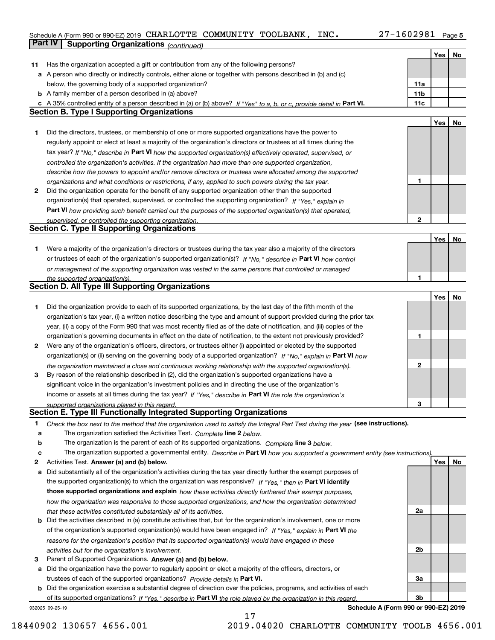#### Schedule A (Form 990 or 990-EZ) 2019 CHARLOTTE COMMUNITY TOOLBANK, INC. 27-1602981 <sub>Page 5</sub><br>L**Part IV L. Supporting Organizations** / www.shopportions.com **Part IV Supporting Organizations** *(continued)*

|    |                                                                                                                                                                                                                      |                 | Yes | No |
|----|----------------------------------------------------------------------------------------------------------------------------------------------------------------------------------------------------------------------|-----------------|-----|----|
| 11 | Has the organization accepted a gift or contribution from any of the following persons?                                                                                                                              |                 |     |    |
|    | a A person who directly or indirectly controls, either alone or together with persons described in (b) and (c)                                                                                                       |                 |     |    |
|    | below, the governing body of a supported organization?                                                                                                                                                               | 11a             |     |    |
|    | <b>b</b> A family member of a person described in (a) above?                                                                                                                                                         | 11 <sub>b</sub> |     |    |
|    | c A 35% controlled entity of a person described in (a) or (b) above? If "Yes" to a, b, or c, provide detail in Part VI.                                                                                              | 11c             |     |    |
|    | <b>Section B. Type I Supporting Organizations</b>                                                                                                                                                                    |                 |     |    |
|    |                                                                                                                                                                                                                      |                 | Yes | No |
| 1. | Did the directors, trustees, or membership of one or more supported organizations have the power to                                                                                                                  |                 |     |    |
|    | regularly appoint or elect at least a majority of the organization's directors or trustees at all times during the                                                                                                   |                 |     |    |
|    | tax year? If "No," describe in Part VI how the supported organization(s) effectively operated, supervised, or                                                                                                        |                 |     |    |
|    | controlled the organization's activities. If the organization had more than one supported organization,                                                                                                              |                 |     |    |
|    | describe how the powers to appoint and/or remove directors or trustees were allocated among the supported                                                                                                            |                 |     |    |
|    | organizations and what conditions or restrictions, if any, applied to such powers during the tax year.                                                                                                               | 1               |     |    |
| 2  | Did the organization operate for the benefit of any supported organization other than the supported                                                                                                                  |                 |     |    |
|    | organization(s) that operated, supervised, or controlled the supporting organization? If "Yes," explain in                                                                                                           |                 |     |    |
|    | Part VI how providing such benefit carried out the purposes of the supported organization(s) that operated,                                                                                                          |                 |     |    |
|    | supervised, or controlled the supporting organization.                                                                                                                                                               | 2               |     |    |
|    | <b>Section C. Type II Supporting Organizations</b>                                                                                                                                                                   |                 |     |    |
|    |                                                                                                                                                                                                                      |                 | Yes | No |
| 1. | Were a majority of the organization's directors or trustees during the tax year also a majority of the directors                                                                                                     |                 |     |    |
|    | or trustees of each of the organization's supported organization(s)? If "No," describe in Part VI how control                                                                                                        |                 |     |    |
|    | or management of the supporting organization was vested in the same persons that controlled or managed                                                                                                               |                 |     |    |
|    | the supported organization(s).                                                                                                                                                                                       | 1               |     |    |
|    | <b>Section D. All Type III Supporting Organizations</b>                                                                                                                                                              |                 |     |    |
|    |                                                                                                                                                                                                                      |                 | Yes | No |
| 1  | Did the organization provide to each of its supported organizations, by the last day of the fifth month of the                                                                                                       |                 |     |    |
|    | organization's tax year, (i) a written notice describing the type and amount of support provided during the prior tax                                                                                                |                 |     |    |
|    | year, (ii) a copy of the Form 990 that was most recently filed as of the date of notification, and (iii) copies of the                                                                                               |                 |     |    |
|    | organization's governing documents in effect on the date of notification, to the extent not previously provided?                                                                                                     | 1               |     |    |
| 2  | Were any of the organization's officers, directors, or trustees either (i) appointed or elected by the supported                                                                                                     |                 |     |    |
|    | organization(s) or (ii) serving on the governing body of a supported organization? If "No," explain in Part VI how                                                                                                   | 2               |     |    |
| 3  | the organization maintained a close and continuous working relationship with the supported organization(s).<br>By reason of the relationship described in (2), did the organization's supported organizations have a |                 |     |    |
|    | significant voice in the organization's investment policies and in directing the use of the organization's                                                                                                           |                 |     |    |
|    | income or assets at all times during the tax year? If "Yes," describe in Part VI the role the organization's                                                                                                         |                 |     |    |
|    | supported organizations played in this regard.                                                                                                                                                                       | з               |     |    |
|    | <b>Section E. Type III Functionally Integrated Supporting Organizations</b>                                                                                                                                          |                 |     |    |
| 1  | Check the box next to the method that the organization used to satisfy the Integral Part Test during the year (see instructions).                                                                                    |                 |     |    |
| а  | The organization satisfied the Activities Test. Complete line 2 below.                                                                                                                                               |                 |     |    |
| b  | The organization is the parent of each of its supported organizations. Complete line 3 below.                                                                                                                        |                 |     |    |
| c  | The organization supported a governmental entity. Describe in Part VI how you supported a government entity (see instructions),                                                                                      |                 |     |    |
| 2  | Activities Test. Answer (a) and (b) below.                                                                                                                                                                           |                 | Yes | No |
| а  | Did substantially all of the organization's activities during the tax year directly further the exempt purposes of                                                                                                   |                 |     |    |
|    | the supported organization(s) to which the organization was responsive? If "Yes," then in Part VI identify                                                                                                           |                 |     |    |
|    | those supported organizations and explain how these activities directly furthered their exempt purposes,                                                                                                             |                 |     |    |
|    | how the organization was responsive to those supported organizations, and how the organization determined                                                                                                            |                 |     |    |
|    | that these activities constituted substantially all of its activities.                                                                                                                                               | 2a              |     |    |
|    | <b>b</b> Did the activities described in (a) constitute activities that, but for the organization's involvement, one or more                                                                                         |                 |     |    |
|    | of the organization's supported organization(s) would have been engaged in? If "Yes," explain in Part VI the                                                                                                         |                 |     |    |
|    | reasons for the organization's position that its supported organization(s) would have engaged in these                                                                                                               |                 |     |    |
|    | activities but for the organization's involvement.                                                                                                                                                                   | 2b              |     |    |
| З  | Parent of Supported Organizations. Answer (a) and (b) below.                                                                                                                                                         |                 |     |    |
| а  | Did the organization have the power to regularly appoint or elect a majority of the officers, directors, or                                                                                                          |                 |     |    |
|    | trustees of each of the supported organizations? Provide details in Part VI.                                                                                                                                         | За              |     |    |
| b  | Did the organization exercise a substantial degree of direction over the policies, programs, and activities of each                                                                                                  |                 |     |    |
|    | of its supported organizations? If "Yes." describe in Part VI the role played by the organization in this regard.                                                                                                    | 3b              |     |    |

17

932025 09-25-19

**Schedule A (Form 990 or 990-EZ) 2019**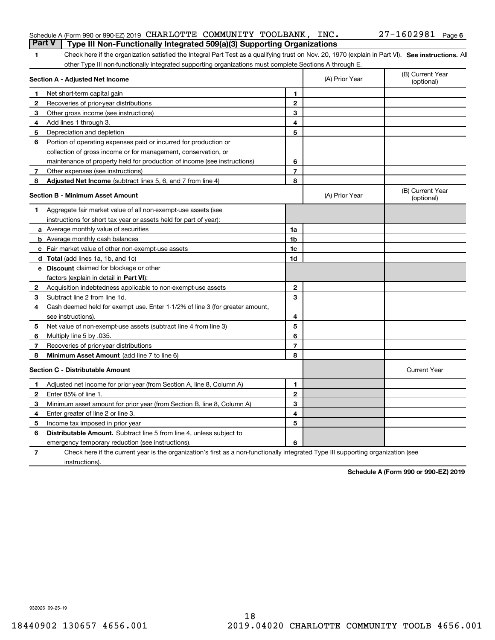|                | Schedule A (Form 990 or 990-EZ) 2019 CHARLOTTE COMMUNITY TOOLBANK,<br>Part V<br>Type III Non-Functionally Integrated 509(a)(3) Supporting Organizations |                | INC.           | $27 - 1602981$ Page 6          |
|----------------|---------------------------------------------------------------------------------------------------------------------------------------------------------|----------------|----------------|--------------------------------|
| 1.             | Check here if the organization satisfied the Integral Part Test as a qualifying trust on Nov. 20, 1970 (explain in Part VI). See instructions. Al       |                |                |                                |
|                | other Type III non-functionally integrated supporting organizations must complete Sections A through E.                                                 |                |                |                                |
|                | Section A - Adjusted Net Income                                                                                                                         |                | (A) Prior Year | (B) Current Year<br>(optional) |
| 1.             | Net short-term capital gain                                                                                                                             | 1              |                |                                |
| 2              | Recoveries of prior-year distributions                                                                                                                  | $\mathbf{2}$   |                |                                |
| 3.             | Other gross income (see instructions)                                                                                                                   | 3              |                |                                |
| 4              | Add lines 1 through 3.                                                                                                                                  | 4              |                |                                |
| 5.             | Depreciation and depletion                                                                                                                              | 5              |                |                                |
| 6              | Portion of operating expenses paid or incurred for production or                                                                                        |                |                |                                |
|                | collection of gross income or for management, conservation, or                                                                                          |                |                |                                |
|                | maintenance of property held for production of income (see instructions)                                                                                | 6              |                |                                |
| 7              | Other expenses (see instructions)                                                                                                                       | $\overline{7}$ |                |                                |
| 8              | Adjusted Net Income (subtract lines 5, 6, and 7 from line 4)                                                                                            | 8              |                |                                |
|                | <b>Section B - Minimum Asset Amount</b>                                                                                                                 |                | (A) Prior Year | (B) Current Year<br>(optional) |
| 1              | Aggregate fair market value of all non-exempt-use assets (see                                                                                           |                |                |                                |
|                | instructions for short tax year or assets held for part of year):                                                                                       |                |                |                                |
|                | <b>a</b> Average monthly value of securities                                                                                                            | 1a             |                |                                |
|                | <b>b</b> Average monthly cash balances                                                                                                                  | 1b             |                |                                |
|                | c Fair market value of other non-exempt-use assets                                                                                                      | 1c             |                |                                |
|                | <b>d</b> Total (add lines 1a, 1b, and 1c)                                                                                                               | 1d             |                |                                |
|                | <b>e</b> Discount claimed for blockage or other                                                                                                         |                |                |                                |
|                | factors (explain in detail in Part VI):                                                                                                                 |                |                |                                |
| 2              | Acquisition indebtedness applicable to non-exempt-use assets                                                                                            | $\mathbf{2}$   |                |                                |
| З.             | Subtract line 2 from line 1d.                                                                                                                           | 3              |                |                                |
| 4              | Cash deemed held for exempt use. Enter 1-1/2% of line 3 (for greater amount,                                                                            |                |                |                                |
|                | see instructions).                                                                                                                                      | 4              |                |                                |
| 5              | Net value of non-exempt-use assets (subtract line 4 from line 3)                                                                                        | 5              |                |                                |
| 6              | Multiply line 5 by .035.                                                                                                                                | 6              |                |                                |
| 7              | Recoveries of prior-year distributions                                                                                                                  | $\overline{7}$ |                |                                |
| 8              | Minimum Asset Amount (add line 7 to line 6)                                                                                                             | 8              |                |                                |
|                | <b>Section C - Distributable Amount</b>                                                                                                                 |                |                | <b>Current Year</b>            |
|                | Adjusted net income for prior year (from Section A, line 8, Column A)                                                                                   | 1              |                |                                |
|                | Enter 85% of line 1.                                                                                                                                    | 2              |                |                                |
| 3.             | Minimum asset amount for prior year (from Section B, line 8, Column A)                                                                                  | 3              |                |                                |
| 4              | Enter greater of line 2 or line 3.                                                                                                                      | 4              |                |                                |
| 5              | Income tax imposed in prior year                                                                                                                        | 5              |                |                                |
| 6              | <b>Distributable Amount.</b> Subtract line 5 from line 4, unless subject to                                                                             |                |                |                                |
|                | emergency temporary reduction (see instructions).                                                                                                       | 6              |                |                                |
| $\overline{7}$ | Check here if the current year is the organization's first as a non-functionally integrated Type III supporting organization (see                       |                |                |                                |

instructions).

**Schedule A (Form 990 or 990-EZ) 2019**

932026 09-25-19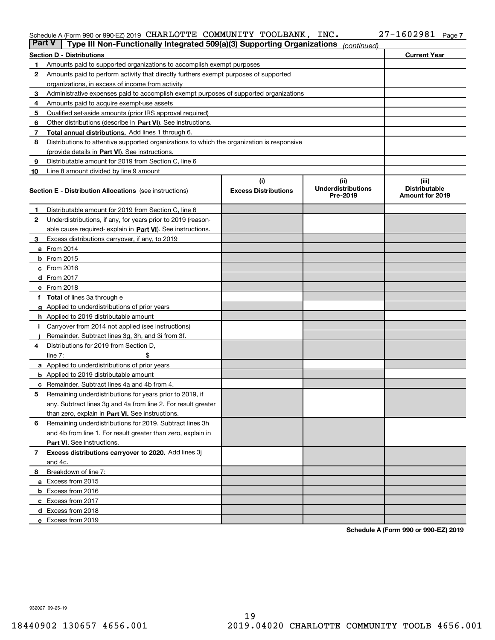#### Schedule A (Form 990 or 990-EZ) 2019 CHARLOTTE COMMUNITY TOOLBANK,INC。 27-I6U298I Page

| <b>Part V</b> | Schedule A (Form 990 or 990-EZ) 2019 CHARLOTTE COMMUNITY TOOLBANK, INC.<br>Type III Non-Functionally Integrated 509(a)(3) Supporting Organizations |                                    |                                   | 27-1602981<br>Page 7          |
|---------------|----------------------------------------------------------------------------------------------------------------------------------------------------|------------------------------------|-----------------------------------|-------------------------------|
|               |                                                                                                                                                    |                                    | (continued)                       |                               |
|               | <b>Section D - Distributions</b>                                                                                                                   |                                    |                                   | <b>Current Year</b>           |
| 1             | Amounts paid to supported organizations to accomplish exempt purposes                                                                              |                                    |                                   |                               |
| 2             | Amounts paid to perform activity that directly furthers exempt purposes of supported                                                               |                                    |                                   |                               |
|               | organizations, in excess of income from activity                                                                                                   |                                    |                                   |                               |
| 3             | Administrative expenses paid to accomplish exempt purposes of supported organizations                                                              |                                    |                                   |                               |
| 4             | Amounts paid to acquire exempt-use assets                                                                                                          |                                    |                                   |                               |
| 5             | Qualified set-aside amounts (prior IRS approval required)                                                                                          |                                    |                                   |                               |
| 6             | Other distributions (describe in Part VI). See instructions.                                                                                       |                                    |                                   |                               |
| 7             | Total annual distributions. Add lines 1 through 6.                                                                                                 |                                    |                                   |                               |
| 8             | Distributions to attentive supported organizations to which the organization is responsive                                                         |                                    |                                   |                               |
|               | (provide details in Part VI). See instructions.                                                                                                    |                                    |                                   |                               |
| 9             | Distributable amount for 2019 from Section C, line 6                                                                                               |                                    |                                   |                               |
| 10            | Line 8 amount divided by line 9 amount                                                                                                             |                                    |                                   |                               |
|               |                                                                                                                                                    | (i)<br><b>Excess Distributions</b> | (ii)<br><b>Underdistributions</b> | (iii)<br><b>Distributable</b> |
|               | <b>Section E - Distribution Allocations</b> (see instructions)                                                                                     |                                    | Pre-2019                          | Amount for 2019               |
|               | Distributable amount for 2019 from Section C, line 6                                                                                               |                                    |                                   |                               |
| 1<br>2        | Underdistributions, if any, for years prior to 2019 (reason-                                                                                       |                                    |                                   |                               |
|               | able cause required-explain in Part VI). See instructions.                                                                                         |                                    |                                   |                               |
| З.            | Excess distributions carryover, if any, to 2019                                                                                                    |                                    |                                   |                               |
|               | <b>a</b> From 2014                                                                                                                                 |                                    |                                   |                               |
|               | $b$ From 2015                                                                                                                                      |                                    |                                   |                               |
|               |                                                                                                                                                    |                                    |                                   |                               |
|               | $c$ From 2016                                                                                                                                      |                                    |                                   |                               |
|               | d From 2017                                                                                                                                        |                                    |                                   |                               |
|               | e From 2018                                                                                                                                        |                                    |                                   |                               |
|               | f Total of lines 3a through e                                                                                                                      |                                    |                                   |                               |
|               | g Applied to underdistributions of prior years                                                                                                     |                                    |                                   |                               |
|               | <b>h</b> Applied to 2019 distributable amount                                                                                                      |                                    |                                   |                               |
| i.            | Carryover from 2014 not applied (see instructions)                                                                                                 |                                    |                                   |                               |
|               | Remainder. Subtract lines 3g, 3h, and 3i from 3f.                                                                                                  |                                    |                                   |                               |
| 4             | Distributions for 2019 from Section D,                                                                                                             |                                    |                                   |                               |
|               | line $7:$<br>\$                                                                                                                                    |                                    |                                   |                               |
|               | a Applied to underdistributions of prior years                                                                                                     |                                    |                                   |                               |
|               | <b>b</b> Applied to 2019 distributable amount                                                                                                      |                                    |                                   |                               |
|               | <b>c</b> Remainder. Subtract lines 4a and 4b from 4.                                                                                               |                                    |                                   |                               |
|               | Remaining underdistributions for years prior to 2019, if                                                                                           |                                    |                                   |                               |
|               | any. Subtract lines 3g and 4a from line 2. For result greater                                                                                      |                                    |                                   |                               |
|               | than zero, explain in Part VI. See instructions.                                                                                                   |                                    |                                   |                               |
| 6             | Remaining underdistributions for 2019. Subtract lines 3h                                                                                           |                                    |                                   |                               |
|               | and 4b from line 1. For result greater than zero, explain in                                                                                       |                                    |                                   |                               |
|               | <b>Part VI.</b> See instructions.                                                                                                                  |                                    |                                   |                               |
| 7             | Excess distributions carryover to 2020. Add lines 3j                                                                                               |                                    |                                   |                               |
|               | and 4c.                                                                                                                                            |                                    |                                   |                               |
| 8             | Breakdown of line 7:                                                                                                                               |                                    |                                   |                               |
|               | a Excess from 2015                                                                                                                                 |                                    |                                   |                               |
|               | <b>b</b> Excess from 2016                                                                                                                          |                                    |                                   |                               |
|               | c Excess from 2017                                                                                                                                 |                                    |                                   |                               |
|               | d Excess from 2018                                                                                                                                 |                                    |                                   |                               |
|               | e Excess from 2019                                                                                                                                 |                                    |                                   |                               |

**Schedule A (Form 990 or 990-EZ) 2019**

932027 09-25-19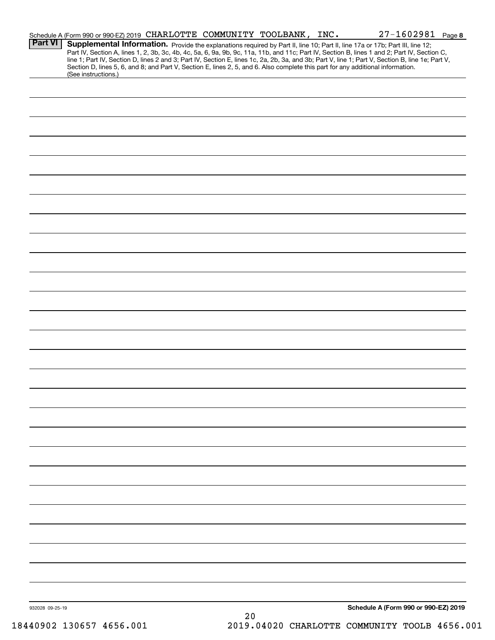|                 | Schedule A (Form 990 or 990-EZ) 2019 CHARLOTTE COMMUNITY TOOLBANK, INC.                                                                                                                                                                                                                                                                                                                                                           |      |  | $27 - 1602981$ Page 8                |  |
|-----------------|-----------------------------------------------------------------------------------------------------------------------------------------------------------------------------------------------------------------------------------------------------------------------------------------------------------------------------------------------------------------------------------------------------------------------------------|------|--|--------------------------------------|--|
| <b>Part VI</b>  | Supplemental Information. Provide the explanations required by Part II, line 10; Part II, line 17a or 17b; Part III, line 12;<br>Part IV, Section A, lines 1, 2, 3b, 3c, 4b, 4c, 5a, 6, 9a, 9b, 9c, 11a, 11b, and 11c; Part IV, Section B, lines 1 and 2; Part IV, Section C,<br>line 1; Part IV, Section D, lines 2 and 3; Part IV, Section E, lines 1c, 2a, 2b, 3a, and 3b; Part V, line 1; Part V, Section B, line 1e; Part V, |      |  |                                      |  |
|                 | Section D, lines 5, 6, and 8; and Part V, Section E, lines 2, 5, and 6. Also complete this part for any additional information.<br>(See instructions.)                                                                                                                                                                                                                                                                            |      |  |                                      |  |
|                 |                                                                                                                                                                                                                                                                                                                                                                                                                                   |      |  |                                      |  |
|                 |                                                                                                                                                                                                                                                                                                                                                                                                                                   |      |  |                                      |  |
|                 |                                                                                                                                                                                                                                                                                                                                                                                                                                   |      |  |                                      |  |
|                 |                                                                                                                                                                                                                                                                                                                                                                                                                                   |      |  |                                      |  |
|                 |                                                                                                                                                                                                                                                                                                                                                                                                                                   |      |  |                                      |  |
|                 |                                                                                                                                                                                                                                                                                                                                                                                                                                   |      |  |                                      |  |
|                 |                                                                                                                                                                                                                                                                                                                                                                                                                                   |      |  |                                      |  |
|                 |                                                                                                                                                                                                                                                                                                                                                                                                                                   |      |  |                                      |  |
|                 |                                                                                                                                                                                                                                                                                                                                                                                                                                   |      |  |                                      |  |
|                 |                                                                                                                                                                                                                                                                                                                                                                                                                                   |      |  |                                      |  |
|                 |                                                                                                                                                                                                                                                                                                                                                                                                                                   |      |  |                                      |  |
|                 |                                                                                                                                                                                                                                                                                                                                                                                                                                   |      |  |                                      |  |
|                 |                                                                                                                                                                                                                                                                                                                                                                                                                                   |      |  |                                      |  |
|                 |                                                                                                                                                                                                                                                                                                                                                                                                                                   |      |  |                                      |  |
|                 |                                                                                                                                                                                                                                                                                                                                                                                                                                   |      |  |                                      |  |
|                 |                                                                                                                                                                                                                                                                                                                                                                                                                                   |      |  |                                      |  |
|                 |                                                                                                                                                                                                                                                                                                                                                                                                                                   |      |  |                                      |  |
|                 |                                                                                                                                                                                                                                                                                                                                                                                                                                   |      |  |                                      |  |
|                 |                                                                                                                                                                                                                                                                                                                                                                                                                                   |      |  |                                      |  |
|                 |                                                                                                                                                                                                                                                                                                                                                                                                                                   |      |  |                                      |  |
|                 |                                                                                                                                                                                                                                                                                                                                                                                                                                   |      |  |                                      |  |
|                 |                                                                                                                                                                                                                                                                                                                                                                                                                                   |      |  |                                      |  |
|                 |                                                                                                                                                                                                                                                                                                                                                                                                                                   |      |  |                                      |  |
|                 |                                                                                                                                                                                                                                                                                                                                                                                                                                   |      |  |                                      |  |
|                 |                                                                                                                                                                                                                                                                                                                                                                                                                                   |      |  |                                      |  |
|                 |                                                                                                                                                                                                                                                                                                                                                                                                                                   |      |  |                                      |  |
|                 |                                                                                                                                                                                                                                                                                                                                                                                                                                   |      |  |                                      |  |
|                 |                                                                                                                                                                                                                                                                                                                                                                                                                                   |      |  |                                      |  |
|                 |                                                                                                                                                                                                                                                                                                                                                                                                                                   |      |  |                                      |  |
|                 |                                                                                                                                                                                                                                                                                                                                                                                                                                   |      |  |                                      |  |
|                 |                                                                                                                                                                                                                                                                                                                                                                                                                                   |      |  |                                      |  |
|                 |                                                                                                                                                                                                                                                                                                                                                                                                                                   |      |  |                                      |  |
|                 |                                                                                                                                                                                                                                                                                                                                                                                                                                   |      |  |                                      |  |
|                 |                                                                                                                                                                                                                                                                                                                                                                                                                                   |      |  |                                      |  |
|                 |                                                                                                                                                                                                                                                                                                                                                                                                                                   |      |  |                                      |  |
|                 |                                                                                                                                                                                                                                                                                                                                                                                                                                   |      |  |                                      |  |
| 932028 09-25-19 |                                                                                                                                                                                                                                                                                                                                                                                                                                   | $20$ |  | Schedule A (Form 990 or 990-EZ) 2019 |  |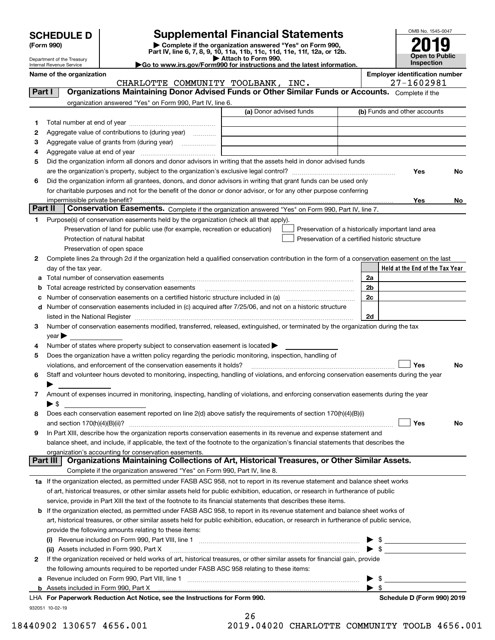| <b>SCHEDULE D</b> |  |
|-------------------|--|
|-------------------|--|

Department of the Treasury

| (Form 990) |  |
|------------|--|
|------------|--|

# **Supplemental Financial Statements**

(Form 990)<br>
Pepartment of the Treasury<br>
Department of the Treasury<br>
Department of the Treasury<br>
Department of the Treasury<br> **Co to www.irs.gov/Form990 for instructions and the latest information.**<br> **Co to www.irs.gov/Form9** 



| Internal Revenue Service | $\blacktriangleright$ Go to www.irs.gov/Form990 for instructions and the latest information. | <b>Inspection</b>                     |
|--------------------------|----------------------------------------------------------------------------------------------|---------------------------------------|
| Name of the organization |                                                                                              | <b>Employer identification number</b> |

CHARLOTTE COMMUNITY TOOLBANK, INC.  $\vert$  27-1602981

| Part I  | Organizations Maintaining Donor Advised Funds or Other Similar Funds or Accounts. Complete if the                                                                                                                             |                         |                                                    |
|---------|-------------------------------------------------------------------------------------------------------------------------------------------------------------------------------------------------------------------------------|-------------------------|----------------------------------------------------|
|         | organization answered "Yes" on Form 990, Part IV, line 6.                                                                                                                                                                     |                         |                                                    |
|         |                                                                                                                                                                                                                               | (a) Donor advised funds | (b) Funds and other accounts                       |
| 1.      |                                                                                                                                                                                                                               |                         |                                                    |
| 2       | Aggregate value of contributions to (during year)                                                                                                                                                                             |                         |                                                    |
| з       |                                                                                                                                                                                                                               |                         |                                                    |
| 4       |                                                                                                                                                                                                                               |                         |                                                    |
| 5       | Did the organization inform all donors and donor advisors in writing that the assets held in donor advised funds                                                                                                              |                         |                                                    |
|         |                                                                                                                                                                                                                               |                         | Yes<br>No.                                         |
| 6       | Did the organization inform all grantees, donors, and donor advisors in writing that grant funds can be used only                                                                                                             |                         |                                                    |
|         | for charitable purposes and not for the benefit of the donor or donor advisor, or for any other purpose conferring                                                                                                            |                         |                                                    |
|         |                                                                                                                                                                                                                               |                         | Yes<br>No l                                        |
| Part II | Conservation Easements. Complete if the organization answered "Yes" on Form 990, Part IV, line 7.                                                                                                                             |                         |                                                    |
| 1.      | Purpose(s) of conservation easements held by the organization (check all that apply).                                                                                                                                         |                         |                                                    |
|         | Preservation of land for public use (for example, recreation or education)                                                                                                                                                    |                         | Preservation of a historically important land area |
|         | Protection of natural habitat                                                                                                                                                                                                 |                         | Preservation of a certified historic structure     |
|         | Preservation of open space                                                                                                                                                                                                    |                         |                                                    |
| 2       | Complete lines 2a through 2d if the organization held a qualified conservation contribution in the form of a conservation easement on the last                                                                                |                         |                                                    |
|         | day of the tax year.                                                                                                                                                                                                          |                         | Held at the End of the Tax Year                    |
| a       | Total number of conservation easements                                                                                                                                                                                        |                         | 2a                                                 |
| b       | Total acreage restricted by conservation easements                                                                                                                                                                            |                         | 2 <sub>b</sub>                                     |
| c       | Number of conservation easements on a certified historic structure included in (a) manufacture included in (a)                                                                                                                |                         | 2c                                                 |
| d       | Number of conservation easements included in (c) acquired after 7/25/06, and not on a historic structure                                                                                                                      |                         |                                                    |
|         | listed in the National Register [11, 1200] [12] The National Register [11, 1200] [12] The National Register [11, 1200] [12] The National Register [11, 1200] [12] The National Register [11, 1200] [12] The National Register |                         | 2d                                                 |
| 3       | Number of conservation easements modified, transferred, released, extinguished, or terminated by the organization during the tax                                                                                              |                         |                                                    |
|         | $year \blacktriangleright$                                                                                                                                                                                                    |                         |                                                    |
| 4       | Number of states where property subject to conservation easement is located >                                                                                                                                                 |                         |                                                    |
| 5       | Does the organization have a written policy regarding the periodic monitoring, inspection, handling of                                                                                                                        |                         |                                                    |
|         | violations, and enforcement of the conservation easements it holds?                                                                                                                                                           |                         | Yes<br>No                                          |
| 6       | Staff and volunteer hours devoted to monitoring, inspecting, handling of violations, and enforcing conservation easements during the year                                                                                     |                         |                                                    |
|         |                                                                                                                                                                                                                               |                         |                                                    |
| 7       | Amount of expenses incurred in monitoring, inspecting, handling of violations, and enforcing conservation easements during the year                                                                                           |                         |                                                    |
|         | ▶ \$                                                                                                                                                                                                                          |                         |                                                    |
| 8       | Does each conservation easement reported on line 2(d) above satisfy the requirements of section 170(h)(4)(B)(i)                                                                                                               |                         |                                                    |
|         | and section $170(h)(4)(B)(ii)?$                                                                                                                                                                                               |                         | Yes<br>No                                          |
| 9       | In Part XIII, describe how the organization reports conservation easements in its revenue and expense statement and                                                                                                           |                         |                                                    |
|         | balance sheet, and include, if applicable, the text of the footnote to the organization's financial statements that describes the                                                                                             |                         |                                                    |
|         | organization's accounting for conservation easements.<br>Organizations Maintaining Collections of Art, Historical Treasures, or Other Similar Assets.<br>Part III                                                             |                         |                                                    |
|         | Complete if the organization answered "Yes" on Form 990, Part IV, line 8.                                                                                                                                                     |                         |                                                    |
|         |                                                                                                                                                                                                                               |                         |                                                    |
|         | 1a If the organization elected, as permitted under FASB ASC 958, not to report in its revenue statement and balance sheet works                                                                                               |                         |                                                    |
|         | of art, historical treasures, or other similar assets held for public exhibition, education, or research in furtherance of public                                                                                             |                         |                                                    |
|         | service, provide in Part XIII the text of the footnote to its financial statements that describes these items.                                                                                                                |                         |                                                    |
|         | <b>b</b> If the organization elected, as permitted under FASB ASC 958, to report in its revenue statement and balance sheet works of                                                                                          |                         |                                                    |
|         | art, historical treasures, or other similar assets held for public exhibition, education, or research in furtherance of public service,                                                                                       |                         |                                                    |
|         | provide the following amounts relating to these items:                                                                                                                                                                        |                         |                                                    |
|         |                                                                                                                                                                                                                               |                         |                                                    |
|         | (ii) Assets included in Form 990, Part X                                                                                                                                                                                      |                         | - \$                                               |
| 2       | If the organization received or held works of art, historical treasures, or other similar assets for financial gain, provide                                                                                                  |                         |                                                    |
|         | the following amounts required to be reported under FASB ASC 958 relating to these items:                                                                                                                                     |                         |                                                    |
|         |                                                                                                                                                                                                                               |                         | \$                                                 |
|         | LHA For Depertuark Poduction Act Notice, see the Instructions for Form 000                                                                                                                                                    |                         | - \$<br>Schodule D (Form 000) 2010                 |

| LHA For Paperwork Reduction Act Notice, see the Instructions for Form 990. |
|----------------------------------------------------------------------------|
| 932051 10-02-19                                                            |

26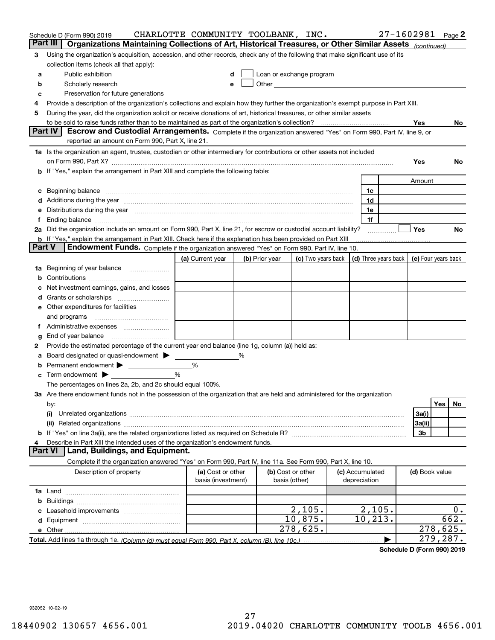|        | Schedule D (Form 990) 2019                                                                                                                                                                                                     | CHARLOTTE COMMUNITY TOOLBANK, INC.      |   |                                    |                                                                                                                                                                                                                               |                                 | $27 - 1602981$ Page 2 |           |
|--------|--------------------------------------------------------------------------------------------------------------------------------------------------------------------------------------------------------------------------------|-----------------------------------------|---|------------------------------------|-------------------------------------------------------------------------------------------------------------------------------------------------------------------------------------------------------------------------------|---------------------------------|-----------------------|-----------|
|        | Part III<br>Organizations Maintaining Collections of Art, Historical Treasures, or Other Similar Assets (continued)                                                                                                            |                                         |   |                                    |                                                                                                                                                                                                                               |                                 |                       |           |
| 3      | Using the organization's acquisition, accession, and other records, check any of the following that make significant use of its<br>collection items (check all that apply):                                                    |                                         |   |                                    |                                                                                                                                                                                                                               |                                 |                       |           |
| а      | Public exhibition                                                                                                                                                                                                              |                                         |   |                                    | Loan or exchange program                                                                                                                                                                                                      |                                 |                       |           |
| b      | Scholarly research                                                                                                                                                                                                             | e                                       |   |                                    | Other and the contract of the contract of the contract of the contract of the contract of the contract of the contract of the contract of the contract of the contract of the contract of the contract of the contract of the |                                 |                       |           |
| c      | Preservation for future generations                                                                                                                                                                                            |                                         |   |                                    |                                                                                                                                                                                                                               |                                 |                       |           |
| 4      | Provide a description of the organization's collections and explain how they further the organization's exempt purpose in Part XIII.                                                                                           |                                         |   |                                    |                                                                                                                                                                                                                               |                                 |                       |           |
| 5      | During the year, did the organization solicit or receive donations of art, historical treasures, or other similar assets                                                                                                       |                                         |   |                                    |                                                                                                                                                                                                                               |                                 |                       |           |
|        |                                                                                                                                                                                                                                |                                         |   |                                    |                                                                                                                                                                                                                               |                                 | Yes                   | No.       |
|        | Escrow and Custodial Arrangements. Complete if the organization answered "Yes" on Form 990, Part IV, line 9, or<br><b>Part IV</b>                                                                                              |                                         |   |                                    |                                                                                                                                                                                                                               |                                 |                       |           |
|        | reported an amount on Form 990, Part X, line 21.                                                                                                                                                                               |                                         |   |                                    |                                                                                                                                                                                                                               |                                 |                       |           |
|        | 1a Is the organization an agent, trustee, custodian or other intermediary for contributions or other assets not included                                                                                                       |                                         |   |                                    |                                                                                                                                                                                                                               |                                 | Yes                   | No.       |
|        | <b>b</b> If "Yes," explain the arrangement in Part XIII and complete the following table:                                                                                                                                      |                                         |   |                                    |                                                                                                                                                                                                                               |                                 |                       |           |
|        |                                                                                                                                                                                                                                |                                         |   |                                    |                                                                                                                                                                                                                               |                                 | Amount                |           |
| c      | Beginning balance material contracts and contracts and contracts and contracts and contracts and contracts and                                                                                                                 |                                         |   |                                    |                                                                                                                                                                                                                               | 1c                              |                       |           |
|        | d Additions during the year measurement contains and a state of the year measurement of the year measurement of                                                                                                                |                                         |   |                                    |                                                                                                                                                                                                                               | 1d                              |                       |           |
| е      | Distributions during the year manufactured and continuum and the year manufactured and the year manufactured and the year manufactured and the year manufactured and the year manufactured and the year manufactured and the y |                                         |   |                                    |                                                                                                                                                                                                                               | 1e                              |                       |           |
| f.     | Ending balance manufacture contract contract contract contract contract contract contract contract contract contract contract contract contract contract contract contract contract contract contract contract contract contra |                                         |   |                                    |                                                                                                                                                                                                                               | 1f                              |                       |           |
|        | 2a Did the organization include an amount on Form 990, Part X, line 21, for escrow or custodial account liability?                                                                                                             |                                         |   |                                    |                                                                                                                                                                                                                               |                                 | Yes                   | No        |
|        | <b>b</b> If "Yes," explain the arrangement in Part XIII. Check here if the explanation has been provided on Part XIII                                                                                                          |                                         |   |                                    |                                                                                                                                                                                                                               |                                 |                       |           |
| Part V | Endowment Funds. Complete if the organization answered "Yes" on Form 990, Part IV, line 10.                                                                                                                                    |                                         |   |                                    |                                                                                                                                                                                                                               |                                 |                       |           |
|        |                                                                                                                                                                                                                                | (a) Current year                        |   | (b) Prior year                     | (c) Two years back                                                                                                                                                                                                            | (d) Three years back            | (e) Four years back   |           |
|        | 1a Beginning of year balance                                                                                                                                                                                                   |                                         |   |                                    |                                                                                                                                                                                                                               |                                 |                       |           |
| b      |                                                                                                                                                                                                                                |                                         |   |                                    |                                                                                                                                                                                                                               |                                 |                       |           |
| с      | Net investment earnings, gains, and losses                                                                                                                                                                                     |                                         |   |                                    |                                                                                                                                                                                                                               |                                 |                       |           |
| d      |                                                                                                                                                                                                                                |                                         |   |                                    |                                                                                                                                                                                                                               |                                 |                       |           |
|        | e Other expenditures for facilities                                                                                                                                                                                            |                                         |   |                                    |                                                                                                                                                                                                                               |                                 |                       |           |
|        | and programs                                                                                                                                                                                                                   |                                         |   |                                    |                                                                                                                                                                                                                               |                                 |                       |           |
|        |                                                                                                                                                                                                                                |                                         |   |                                    |                                                                                                                                                                                                                               |                                 |                       |           |
| g      |                                                                                                                                                                                                                                |                                         |   |                                    |                                                                                                                                                                                                                               |                                 |                       |           |
| 2      | Provide the estimated percentage of the current year end balance (line 1g, column (a)) held as:                                                                                                                                |                                         |   |                                    |                                                                                                                                                                                                                               |                                 |                       |           |
| а      | Board designated or quasi-endowment                                                                                                                                                                                            |                                         | % |                                    |                                                                                                                                                                                                                               |                                 |                       |           |
| b      | Permanent endowment                                                                                                                                                                                                            | %<br>%                                  |   |                                    |                                                                                                                                                                                                                               |                                 |                       |           |
| c      | Term endowment $\blacktriangleright$<br>The percentages on lines 2a, 2b, and 2c should equal 100%.                                                                                                                             |                                         |   |                                    |                                                                                                                                                                                                                               |                                 |                       |           |
|        | 3a Are there endowment funds not in the possession of the organization that are held and administered for the organization                                                                                                     |                                         |   |                                    |                                                                                                                                                                                                                               |                                 |                       |           |
|        | by:                                                                                                                                                                                                                            |                                         |   |                                    |                                                                                                                                                                                                                               |                                 |                       | Yes<br>No |
|        | (i)                                                                                                                                                                                                                            |                                         |   |                                    |                                                                                                                                                                                                                               |                                 | 3a(i)                 |           |
|        |                                                                                                                                                                                                                                |                                         |   |                                    |                                                                                                                                                                                                                               |                                 | 3a(ii)                |           |
|        |                                                                                                                                                                                                                                |                                         |   |                                    |                                                                                                                                                                                                                               |                                 | 3b                    |           |
| 4      | Describe in Part XIII the intended uses of the organization's endowment funds.                                                                                                                                                 |                                         |   |                                    |                                                                                                                                                                                                                               |                                 |                       |           |
|        | Land, Buildings, and Equipment.<br>Part VI                                                                                                                                                                                     |                                         |   |                                    |                                                                                                                                                                                                                               |                                 |                       |           |
|        | Complete if the organization answered "Yes" on Form 990, Part IV, line 11a. See Form 990, Part X, line 10.                                                                                                                     |                                         |   |                                    |                                                                                                                                                                                                                               |                                 |                       |           |
|        | Description of property                                                                                                                                                                                                        | (a) Cost or other<br>basis (investment) |   | (b) Cost or other<br>basis (other) |                                                                                                                                                                                                                               | (c) Accumulated<br>depreciation | (d) Book value        |           |
|        |                                                                                                                                                                                                                                |                                         |   |                                    |                                                                                                                                                                                                                               |                                 |                       |           |
| b      |                                                                                                                                                                                                                                |                                         |   |                                    |                                                                                                                                                                                                                               |                                 |                       |           |
| c      |                                                                                                                                                                                                                                |                                         |   |                                    | 2,105.                                                                                                                                                                                                                        | 2,105.                          |                       | 0.        |
| d      |                                                                                                                                                                                                                                |                                         |   |                                    | 10,875.                                                                                                                                                                                                                       | 10,213.                         |                       | 662.      |
|        |                                                                                                                                                                                                                                |                                         |   |                                    | 278,625.                                                                                                                                                                                                                      |                                 |                       | 278,625.  |
|        |                                                                                                                                                                                                                                |                                         |   |                                    |                                                                                                                                                                                                                               |                                 |                       | 279,287.  |

**Schedule D (Form 990) 2019**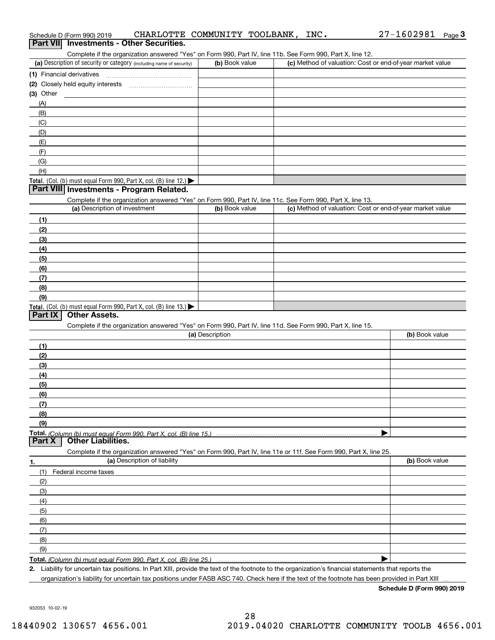| Compiete in the organization anowered in the only only over, in an original ribit occurrent over, nat A, mile iz. |                 |                                                                                                                                                      |                |
|-------------------------------------------------------------------------------------------------------------------|-----------------|------------------------------------------------------------------------------------------------------------------------------------------------------|----------------|
| (a) Description of security or category (including name of security)                                              | (b) Book value  | (c) Method of valuation: Cost or end-of-year market value                                                                                            |                |
| (1) Financial derivatives                                                                                         |                 |                                                                                                                                                      |                |
| (2) Closely held equity interests                                                                                 |                 |                                                                                                                                                      |                |
| (3) Other                                                                                                         |                 |                                                                                                                                                      |                |
| (A)                                                                                                               |                 |                                                                                                                                                      |                |
| (B)                                                                                                               |                 |                                                                                                                                                      |                |
| (C)                                                                                                               |                 |                                                                                                                                                      |                |
| (D)                                                                                                               |                 |                                                                                                                                                      |                |
| (E)                                                                                                               |                 |                                                                                                                                                      |                |
| (F)                                                                                                               |                 |                                                                                                                                                      |                |
| (G)                                                                                                               |                 |                                                                                                                                                      |                |
| (H)                                                                                                               |                 |                                                                                                                                                      |                |
| Total. (Col. (b) must equal Form 990, Part X, col. (B) line 12.) $\blacktriangleright$                            |                 |                                                                                                                                                      |                |
| Part VIII Investments - Program Related.                                                                          |                 |                                                                                                                                                      |                |
| Complete if the organization answered "Yes" on Form 990, Part IV, line 11c. See Form 990, Part X, line 13.        |                 |                                                                                                                                                      |                |
| (a) Description of investment                                                                                     | (b) Book value  | (c) Method of valuation: Cost or end-of-year market value                                                                                            |                |
|                                                                                                                   |                 |                                                                                                                                                      |                |
| (1)                                                                                                               |                 |                                                                                                                                                      |                |
| (2)                                                                                                               |                 |                                                                                                                                                      |                |
| (3)                                                                                                               |                 |                                                                                                                                                      |                |
| (4)                                                                                                               |                 |                                                                                                                                                      |                |
| (5)                                                                                                               |                 |                                                                                                                                                      |                |
| (6)                                                                                                               |                 |                                                                                                                                                      |                |
| (7)                                                                                                               |                 |                                                                                                                                                      |                |
| (8)                                                                                                               |                 |                                                                                                                                                      |                |
| (9)                                                                                                               |                 |                                                                                                                                                      |                |
| Total. (Col. (b) must equal Form 990, Part X, col. (B) line 13.)                                                  |                 |                                                                                                                                                      |                |
| <b>Other Assets.</b><br>Part IX                                                                                   |                 |                                                                                                                                                      |                |
| Complete if the organization answered "Yes" on Form 990, Part IV, line 11d. See Form 990, Part X, line 15.        |                 |                                                                                                                                                      |                |
|                                                                                                                   | (a) Description |                                                                                                                                                      | (b) Book value |
| (1)                                                                                                               |                 |                                                                                                                                                      |                |
| (2)                                                                                                               |                 |                                                                                                                                                      |                |
| (3)                                                                                                               |                 |                                                                                                                                                      |                |
| (4)                                                                                                               |                 |                                                                                                                                                      |                |
| (5)                                                                                                               |                 |                                                                                                                                                      |                |
|                                                                                                                   |                 |                                                                                                                                                      |                |
| (6)                                                                                                               |                 |                                                                                                                                                      |                |
| (7)                                                                                                               |                 |                                                                                                                                                      |                |
| (8)                                                                                                               |                 |                                                                                                                                                      |                |
| (9)                                                                                                               |                 |                                                                                                                                                      |                |
| Total. (Column (b) must equal Form 990, Part X, col. (B) line 15.)                                                |                 |                                                                                                                                                      |                |
| <b>Other Liabilities.</b><br>Part X                                                                               |                 |                                                                                                                                                      |                |
| Complete if the organization answered "Yes" on Form 990, Part IV, line 11e or 11f. See Form 990, Part X, line 25. |                 |                                                                                                                                                      |                |
| (a) Description of liability<br>1.                                                                                |                 |                                                                                                                                                      | (b) Book value |
| (1)<br>Federal income taxes                                                                                       |                 |                                                                                                                                                      |                |
| (2)                                                                                                               |                 |                                                                                                                                                      |                |
| (3)                                                                                                               |                 |                                                                                                                                                      |                |
| (4)                                                                                                               |                 |                                                                                                                                                      |                |
| (5)                                                                                                               |                 |                                                                                                                                                      |                |
| (6)                                                                                                               |                 |                                                                                                                                                      |                |
| (7)                                                                                                               |                 |                                                                                                                                                      |                |
| (8)                                                                                                               |                 |                                                                                                                                                      |                |
| (9)                                                                                                               |                 |                                                                                                                                                      |                |
|                                                                                                                   |                 |                                                                                                                                                      |                |
| Total. (Column (b) must equal Form 990. Part X, col. (B) line 25.)                                                |                 | 2. Liability for uncertain tax positions. In Part XIII, provide the text of the footnote to the organization's financial statements that reports the |                |

Liability for uncertain tax positions. In Part XIII, provide the text of the footnote to the organization's financial statements that reports the organization's liability for uncertain tax positions under FASB ASC 740. Check here if the text of the footnote has been provided in Part XIII

**Schedule D (Form 990) 2019**

932053 10-02-19

# Schedule D (Form 990) 2019 CHARLOTTE COMMUNITY TOOLBANK ,INC 。 27-1602981 Page ichedule D (Form 990) 2019 CHARLOTTE COMMUNITY TOOLBANK , INC 27–1602981 <sub>Page</sub> 3<br>**Part VII Investments - Other Securities.**<br>Complete if the organization answered "Yes

| (a) Description of security or category (including name of security) | (b) Book value | (c) Method of valuation: Cost or end-of-year market value |
|----------------------------------------------------------------------|----------------|-----------------------------------------------------------|
| (1) Financial derivatives                                            |                |                                                           |
| (2) Closely held equity interests                                    |                |                                                           |
| (3) Other                                                            |                |                                                           |
| (A)                                                                  |                |                                                           |
| (B)                                                                  |                |                                                           |
| (C)                                                                  |                |                                                           |
| (D)                                                                  |                |                                                           |
| (E)                                                                  |                |                                                           |
| (F)                                                                  |                |                                                           |
| (G)                                                                  |                |                                                           |
| (H)                                                                  |                |                                                           |
| $\cdots$                                                             |                |                                                           |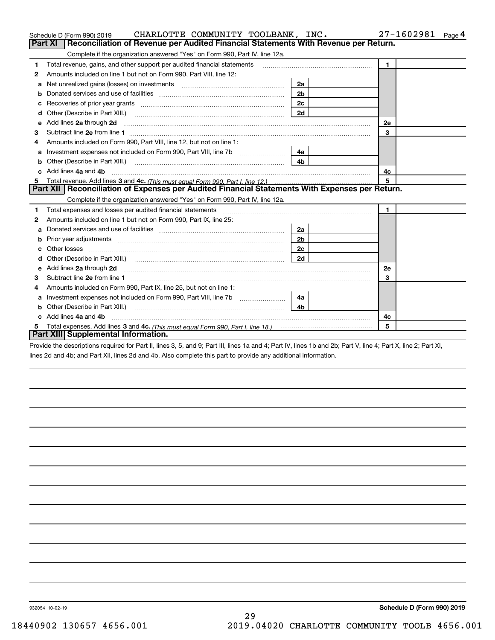| CHARLOTTE COMMUNITY TOOLBANK, INC.<br>Schedule D (Form 990) 2019                                                                                                                                                                        |                | 27-1602981<br>Page 4 |
|-----------------------------------------------------------------------------------------------------------------------------------------------------------------------------------------------------------------------------------------|----------------|----------------------|
| Reconciliation of Revenue per Audited Financial Statements With Revenue per Return.<br>Part XI                                                                                                                                          |                |                      |
| Complete if the organization answered "Yes" on Form 990, Part IV, line 12a.                                                                                                                                                             |                |                      |
| Total revenue, gains, and other support per audited financial statements<br>1                                                                                                                                                           | $\mathbf{1}$   |                      |
| Amounts included on line 1 but not on Form 990, Part VIII, line 12:<br>2                                                                                                                                                                |                |                      |
| Net unrealized gains (losses) on investments [11] matter contracts and the unrealized gains (losses) on investments<br>а                                                                                                                | 2a             |                      |
| b                                                                                                                                                                                                                                       | 2 <sub>b</sub> |                      |
|                                                                                                                                                                                                                                         | 2c             |                      |
| Other (Describe in Part XIII.) <b>Construction Contract Construction</b> [100]                                                                                                                                                          | 2d             |                      |
| Add lines 2a through 2d<br>е                                                                                                                                                                                                            |                | 2е                   |
| 3                                                                                                                                                                                                                                       |                | 3                    |
| Amounts included on Form 990, Part VIII, line 12, but not on line 1:<br>4                                                                                                                                                               |                |                      |
| а                                                                                                                                                                                                                                       | 4a l           |                      |
| b                                                                                                                                                                                                                                       | 4b.            |                      |
| Add lines 4a and 4b                                                                                                                                                                                                                     |                | 4c                   |
| 5.                                                                                                                                                                                                                                      |                | 5                    |
| Part XII   Reconciliation of Expenses per Audited Financial Statements With Expenses per Return.                                                                                                                                        |                |                      |
| Complete if the organization answered "Yes" on Form 990, Part IV, line 12a.                                                                                                                                                             |                |                      |
| 1                                                                                                                                                                                                                                       |                | $\mathbf{1}$         |
| Amounts included on line 1 but not on Form 990, Part IX, line 25:<br>2                                                                                                                                                                  |                |                      |
| a                                                                                                                                                                                                                                       | 2a             |                      |
|                                                                                                                                                                                                                                         | 2b             |                      |
|                                                                                                                                                                                                                                         | 2c             |                      |
|                                                                                                                                                                                                                                         | 2d             |                      |
| Add lines 2a through 2d <b>must be a constructed as the constant of the construction</b> and the state of the state of the state of the state of the state of the state of the state of the state of the state of the state of the<br>e |                | <b>2e</b>            |
| 3                                                                                                                                                                                                                                       |                | 3                    |
| Amounts included on Form 990, Part IX, line 25, but not on line 1:<br>4                                                                                                                                                                 |                |                      |
| a                                                                                                                                                                                                                                       | 4a             |                      |
| b                                                                                                                                                                                                                                       | 4h.            |                      |
| Add lines 4a and 4b                                                                                                                                                                                                                     |                | 4c                   |
| 5                                                                                                                                                                                                                                       |                | 5                    |
| Part XIII Supplemental Information.                                                                                                                                                                                                     |                |                      |
| Provide the descriptions required for Part II, lines 3, 5, and 9; Part III, lines 1a and 4; Part IV, lines 1b and 2b; Part V, line 4; Part X, line 2; Part XI,                                                                          |                |                      |

lines 2d and 4b; and Part XII, lines 2d and 4b. Also complete this part to provide any additional information.

932054 10-02-19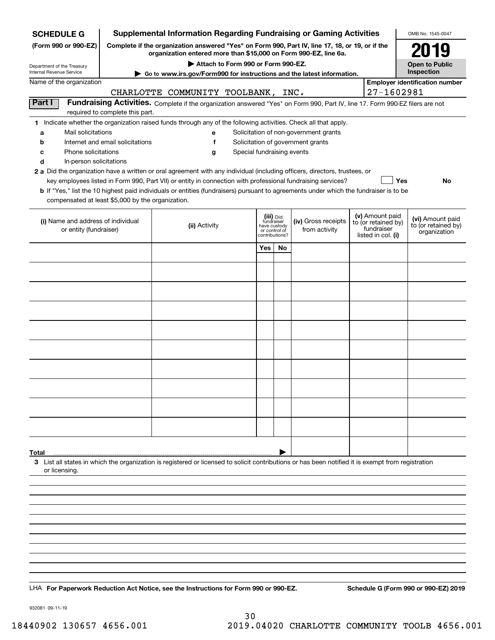| <b>SCHEDULE G</b>                                                                                                                                                | <b>Supplemental Information Regarding Fundraising or Gaming Activities</b> |                                                                                                                                                                                                                                                             |                         |                               |                                                                            |  |                                   | OMB No. 1545-0047                     |  |
|------------------------------------------------------------------------------------------------------------------------------------------------------------------|----------------------------------------------------------------------------|-------------------------------------------------------------------------------------------------------------------------------------------------------------------------------------------------------------------------------------------------------------|-------------------------|-------------------------------|----------------------------------------------------------------------------|--|-----------------------------------|---------------------------------------|--|
| (Form 990 or 990-EZ)                                                                                                                                             |                                                                            | Complete if the organization answered "Yes" on Form 990, Part IV, line 17, 18, or 19, or if the<br>organization entered more than \$15,000 on Form 990-EZ, line 6a.                                                                                         |                         |                               |                                                                            |  |                                   | 2019                                  |  |
| Department of the Treasury                                                                                                                                       |                                                                            | Attach to Form 990 or Form 990-EZ.                                                                                                                                                                                                                          |                         |                               |                                                                            |  |                                   | <b>Open to Public</b>                 |  |
| Internal Revenue Service<br>Go to www.irs.gov/Form990 for instructions and the latest information.                                                               |                                                                            |                                                                                                                                                                                                                                                             |                         |                               |                                                                            |  |                                   | Inspection                            |  |
| Name of the organization                                                                                                                                         |                                                                            |                                                                                                                                                                                                                                                             |                         |                               |                                                                            |  |                                   | <b>Employer identification number</b> |  |
| Part I                                                                                                                                                           |                                                                            | CHARLOTTE COMMUNITY TOOLBANK,                                                                                                                                                                                                                               |                         |                               | INC.                                                                       |  | 27-1602981                        |                                       |  |
| Fundraising Activities. Complete if the organization answered "Yes" on Form 990, Part IV, line 17. Form 990-EZ filers are not<br>required to complete this part. |                                                                            |                                                                                                                                                                                                                                                             |                         |                               |                                                                            |  |                                   |                                       |  |
| 1 Indicate whether the organization raised funds through any of the following activities. Check all that apply.                                                  |                                                                            |                                                                                                                                                                                                                                                             |                         |                               |                                                                            |  |                                   |                                       |  |
| Mail solicitations<br>a<br>b                                                                                                                                     | Internet and email solicitations                                           | е<br>f                                                                                                                                                                                                                                                      |                         |                               | Solicitation of non-government grants<br>Solicitation of government grants |  |                                   |                                       |  |
| Phone solicitations<br>с                                                                                                                                         |                                                                            | Special fundraising events<br>g                                                                                                                                                                                                                             |                         |                               |                                                                            |  |                                   |                                       |  |
| d<br>In-person solicitations                                                                                                                                     |                                                                            |                                                                                                                                                                                                                                                             |                         |                               |                                                                            |  |                                   |                                       |  |
|                                                                                                                                                                  |                                                                            | 2 a Did the organization have a written or oral agreement with any individual (including officers, directors, trustees, or                                                                                                                                  |                         |                               |                                                                            |  |                                   |                                       |  |
|                                                                                                                                                                  |                                                                            | key employees listed in Form 990, Part VII) or entity in connection with professional fundraising services?<br><b>b</b> If "Yes," list the 10 highest paid individuals or entities (fundraisers) pursuant to agreements under which the fundraiser is to be |                         |                               |                                                                            |  | Yes                               | No                                    |  |
| compensated at least \$5,000 by the organization.                                                                                                                |                                                                            |                                                                                                                                                                                                                                                             |                         |                               |                                                                            |  |                                   |                                       |  |
|                                                                                                                                                                  |                                                                            |                                                                                                                                                                                                                                                             | (iii) Did<br>fundraiser |                               |                                                                            |  | (v) Amount paid                   | (vi) Amount paid                      |  |
| (i) Name and address of individual<br>or entity (fundraiser)                                                                                                     |                                                                            | (ii) Activity                                                                                                                                                                                                                                               |                         | have custody<br>or control of | (iv) Gross receipts<br>from activity                                       |  | to (or retained by)<br>fundraiser | to (or retained by)                   |  |
|                                                                                                                                                                  |                                                                            |                                                                                                                                                                                                                                                             |                         | contributions?                |                                                                            |  | listed in col. (i)                | organization                          |  |
|                                                                                                                                                                  |                                                                            |                                                                                                                                                                                                                                                             | Yes                     | No                            |                                                                            |  |                                   |                                       |  |
|                                                                                                                                                                  |                                                                            |                                                                                                                                                                                                                                                             |                         |                               |                                                                            |  |                                   |                                       |  |
|                                                                                                                                                                  |                                                                            |                                                                                                                                                                                                                                                             |                         |                               |                                                                            |  |                                   |                                       |  |
|                                                                                                                                                                  |                                                                            |                                                                                                                                                                                                                                                             |                         |                               |                                                                            |  |                                   |                                       |  |
|                                                                                                                                                                  |                                                                            |                                                                                                                                                                                                                                                             |                         |                               |                                                                            |  |                                   |                                       |  |
|                                                                                                                                                                  |                                                                            |                                                                                                                                                                                                                                                             |                         |                               |                                                                            |  |                                   |                                       |  |
|                                                                                                                                                                  |                                                                            |                                                                                                                                                                                                                                                             |                         |                               |                                                                            |  |                                   |                                       |  |
|                                                                                                                                                                  |                                                                            |                                                                                                                                                                                                                                                             |                         |                               |                                                                            |  |                                   |                                       |  |
|                                                                                                                                                                  |                                                                            |                                                                                                                                                                                                                                                             |                         |                               |                                                                            |  |                                   |                                       |  |
|                                                                                                                                                                  |                                                                            |                                                                                                                                                                                                                                                             |                         |                               |                                                                            |  |                                   |                                       |  |
|                                                                                                                                                                  |                                                                            |                                                                                                                                                                                                                                                             |                         |                               |                                                                            |  |                                   |                                       |  |
|                                                                                                                                                                  |                                                                            |                                                                                                                                                                                                                                                             |                         |                               |                                                                            |  |                                   |                                       |  |
|                                                                                                                                                                  |                                                                            |                                                                                                                                                                                                                                                             |                         |                               |                                                                            |  |                                   |                                       |  |
|                                                                                                                                                                  |                                                                            |                                                                                                                                                                                                                                                             |                         |                               |                                                                            |  |                                   |                                       |  |
|                                                                                                                                                                  |                                                                            |                                                                                                                                                                                                                                                             |                         |                               |                                                                            |  |                                   |                                       |  |
|                                                                                                                                                                  |                                                                            |                                                                                                                                                                                                                                                             |                         |                               |                                                                            |  |                                   |                                       |  |
| Total                                                                                                                                                            |                                                                            |                                                                                                                                                                                                                                                             |                         |                               |                                                                            |  |                                   |                                       |  |
| or licensing.                                                                                                                                                    |                                                                            | 3 List all states in which the organization is registered or licensed to solicit contributions or has been notified it is exempt from registration                                                                                                          |                         |                               |                                                                            |  |                                   |                                       |  |
|                                                                                                                                                                  |                                                                            |                                                                                                                                                                                                                                                             |                         |                               |                                                                            |  |                                   |                                       |  |
|                                                                                                                                                                  |                                                                            |                                                                                                                                                                                                                                                             |                         |                               |                                                                            |  |                                   |                                       |  |
|                                                                                                                                                                  |                                                                            |                                                                                                                                                                                                                                                             |                         |                               |                                                                            |  |                                   |                                       |  |
|                                                                                                                                                                  |                                                                            |                                                                                                                                                                                                                                                             |                         |                               |                                                                            |  |                                   |                                       |  |
|                                                                                                                                                                  |                                                                            |                                                                                                                                                                                                                                                             |                         |                               |                                                                            |  |                                   |                                       |  |
|                                                                                                                                                                  |                                                                            |                                                                                                                                                                                                                                                             |                         |                               |                                                                            |  |                                   |                                       |  |
|                                                                                                                                                                  |                                                                            |                                                                                                                                                                                                                                                             |                         |                               |                                                                            |  |                                   |                                       |  |
|                                                                                                                                                                  |                                                                            |                                                                                                                                                                                                                                                             |                         |                               |                                                                            |  |                                   |                                       |  |
|                                                                                                                                                                  |                                                                            |                                                                                                                                                                                                                                                             |                         |                               |                                                                            |  |                                   |                                       |  |
|                                                                                                                                                                  |                                                                            | LHA For Paperwork Reduction Act Notice, see the Instructions for Form 990 or 990-EZ.                                                                                                                                                                        |                         |                               |                                                                            |  |                                   | Schedule G (Form 990 or 990-EZ) 2019  |  |

932081 09-11-19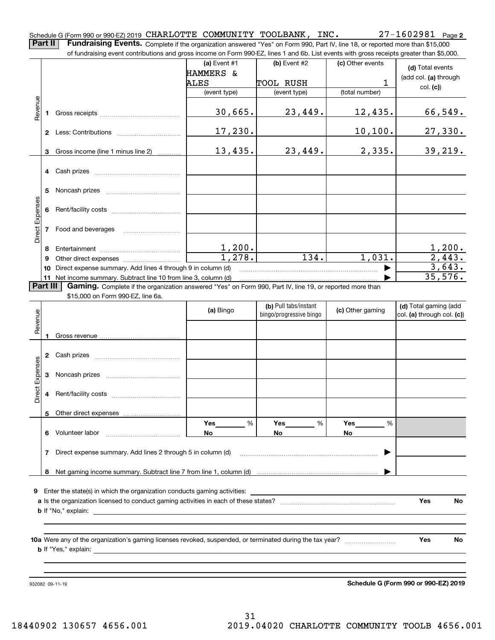**2** Schedule G (Form 990 or 990-EZ) 2019 CHARLOTTE COMMUNITY TOOLBANK, INC. CHARLOTTE COMMUNITY TOOLBANK, INC. 27-1602981

**Part II Fundraising Events.** Complete if the organization answered "Yes" on Form 990, Part IV, line 18, or reported more than \$15,000<br>15.000 of fundraising event contributions and gross income on Form 990-EZ. lines 1 an of fundraising event contributions and gross income on Form 990-EZ, lines 1 and 6b. List events with gross receipts greater than \$5,000.

|                        |              | ianalalang overit communitions and gross income on nomin sou EZ, illies in and ob. Else events with gross receipts greater than \$0,000. |                         |                                                  |                  |                                                     |
|------------------------|--------------|------------------------------------------------------------------------------------------------------------------------------------------|-------------------------|--------------------------------------------------|------------------|-----------------------------------------------------|
|                        |              |                                                                                                                                          | (a) Event $#1$          | (b) Event $#2$                                   | (c) Other events | (d) Total events                                    |
|                        |              |                                                                                                                                          | HAMMERS &               |                                                  |                  | (add col. (a) through                               |
|                        |              |                                                                                                                                          | ALES                    | TOOL RUSH                                        | $\mathbf{1}$     | col. (c)                                            |
|                        |              |                                                                                                                                          | (event type)            | (event type)                                     | (total number)   |                                                     |
| Revenue                |              |                                                                                                                                          | 30,665.                 | 23,449.                                          | 12,435.          | 66,549.                                             |
|                        |              |                                                                                                                                          | 17, 230.                |                                                  | 10, 100.         | 27,330.                                             |
|                        |              | 3 Gross income (line 1 minus line 2)                                                                                                     | 13,435.                 | 23,449.                                          | 2,335.           | 39, 219.                                            |
|                        |              |                                                                                                                                          |                         |                                                  |                  |                                                     |
|                        | 5            |                                                                                                                                          |                         |                                                  |                  |                                                     |
|                        | 6            |                                                                                                                                          |                         |                                                  |                  |                                                     |
| Direct Expenses        |              | 7 Food and beverages                                                                                                                     |                         |                                                  |                  |                                                     |
|                        | 8            |                                                                                                                                          |                         |                                                  |                  |                                                     |
|                        | 9            |                                                                                                                                          | $\frac{1,200}{1,278}$ . | $\overline{134.}$                                | 1,031.           | $\frac{1,200}{2,443}$ .                             |
|                        | 10           | Direct expense summary. Add lines 4 through 9 in column (d)                                                                              |                         |                                                  |                  | 3,643.                                              |
|                        |              | 11 Net income summary. Subtract line 10 from line 3, column (d)                                                                          |                         |                                                  |                  | 35,576.                                             |
|                        | Part III     | Gaming. Complete if the organization answered "Yes" on Form 990, Part IV, line 19, or reported more than                                 |                         |                                                  |                  |                                                     |
|                        |              | \$15,000 on Form 990-EZ, line 6a.                                                                                                        |                         |                                                  |                  |                                                     |
|                        |              |                                                                                                                                          | (a) Bingo               | (b) Pull tabs/instant<br>bingo/progressive bingo | (c) Other gaming | (d) Total gaming (add<br>col. (a) through col. (c)) |
| Revenue                |              |                                                                                                                                          |                         |                                                  |                  |                                                     |
|                        |              |                                                                                                                                          |                         |                                                  |                  |                                                     |
| <b>Direct Expenses</b> |              |                                                                                                                                          |                         |                                                  |                  |                                                     |
|                        |              |                                                                                                                                          |                         |                                                  |                  |                                                     |
|                        |              |                                                                                                                                          |                         |                                                  |                  |                                                     |
|                        |              |                                                                                                                                          | Yes<br>%                | Yes<br>%                                         | Yes<br>%         |                                                     |
|                        | 6.           | Volunteer labor                                                                                                                          | No                      | No                                               | No               |                                                     |
|                        | $\mathbf{7}$ | Direct expense summary. Add lines 2 through 5 in column (d)                                                                              |                         |                                                  |                  |                                                     |
|                        |              |                                                                                                                                          |                         |                                                  |                  |                                                     |
|                        | 8            |                                                                                                                                          |                         |                                                  |                  |                                                     |
|                        |              |                                                                                                                                          |                         |                                                  |                  |                                                     |
| 9                      |              | Enter the state(s) in which the organization conducts gaming activities:                                                                 |                         |                                                  |                  |                                                     |
|                        |              |                                                                                                                                          |                         |                                                  |                  | Yes<br>No.                                          |
|                        |              | <b>b</b> If "No," explain:                                                                                                               |                         |                                                  |                  |                                                     |
|                        |              |                                                                                                                                          |                         |                                                  |                  |                                                     |
|                        |              | <b>b</b> If "Yes," explain:                                                                                                              |                         |                                                  |                  | Yes<br>No                                           |
|                        |              |                                                                                                                                          |                         |                                                  |                  |                                                     |
|                        |              |                                                                                                                                          |                         |                                                  |                  |                                                     |

932082 09-11-19

**Schedule G (Form 990 or 990-EZ) 2019**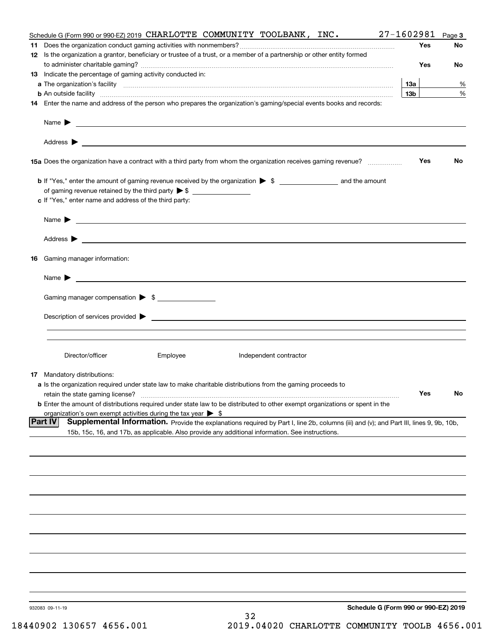| Schedule G (Form 990 or 990-EZ) 2019 CHARLOTTE COMMUNITY TOOLBANK, INC.                                                                                       | 27-1602981      | Page 3 |
|---------------------------------------------------------------------------------------------------------------------------------------------------------------|-----------------|--------|
|                                                                                                                                                               | Yes             | No     |
| 12 Is the organization a grantor, beneficiary or trustee of a trust, or a member of a partnership or other entity formed                                      |                 |        |
|                                                                                                                                                               | Yes             | No     |
| 13 Indicate the percentage of gaming activity conducted in:                                                                                                   |                 |        |
|                                                                                                                                                               | 13a             | %      |
| <b>b</b> An outside facility <i>www.communicality www.communicality.communicality www.communicality www.communicality.communicality www.communicality.com</i> | 13 <sub>b</sub> | %      |
| 14 Enter the name and address of the person who prepares the organization's gaming/special events books and records:                                          |                 |        |
| Name $\blacktriangleright$<br><u> 1990 - John Barnett, fransk politiker (d. 1980)</u>                                                                         |                 |        |
|                                                                                                                                                               |                 |        |
|                                                                                                                                                               |                 |        |
| 15a Does the organization have a contract with a third party from whom the organization receives gaming revenue?                                              | Yes             | No     |
|                                                                                                                                                               |                 |        |
|                                                                                                                                                               |                 |        |
| c If "Yes," enter name and address of the third party:                                                                                                        |                 |        |
| Name $\blacktriangleright$                                                                                                                                    |                 |        |
|                                                                                                                                                               |                 |        |
|                                                                                                                                                               |                 |        |
| 16 Gaming manager information:                                                                                                                                |                 |        |
| $Name \rightarrow$                                                                                                                                            |                 |        |
| Gaming manager compensation > \$                                                                                                                              |                 |        |
| Description of services provided $\blacktriangleright$ $\blacksquare$                                                                                         |                 |        |
|                                                                                                                                                               |                 |        |
|                                                                                                                                                               |                 |        |
| Director/officer<br>Employee<br>Independent contractor                                                                                                        |                 |        |
| <b>17</b> Mandatory distributions:                                                                                                                            |                 |        |
| a Is the organization required under state law to make charitable distributions from the gaming proceeds to                                                   |                 |        |
| retain the state gaming license?                                                                                                                              | Yes             | No     |
| <b>b</b> Enter the amount of distributions required under state law to be distributed to other exempt organizations or spent in the                           |                 |        |
| organization's own exempt activities during the tax year $\triangleright$ \$                                                                                  |                 |        |
| Part IV<br>Supplemental Information. Provide the explanations required by Part I, line 2b, columns (iii) and (v); and Part III, lines 9, 9b, 10b,             |                 |        |
| 15b, 15c, 16, and 17b, as applicable. Also provide any additional information. See instructions.                                                              |                 |        |
|                                                                                                                                                               |                 |        |
|                                                                                                                                                               |                 |        |
|                                                                                                                                                               |                 |        |
|                                                                                                                                                               |                 |        |
|                                                                                                                                                               |                 |        |
|                                                                                                                                                               |                 |        |
|                                                                                                                                                               |                 |        |
|                                                                                                                                                               |                 |        |
|                                                                                                                                                               |                 |        |
| Schedule G (Form 990 or 990-EZ) 2019                                                                                                                          |                 |        |
| 932083 09-11-19<br>32                                                                                                                                         |                 |        |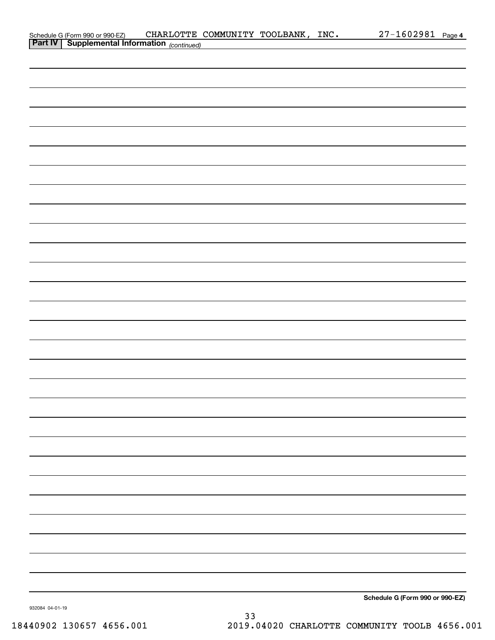| Schedule G (Form 990 or 990-EZ) CHARLOTTE (<br>Part IV   Supplemental Information (continued) | CHARLOTTE COMMUNITY TOOLBANK, INC. |  | 27-1602981 Page 4               |
|-----------------------------------------------------------------------------------------------|------------------------------------|--|---------------------------------|
|                                                                                               |                                    |  |                                 |
|                                                                                               |                                    |  |                                 |
|                                                                                               |                                    |  |                                 |
|                                                                                               |                                    |  |                                 |
|                                                                                               |                                    |  |                                 |
|                                                                                               |                                    |  |                                 |
|                                                                                               |                                    |  |                                 |
|                                                                                               |                                    |  |                                 |
|                                                                                               |                                    |  |                                 |
|                                                                                               |                                    |  |                                 |
|                                                                                               |                                    |  |                                 |
|                                                                                               |                                    |  |                                 |
|                                                                                               |                                    |  |                                 |
|                                                                                               |                                    |  |                                 |
|                                                                                               |                                    |  |                                 |
|                                                                                               |                                    |  |                                 |
|                                                                                               |                                    |  |                                 |
|                                                                                               |                                    |  |                                 |
|                                                                                               |                                    |  |                                 |
|                                                                                               |                                    |  |                                 |
|                                                                                               |                                    |  |                                 |
|                                                                                               |                                    |  |                                 |
|                                                                                               |                                    |  |                                 |
|                                                                                               |                                    |  |                                 |
|                                                                                               |                                    |  |                                 |
|                                                                                               |                                    |  |                                 |
|                                                                                               |                                    |  |                                 |
|                                                                                               |                                    |  |                                 |
|                                                                                               |                                    |  |                                 |
|                                                                                               |                                    |  |                                 |
|                                                                                               |                                    |  |                                 |
|                                                                                               |                                    |  |                                 |
|                                                                                               |                                    |  |                                 |
|                                                                                               |                                    |  |                                 |
|                                                                                               |                                    |  |                                 |
|                                                                                               |                                    |  |                                 |
|                                                                                               |                                    |  |                                 |
|                                                                                               |                                    |  |                                 |
|                                                                                               |                                    |  |                                 |
|                                                                                               |                                    |  |                                 |
|                                                                                               |                                    |  |                                 |
|                                                                                               |                                    |  |                                 |
|                                                                                               |                                    |  |                                 |
|                                                                                               |                                    |  |                                 |
|                                                                                               |                                    |  |                                 |
|                                                                                               |                                    |  |                                 |
|                                                                                               |                                    |  |                                 |
|                                                                                               |                                    |  |                                 |
|                                                                                               |                                    |  |                                 |
|                                                                                               |                                    |  | Schedule G (Form 990 or 990-EZ) |